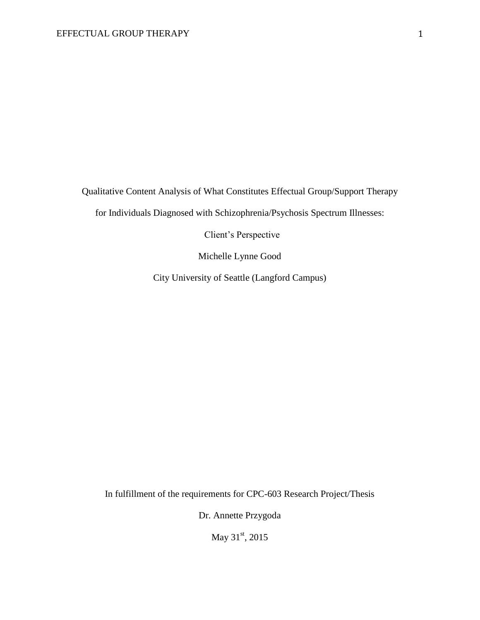Qualitative Content Analysis of What Constitutes Effectual Group/Support Therapy

for Individuals Diagnosed with Schizophrenia/Psychosis Spectrum Illnesses:

Client's Perspective

Michelle Lynne Good

City University of Seattle (Langford Campus)

In fulfillment of the requirements for CPC-603 Research Project/Thesis

Dr. Annette Przygoda

May 31<sup>st</sup>, 2015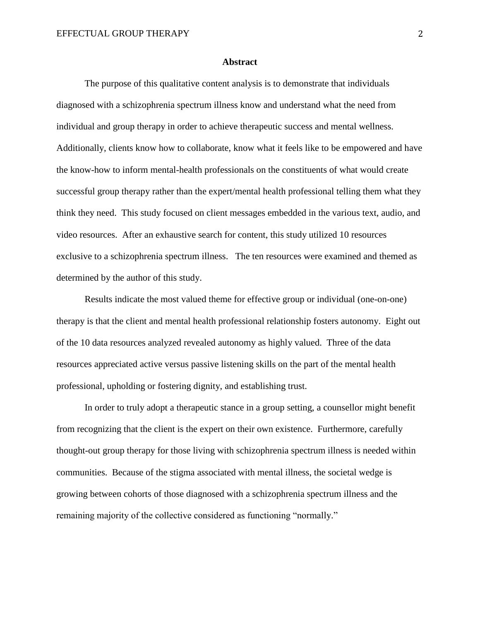#### **Abstract**

The purpose of this qualitative content analysis is to demonstrate that individuals diagnosed with a schizophrenia spectrum illness know and understand what the need from individual and group therapy in order to achieve therapeutic success and mental wellness. Additionally, clients know how to collaborate, know what it feels like to be empowered and have the know-how to inform mental-health professionals on the constituents of what would create successful group therapy rather than the expert/mental health professional telling them what they think they need. This study focused on client messages embedded in the various text, audio, and video resources. After an exhaustive search for content, this study utilized 10 resources exclusive to a schizophrenia spectrum illness. The ten resources were examined and themed as determined by the author of this study.

Results indicate the most valued theme for effective group or individual (one-on-one) therapy is that the client and mental health professional relationship fosters autonomy. Eight out of the 10 data resources analyzed revealed autonomy as highly valued. Three of the data resources appreciated active versus passive listening skills on the part of the mental health professional, upholding or fostering dignity, and establishing trust.

In order to truly adopt a therapeutic stance in a group setting, a counsellor might benefit from recognizing that the client is the expert on their own existence. Furthermore, carefully thought-out group therapy for those living with schizophrenia spectrum illness is needed within communities. Because of the stigma associated with mental illness, the societal wedge is growing between cohorts of those diagnosed with a schizophrenia spectrum illness and the remaining majority of the collective considered as functioning "normally."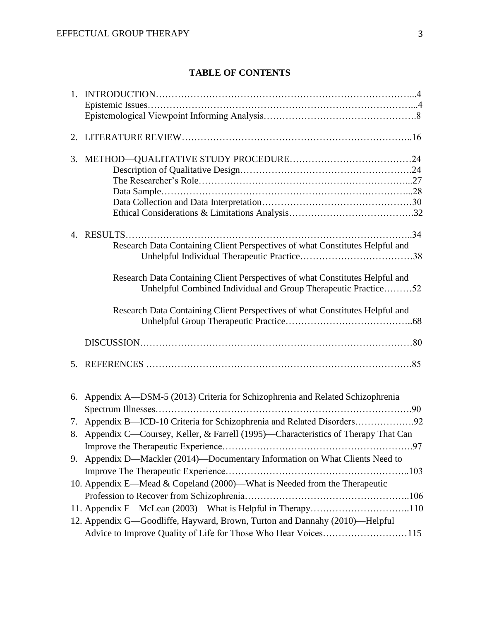# **TABLE OF CONTENTS**

| 1. |                                                                                                                                                |  |
|----|------------------------------------------------------------------------------------------------------------------------------------------------|--|
|    |                                                                                                                                                |  |
|    |                                                                                                                                                |  |
|    |                                                                                                                                                |  |
|    |                                                                                                                                                |  |
|    |                                                                                                                                                |  |
|    |                                                                                                                                                |  |
|    |                                                                                                                                                |  |
|    |                                                                                                                                                |  |
|    |                                                                                                                                                |  |
|    |                                                                                                                                                |  |
|    | Research Data Containing Client Perspectives of what Constitutes Helpful and                                                                   |  |
|    |                                                                                                                                                |  |
|    | Research Data Containing Client Perspectives of what Constitutes Helpful and<br>Unhelpful Combined Individual and Group Therapeutic Practice52 |  |
|    | Research Data Containing Client Perspectives of what Constitutes Helpful and                                                                   |  |
|    |                                                                                                                                                |  |
|    |                                                                                                                                                |  |
|    | 6. Appendix A—DSM-5 (2013) Criteria for Schizophrenia and Related Schizophrenia                                                                |  |
|    |                                                                                                                                                |  |
|    | 8. Appendix C—Coursey, Keller, & Farrell (1995)—Characteristics of Therapy That Can                                                            |  |
|    |                                                                                                                                                |  |
|    | 9. Appendix D-Mackler (2014)-Documentary Information on What Clients Need to                                                                   |  |
|    |                                                                                                                                                |  |
|    | 10. Appendix E—Mead & Copeland (2000)—What is Needed from the Therapeutic                                                                      |  |
|    |                                                                                                                                                |  |
|    | 11. Appendix F—McLean (2003)—What is Helpful in Therapy110                                                                                     |  |
|    | 12. Appendix G-Goodliffe, Hayward, Brown, Turton and Dannahy (2010)-Helpful                                                                    |  |
|    | Advice to Improve Quality of Life for Those Who Hear Voices115                                                                                 |  |
|    |                                                                                                                                                |  |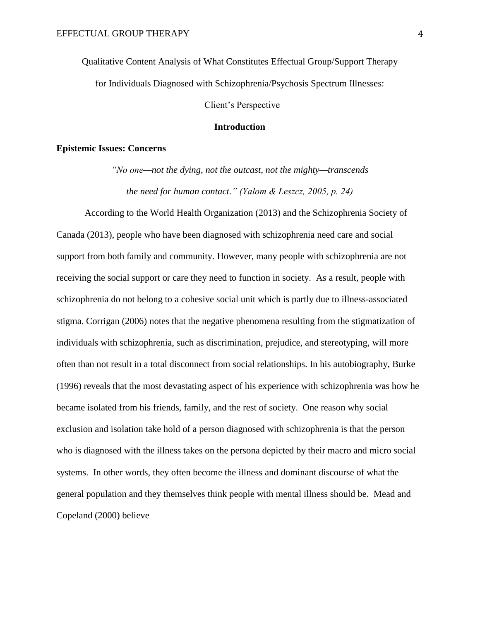Qualitative Content Analysis of What Constitutes Effectual Group/Support Therapy for Individuals Diagnosed with Schizophrenia/Psychosis Spectrum Illnesses:

Client's Perspective

# **Introduction**

# **Epistemic Issues: Concerns**

*"No one—not the dying, not the outcast, not the mighty—transcends the need for human contact." (Yalom & Leszcz, 2005, p. 24)*

According to the World Health Organization (2013) and the Schizophrenia Society of Canada (2013), people who have been diagnosed with schizophrenia need care and social support from both family and community. However, many people with schizophrenia are not receiving the social support or care they need to function in society. As a result, people with schizophrenia do not belong to a cohesive social unit which is partly due to illness-associated stigma. Corrigan (2006) notes that the negative phenomena resulting from the stigmatization of individuals with schizophrenia, such as discrimination, prejudice, and stereotyping, will more often than not result in a total disconnect from social relationships. In his autobiography, Burke (1996) reveals that the most devastating aspect of his experience with schizophrenia was how he became isolated from his friends, family, and the rest of society. One reason why social exclusion and isolation take hold of a person diagnosed with schizophrenia is that the person who is diagnosed with the illness takes on the persona depicted by their macro and micro social systems. In other words, they often become the illness and dominant discourse of what the general population and they themselves think people with mental illness should be. Mead and Copeland (2000) believe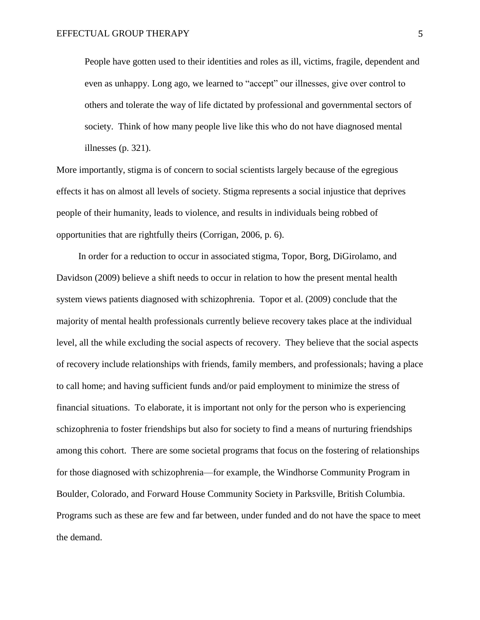People have gotten used to their identities and roles as ill, victims, fragile, dependent and even as unhappy. Long ago, we learned to "accept" our illnesses, give over control to others and tolerate the way of life dictated by professional and governmental sectors of society. Think of how many people live like this who do not have diagnosed mental illnesses (p. 321).

More importantly, stigma is of concern to social scientists largely because of the egregious effects it has on almost all levels of society. Stigma represents a social injustice that deprives people of their humanity, leads to violence, and results in individuals being robbed of opportunities that are rightfully theirs (Corrigan, 2006, p. 6).

In order for a reduction to occur in associated stigma, Topor, Borg, DiGirolamo, and Davidson (2009) believe a shift needs to occur in relation to how the present mental health system views patients diagnosed with schizophrenia. Topor et al. (2009) conclude that the majority of mental health professionals currently believe recovery takes place at the individual level, all the while excluding the social aspects of recovery. They believe that the social aspects of recovery include relationships with friends, family members, and professionals; having a place to call home; and having sufficient funds and/or paid employment to minimize the stress of financial situations. To elaborate, it is important not only for the person who is experiencing schizophrenia to foster friendships but also for society to find a means of nurturing friendships among this cohort. There are some societal programs that focus on the fostering of relationships for those diagnosed with schizophrenia—for example, the Windhorse Community Program in Boulder, Colorado, and Forward House Community Society in Parksville, British Columbia. Programs such as these are few and far between, under funded and do not have the space to meet the demand.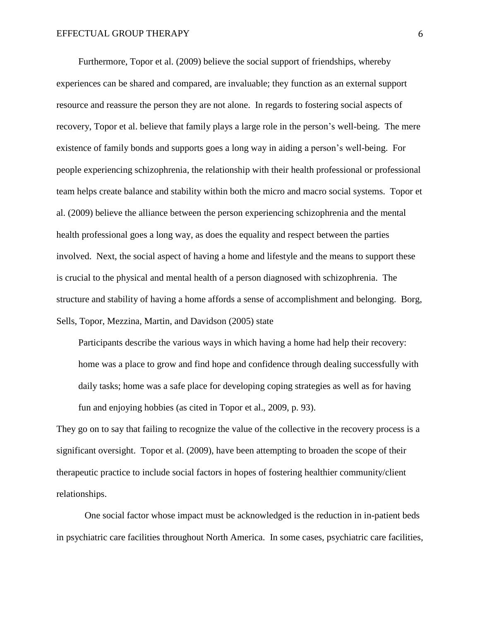Furthermore, Topor et al. (2009) believe the social support of friendships, whereby experiences can be shared and compared, are invaluable; they function as an external support resource and reassure the person they are not alone. In regards to fostering social aspects of recovery, Topor et al. believe that family plays a large role in the person's well-being. The mere existence of family bonds and supports goes a long way in aiding a person's well-being. For people experiencing schizophrenia, the relationship with their health professional or professional team helps create balance and stability within both the micro and macro social systems. Topor et al. (2009) believe the alliance between the person experiencing schizophrenia and the mental health professional goes a long way, as does the equality and respect between the parties involved. Next, the social aspect of having a home and lifestyle and the means to support these is crucial to the physical and mental health of a person diagnosed with schizophrenia. The structure and stability of having a home affords a sense of accomplishment and belonging. Borg, Sells, Topor, Mezzina, Martin, and Davidson (2005) state

Participants describe the various ways in which having a home had help their recovery: home was a place to grow and find hope and confidence through dealing successfully with daily tasks; home was a safe place for developing coping strategies as well as for having fun and enjoying hobbies (as cited in Topor et al., 2009, p. 93).

They go on to say that failing to recognize the value of the collective in the recovery process is a significant oversight. Topor et al. (2009), have been attempting to broaden the scope of their therapeutic practice to include social factors in hopes of fostering healthier community/client relationships.

One social factor whose impact must be acknowledged is the reduction in in-patient beds in psychiatric care facilities throughout North America. In some cases, psychiatric care facilities,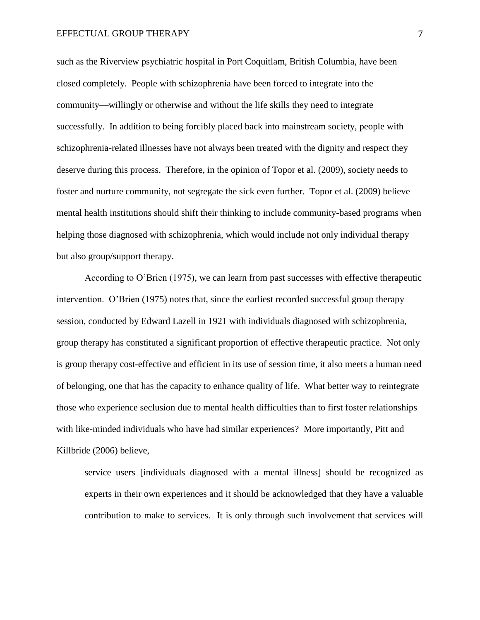such as the Riverview psychiatric hospital in Port Coquitlam, British Columbia, have been closed completely. People with schizophrenia have been forced to integrate into the community—willingly or otherwise and without the life skills they need to integrate successfully. In addition to being forcibly placed back into mainstream society, people with schizophrenia-related illnesses have not always been treated with the dignity and respect they deserve during this process. Therefore, in the opinion of Topor et al. (2009), society needs to foster and nurture community, not segregate the sick even further. Topor et al. (2009) believe mental health institutions should shift their thinking to include community-based programs when helping those diagnosed with schizophrenia, which would include not only individual therapy but also group/support therapy.

According to O'Brien (1975), we can learn from past successes with effective therapeutic intervention. O'Brien (1975) notes that, since the earliest recorded successful group therapy session, conducted by Edward Lazell in 1921 with individuals diagnosed with schizophrenia, group therapy has constituted a significant proportion of effective therapeutic practice. Not only is group therapy cost-effective and efficient in its use of session time, it also meets a human need of belonging, one that has the capacity to enhance quality of life. What better way to reintegrate those who experience seclusion due to mental health difficulties than to first foster relationships with like-minded individuals who have had similar experiences? More importantly, Pitt and Killbride (2006) believe,

service users [individuals diagnosed with a mental illness] should be recognized as experts in their own experiences and it should be acknowledged that they have a valuable contribution to make to services. It is only through such involvement that services will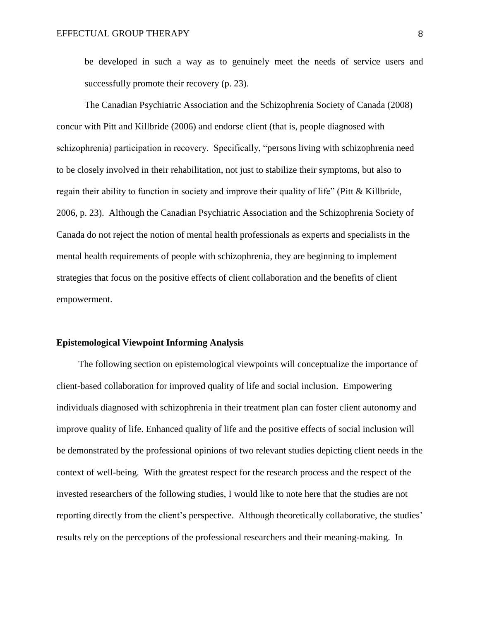be developed in such a way as to genuinely meet the needs of service users and successfully promote their recovery (p. 23).

The Canadian Psychiatric Association and the Schizophrenia Society of Canada (2008) concur with Pitt and Killbride (2006) and endorse client (that is, people diagnosed with schizophrenia) participation in recovery. Specifically, "persons living with schizophrenia need to be closely involved in their rehabilitation, not just to stabilize their symptoms, but also to regain their ability to function in society and improve their quality of life" (Pitt & Killbride, 2006, p. 23). Although the Canadian Psychiatric Association and the Schizophrenia Society of Canada do not reject the notion of mental health professionals as experts and specialists in the mental health requirements of people with schizophrenia, they are beginning to implement strategies that focus on the positive effects of client collaboration and the benefits of client empowerment.

# **Epistemological Viewpoint Informing Analysis**

The following section on epistemological viewpoints will conceptualize the importance of client-based collaboration for improved quality of life and social inclusion. Empowering individuals diagnosed with schizophrenia in their treatment plan can foster client autonomy and improve quality of life. Enhanced quality of life and the positive effects of social inclusion will be demonstrated by the professional opinions of two relevant studies depicting client needs in the context of well-being. With the greatest respect for the research process and the respect of the invested researchers of the following studies, I would like to note here that the studies are not reporting directly from the client's perspective. Although theoretically collaborative, the studies' results rely on the perceptions of the professional researchers and their meaning-making. In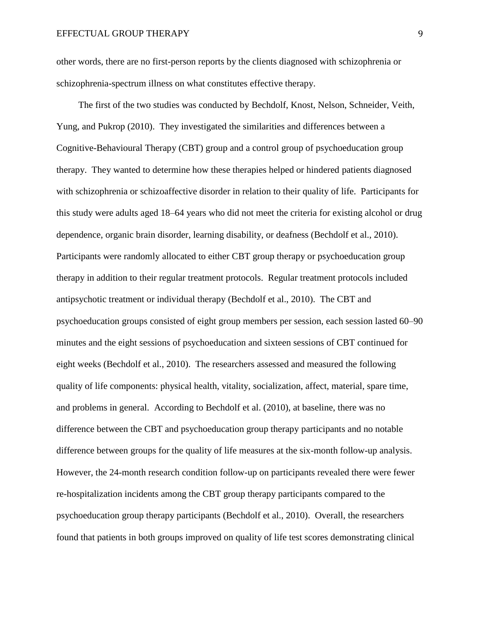other words, there are no first-person reports by the clients diagnosed with schizophrenia or schizophrenia-spectrum illness on what constitutes effective therapy.

The first of the two studies was conducted by Bechdolf, Knost, Nelson, Schneider, Veith, Yung, and Pukrop (2010). They investigated the similarities and differences between a Cognitive-Behavioural Therapy (CBT) group and a control group of psychoeducation group therapy. They wanted to determine how these therapies helped or hindered patients diagnosed with schizophrenia or schizoaffective disorder in relation to their quality of life. Participants for this study were adults aged 18–64 years who did not meet the criteria for existing alcohol or drug dependence, organic brain disorder, learning disability, or deafness (Bechdolf et al., 2010). Participants were randomly allocated to either CBT group therapy or psychoeducation group therapy in addition to their regular treatment protocols. Regular treatment protocols included antipsychotic treatment or individual therapy (Bechdolf et al., 2010). The CBT and psychoeducation groups consisted of eight group members per session, each session lasted 60–90 minutes and the eight sessions of psychoeducation and sixteen sessions of CBT continued for eight weeks (Bechdolf et al., 2010). The researchers assessed and measured the following quality of life components: physical health, vitality, socialization, affect, material, spare time, and problems in general. According to Bechdolf et al. (2010), at baseline, there was no difference between the CBT and psychoeducation group therapy participants and no notable difference between groups for the quality of life measures at the six-month follow-up analysis. However, the 24-month research condition follow-up on participants revealed there were fewer re-hospitalization incidents among the CBT group therapy participants compared to the psychoeducation group therapy participants (Bechdolf et al., 2010). Overall, the researchers found that patients in both groups improved on quality of life test scores demonstrating clinical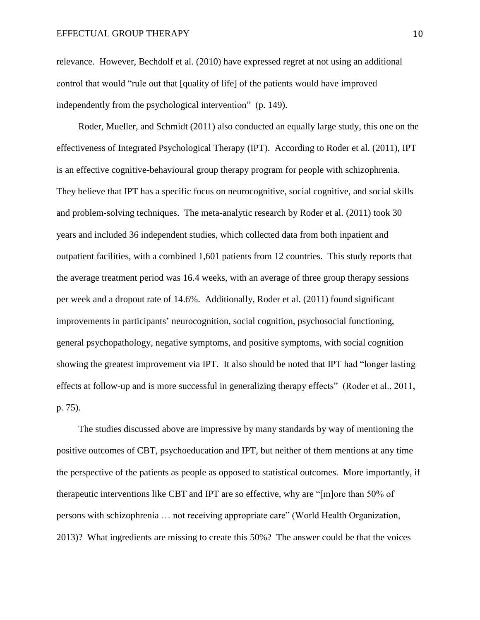relevance. However, Bechdolf et al. (2010) have expressed regret at not using an additional control that would "rule out that [quality of life] of the patients would have improved independently from the psychological intervention" (p. 149).

Roder, Mueller, and Schmidt (2011) also conducted an equally large study, this one on the effectiveness of Integrated Psychological Therapy (IPT). According to Roder et al. (2011), IPT is an effective cognitive-behavioural group therapy program for people with schizophrenia. They believe that IPT has a specific focus on neurocognitive, social cognitive, and social skills and problem-solving techniques. The meta-analytic research by Roder et al. (2011) took 30 years and included 36 independent studies, which collected data from both inpatient and outpatient facilities, with a combined 1,601 patients from 12 countries. This study reports that the average treatment period was 16.4 weeks, with an average of three group therapy sessions per week and a dropout rate of 14.6%. Additionally, Roder et al. (2011) found significant improvements in participants' neurocognition, social cognition, psychosocial functioning, general psychopathology, negative symptoms, and positive symptoms, with social cognition showing the greatest improvement via IPT. It also should be noted that IPT had "longer lasting effects at follow-up and is more successful in generalizing therapy effects" (Roder et al., 2011, p. 75).

The studies discussed above are impressive by many standards by way of mentioning the positive outcomes of CBT, psychoeducation and IPT, but neither of them mentions at any time the perspective of the patients as people as opposed to statistical outcomes. More importantly, if therapeutic interventions like CBT and IPT are so effective, why are "[m]ore than 50% of persons with schizophrenia … not receiving appropriate care" (World Health Organization, 2013)? What ingredients are missing to create this 50%? The answer could be that the voices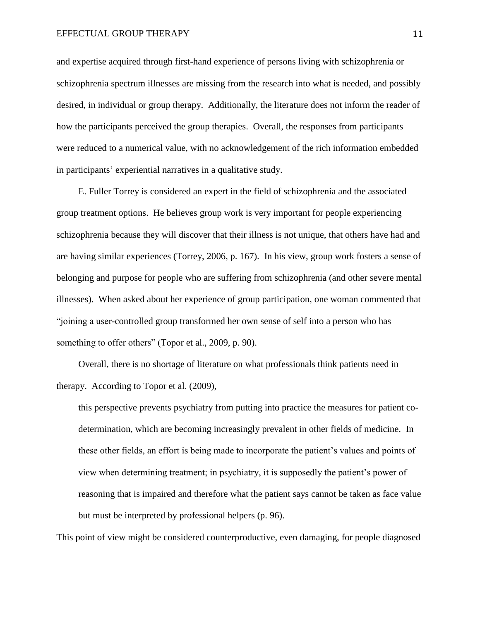and expertise acquired through first-hand experience of persons living with schizophrenia or schizophrenia spectrum illnesses are missing from the research into what is needed, and possibly desired, in individual or group therapy. Additionally, the literature does not inform the reader of how the participants perceived the group therapies. Overall, the responses from participants were reduced to a numerical value, with no acknowledgement of the rich information embedded in participants' experiential narratives in a qualitative study.

E. Fuller Torrey is considered an expert in the field of schizophrenia and the associated group treatment options. He believes group work is very important for people experiencing schizophrenia because they will discover that their illness is not unique, that others have had and are having similar experiences (Torrey, 2006, p. 167). In his view, group work fosters a sense of belonging and purpose for people who are suffering from schizophrenia (and other severe mental illnesses). When asked about her experience of group participation, one woman commented that "joining a user-controlled group transformed her own sense of self into a person who has something to offer others" (Topor et al., 2009, p. 90).

Overall, there is no shortage of literature on what professionals think patients need in therapy. According to Topor et al. (2009),

this perspective prevents psychiatry from putting into practice the measures for patient codetermination, which are becoming increasingly prevalent in other fields of medicine. In these other fields, an effort is being made to incorporate the patient's values and points of view when determining treatment; in psychiatry, it is supposedly the patient's power of reasoning that is impaired and therefore what the patient says cannot be taken as face value but must be interpreted by professional helpers (p. 96).

This point of view might be considered counterproductive, even damaging, for people diagnosed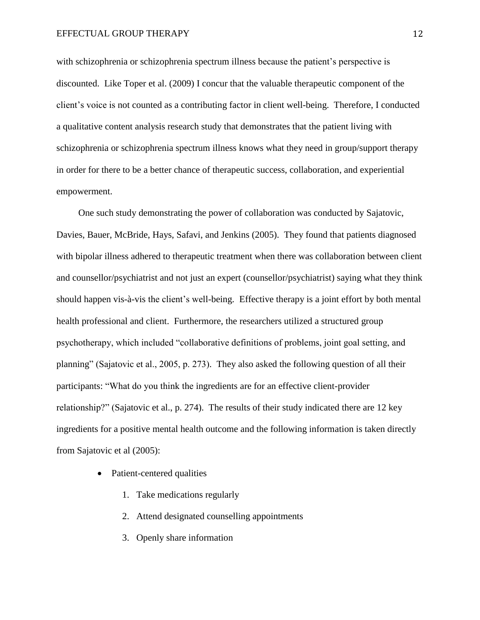with schizophrenia or schizophrenia spectrum illness because the patient's perspective is discounted. Like Toper et al. (2009) I concur that the valuable therapeutic component of the client's voice is not counted as a contributing factor in client well-being. Therefore, I conducted a qualitative content analysis research study that demonstrates that the patient living with schizophrenia or schizophrenia spectrum illness knows what they need in group/support therapy in order for there to be a better chance of therapeutic success, collaboration, and experiential empowerment.

One such study demonstrating the power of collaboration was conducted by Sajatovic, Davies, Bauer, McBride, Hays, Safavi, and Jenkins (2005). They found that patients diagnosed with bipolar illness adhered to therapeutic treatment when there was collaboration between client and counsellor/psychiatrist and not just an expert (counsellor/psychiatrist) saying what they think should happen vis-à-vis the client's well-being. Effective therapy is a joint effort by both mental health professional and client. Furthermore, the researchers utilized a structured group psychotherapy, which included "collaborative definitions of problems, joint goal setting, and planning" (Sajatovic et al., 2005, p. 273). They also asked the following question of all their participants: "What do you think the ingredients are for an effective client-provider relationship?" (Sajatovic et al., p. 274). The results of their study indicated there are 12 key ingredients for a positive mental health outcome and the following information is taken directly from Sajatovic et al (2005):

- Patient-centered qualities
	- 1. Take medications regularly
	- 2. Attend designated counselling appointments
	- 3. Openly share information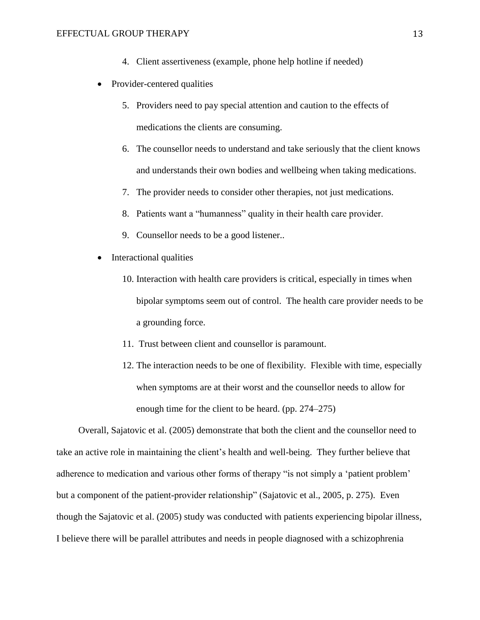- 4. Client assertiveness (example, phone help hotline if needed)
- Provider-centered qualities
	- 5. Providers need to pay special attention and caution to the effects of medications the clients are consuming.
	- 6. The counsellor needs to understand and take seriously that the client knows and understands their own bodies and wellbeing when taking medications.
	- 7. The provider needs to consider other therapies, not just medications.
	- 8. Patients want a "humanness" quality in their health care provider.
	- 9. Counsellor needs to be a good listener..
- Interactional qualities
	- 10. Interaction with health care providers is critical, especially in times when bipolar symptoms seem out of control. The health care provider needs to be a grounding force.
	- 11. Trust between client and counsellor is paramount.
	- 12. The interaction needs to be one of flexibility. Flexible with time, especially when symptoms are at their worst and the counsellor needs to allow for enough time for the client to be heard. (pp. 274–275)

Overall, Sajatovic et al. (2005) demonstrate that both the client and the counsellor need to take an active role in maintaining the client's health and well-being. They further believe that adherence to medication and various other forms of therapy "is not simply a 'patient problem' but a component of the patient-provider relationship" (Sajatovic et al., 2005, p. 275). Even though the Sajatovic et al. (2005) study was conducted with patients experiencing bipolar illness, I believe there will be parallel attributes and needs in people diagnosed with a schizophrenia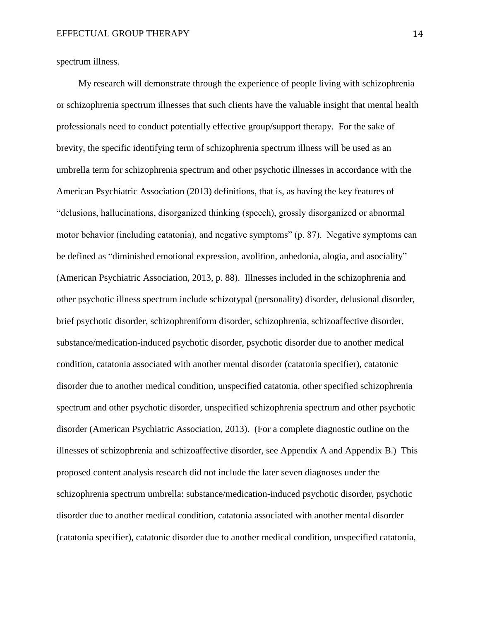spectrum illness.

My research will demonstrate through the experience of people living with schizophrenia or schizophrenia spectrum illnesses that such clients have the valuable insight that mental health professionals need to conduct potentially effective group/support therapy. For the sake of brevity, the specific identifying term of schizophrenia spectrum illness will be used as an umbrella term for schizophrenia spectrum and other psychotic illnesses in accordance with the American Psychiatric Association (2013) definitions, that is, as having the key features of "delusions, hallucinations, disorganized thinking (speech), grossly disorganized or abnormal motor behavior (including catatonia), and negative symptoms" (p. 87). Negative symptoms can be defined as "diminished emotional expression, avolition, anhedonia, alogia, and asociality" (American Psychiatric Association, 2013, p. 88). Illnesses included in the schizophrenia and other psychotic illness spectrum include schizotypal (personality) disorder, delusional disorder, brief psychotic disorder, schizophreniform disorder, schizophrenia, schizoaffective disorder, substance/medication-induced psychotic disorder, psychotic disorder due to another medical condition, catatonia associated with another mental disorder (catatonia specifier), catatonic disorder due to another medical condition, unspecified catatonia, other specified schizophrenia spectrum and other psychotic disorder, unspecified schizophrenia spectrum and other psychotic disorder (American Psychiatric Association, 2013). (For a complete diagnostic outline on the illnesses of schizophrenia and schizoaffective disorder, see Appendix A and Appendix B.) This proposed content analysis research did not include the later seven diagnoses under the schizophrenia spectrum umbrella: substance/medication-induced psychotic disorder, psychotic disorder due to another medical condition, catatonia associated with another mental disorder (catatonia specifier), catatonic disorder due to another medical condition, unspecified catatonia,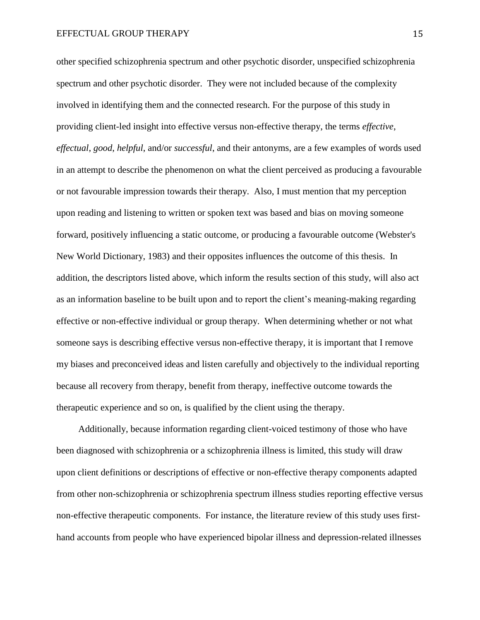other specified schizophrenia spectrum and other psychotic disorder, unspecified schizophrenia spectrum and other psychotic disorder. They were not included because of the complexity involved in identifying them and the connected research. For the purpose of this study in providing client-led insight into effective versus non-effective therapy, the terms *effective*, *effectual*, *good*, *helpful*, and/or *successful*, and their antonyms, are a few examples of words used in an attempt to describe the phenomenon on what the client perceived as producing a favourable or not favourable impression towards their therapy. Also, I must mention that my perception upon reading and listening to written or spoken text was based and bias on moving someone forward, positively influencing a static outcome, or producing a favourable outcome (Webster's New World Dictionary, 1983) and their opposites influences the outcome of this thesis. In addition, the descriptors listed above, which inform the results section of this study, will also act as an information baseline to be built upon and to report the client's meaning-making regarding effective or non-effective individual or group therapy. When determining whether or not what someone says is describing effective versus non-effective therapy, it is important that I remove my biases and preconceived ideas and listen carefully and objectively to the individual reporting because all recovery from therapy, benefit from therapy, ineffective outcome towards the therapeutic experience and so on, is qualified by the client using the therapy.

Additionally, because information regarding client-voiced testimony of those who have been diagnosed with schizophrenia or a schizophrenia illness is limited, this study will draw upon client definitions or descriptions of effective or non-effective therapy components adapted from other non-schizophrenia or schizophrenia spectrum illness studies reporting effective versus non-effective therapeutic components. For instance, the literature review of this study uses firsthand accounts from people who have experienced bipolar illness and depression-related illnesses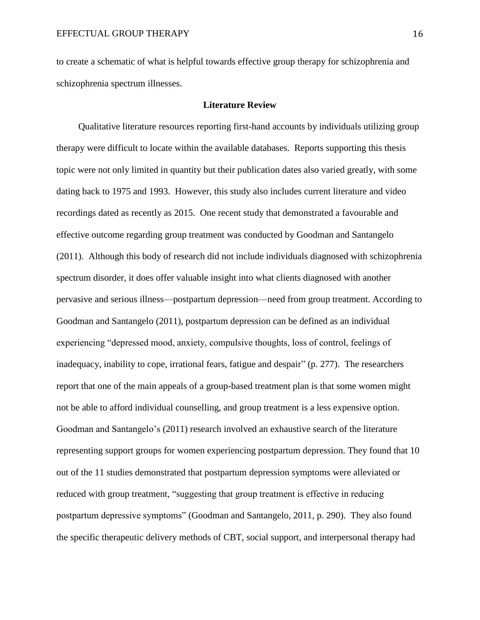to create a schematic of what is helpful towards effective group therapy for schizophrenia and schizophrenia spectrum illnesses.

# **Literature Review**

Qualitative literature resources reporting first-hand accounts by individuals utilizing group therapy were difficult to locate within the available databases. Reports supporting this thesis topic were not only limited in quantity but their publication dates also varied greatly, with some dating back to 1975 and 1993. However, this study also includes current literature and video recordings dated as recently as 2015. One recent study that demonstrated a favourable and effective outcome regarding group treatment was conducted by Goodman and Santangelo (2011). Although this body of research did not include individuals diagnosed with schizophrenia spectrum disorder, it does offer valuable insight into what clients diagnosed with another pervasive and serious illness—postpartum depression—need from group treatment. According to Goodman and Santangelo (2011), postpartum depression can be defined as an individual experiencing "depressed mood, anxiety, compulsive thoughts, loss of control, feelings of inadequacy, inability to cope, irrational fears, fatigue and despair" (p. 277). The researchers report that one of the main appeals of a group-based treatment plan is that some women might not be able to afford individual counselling, and group treatment is a less expensive option. Goodman and Santangelo's (2011) research involved an exhaustive search of the literature representing support groups for women experiencing postpartum depression. They found that 10 out of the 11 studies demonstrated that postpartum depression symptoms were alleviated or reduced with group treatment, "suggesting that group treatment is effective in reducing postpartum depressive symptoms" (Goodman and Santangelo, 2011, p. 290). They also found the specific therapeutic delivery methods of CBT, social support, and interpersonal therapy had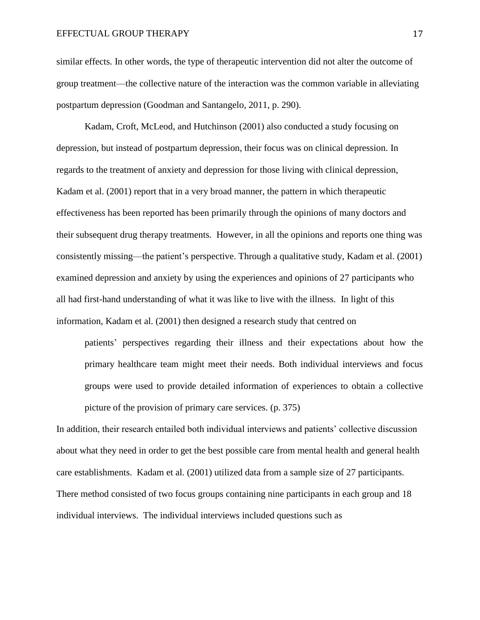similar effects. In other words, the type of therapeutic intervention did not alter the outcome of group treatment—the collective nature of the interaction was the common variable in alleviating postpartum depression (Goodman and Santangelo, 2011, p. 290).

Kadam, Croft, McLeod, and Hutchinson (2001) also conducted a study focusing on depression, but instead of postpartum depression, their focus was on clinical depression. In regards to the treatment of anxiety and depression for those living with clinical depression, Kadam et al. (2001) report that in a very broad manner, the pattern in which therapeutic effectiveness has been reported has been primarily through the opinions of many doctors and their subsequent drug therapy treatments. However, in all the opinions and reports one thing was consistently missing—the patient's perspective. Through a qualitative study, Kadam et al. (2001) examined depression and anxiety by using the experiences and opinions of 27 participants who all had first-hand understanding of what it was like to live with the illness. In light of this information, Kadam et al. (2001) then designed a research study that centred on

patients' perspectives regarding their illness and their expectations about how the primary healthcare team might meet their needs. Both individual interviews and focus groups were used to provide detailed information of experiences to obtain a collective picture of the provision of primary care services. (p. 375)

In addition, their research entailed both individual interviews and patients' collective discussion about what they need in order to get the best possible care from mental health and general health care establishments. Kadam et al. (2001) utilized data from a sample size of 27 participants. There method consisted of two focus groups containing nine participants in each group and 18 individual interviews. The individual interviews included questions such as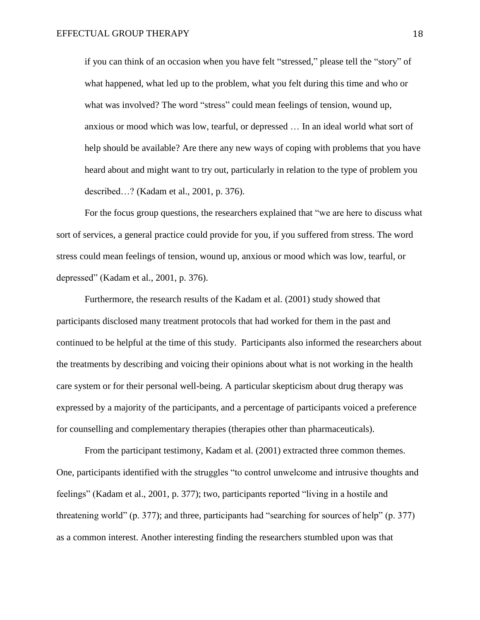if you can think of an occasion when you have felt "stressed," please tell the "story" of what happened, what led up to the problem, what you felt during this time and who or what was involved? The word "stress" could mean feelings of tension, wound up, anxious or mood which was low, tearful, or depressed … In an ideal world what sort of help should be available? Are there any new ways of coping with problems that you have heard about and might want to try out, particularly in relation to the type of problem you described…? (Kadam et al., 2001, p. 376).

For the focus group questions, the researchers explained that "we are here to discuss what sort of services, a general practice could provide for you, if you suffered from stress. The word stress could mean feelings of tension, wound up, anxious or mood which was low, tearful, or depressed" (Kadam et al., 2001, p. 376).

Furthermore, the research results of the Kadam et al. (2001) study showed that participants disclosed many treatment protocols that had worked for them in the past and continued to be helpful at the time of this study. Participants also informed the researchers about the treatments by describing and voicing their opinions about what is not working in the health care system or for their personal well-being. A particular skepticism about drug therapy was expressed by a majority of the participants, and a percentage of participants voiced a preference for counselling and complementary therapies (therapies other than pharmaceuticals).

From the participant testimony, Kadam et al. (2001) extracted three common themes. One, participants identified with the struggles "to control unwelcome and intrusive thoughts and feelings" (Kadam et al., 2001, p. 377); two, participants reported "living in a hostile and threatening world" (p. 377); and three, participants had "searching for sources of help" (p. 377) as a common interest. Another interesting finding the researchers stumbled upon was that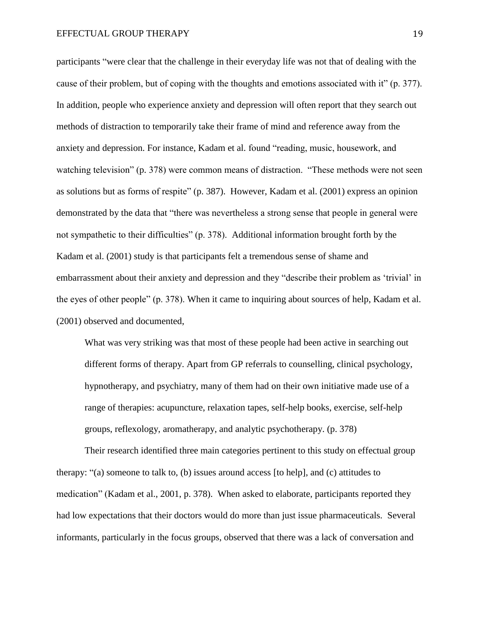participants "were clear that the challenge in their everyday life was not that of dealing with the cause of their problem, but of coping with the thoughts and emotions associated with it" (p. 377). In addition, people who experience anxiety and depression will often report that they search out methods of distraction to temporarily take their frame of mind and reference away from the anxiety and depression. For instance, Kadam et al. found "reading, music, housework, and watching television" (p. 378) were common means of distraction. "These methods were not seen as solutions but as forms of respite" (p. 387). However, Kadam et al. (2001) express an opinion demonstrated by the data that "there was nevertheless a strong sense that people in general were not sympathetic to their difficulties" (p. 378). Additional information brought forth by the Kadam et al. (2001) study is that participants felt a tremendous sense of shame and embarrassment about their anxiety and depression and they "describe their problem as 'trivial' in the eyes of other people" (p. 378). When it came to inquiring about sources of help, Kadam et al. (2001) observed and documented,

What was very striking was that most of these people had been active in searching out different forms of therapy. Apart from GP referrals to counselling, clinical psychology, hypnotherapy, and psychiatry, many of them had on their own initiative made use of a range of therapies: acupuncture, relaxation tapes, self-help books, exercise, self-help groups, reflexology, aromatherapy, and analytic psychotherapy. (p. 378)

Their research identified three main categories pertinent to this study on effectual group therapy: "(a) someone to talk to, (b) issues around access [to help], and (c) attitudes to medication" (Kadam et al., 2001, p. 378). When asked to elaborate, participants reported they had low expectations that their doctors would do more than just issue pharmaceuticals. Several informants, particularly in the focus groups, observed that there was a lack of conversation and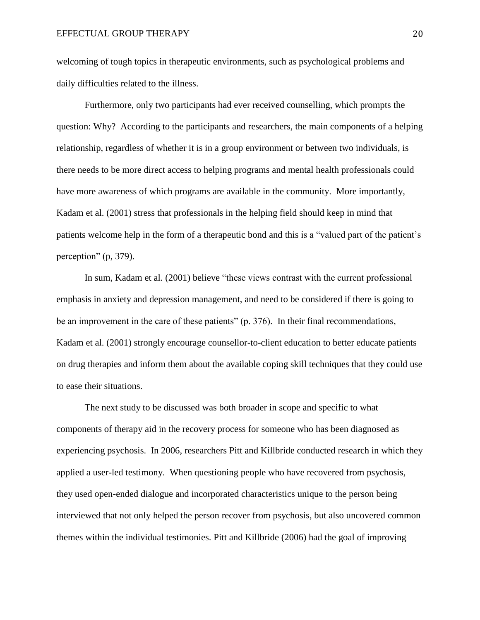welcoming of tough topics in therapeutic environments, such as psychological problems and daily difficulties related to the illness.

Furthermore, only two participants had ever received counselling, which prompts the question: Why? According to the participants and researchers, the main components of a helping relationship, regardless of whether it is in a group environment or between two individuals, is there needs to be more direct access to helping programs and mental health professionals could have more awareness of which programs are available in the community. More importantly, Kadam et al. (2001) stress that professionals in the helping field should keep in mind that patients welcome help in the form of a therapeutic bond and this is a "valued part of the patient's perception" (p, 379).

In sum, Kadam et al. (2001) believe "these views contrast with the current professional emphasis in anxiety and depression management, and need to be considered if there is going to be an improvement in the care of these patients" (p. 376). In their final recommendations, Kadam et al. (2001) strongly encourage counsellor-to-client education to better educate patients on drug therapies and inform them about the available coping skill techniques that they could use to ease their situations.

The next study to be discussed was both broader in scope and specific to what components of therapy aid in the recovery process for someone who has been diagnosed as experiencing psychosis. In 2006, researchers Pitt and Killbride conducted research in which they applied a user-led testimony. When questioning people who have recovered from psychosis, they used open-ended dialogue and incorporated characteristics unique to the person being interviewed that not only helped the person recover from psychosis, but also uncovered common themes within the individual testimonies. Pitt and Killbride (2006) had the goal of improving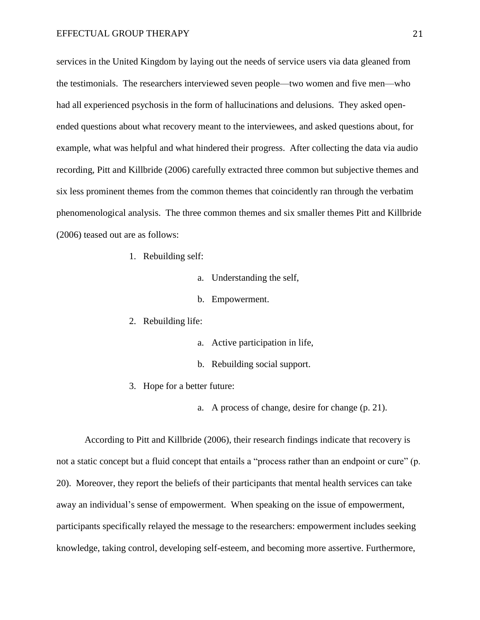services in the United Kingdom by laying out the needs of service users via data gleaned from the testimonials. The researchers interviewed seven people—two women and five men—who had all experienced psychosis in the form of hallucinations and delusions. They asked openended questions about what recovery meant to the interviewees, and asked questions about, for example, what was helpful and what hindered their progress. After collecting the data via audio recording, Pitt and Killbride (2006) carefully extracted three common but subjective themes and six less prominent themes from the common themes that coincidently ran through the verbatim phenomenological analysis. The three common themes and six smaller themes Pitt and Killbride (2006) teased out are as follows:

- 1. Rebuilding self:
	- a. Understanding the self,
	- b. Empowerment.
- 2. Rebuilding life:
	- a. Active participation in life,
	- b. Rebuilding social support.
- 3. Hope for a better future:
	- a. A process of change, desire for change (p. 21).

According to Pitt and Killbride (2006), their research findings indicate that recovery is not a static concept but a fluid concept that entails a "process rather than an endpoint or cure" (p. 20). Moreover, they report the beliefs of their participants that mental health services can take away an individual's sense of empowerment. When speaking on the issue of empowerment, participants specifically relayed the message to the researchers: empowerment includes seeking knowledge, taking control, developing self-esteem, and becoming more assertive. Furthermore,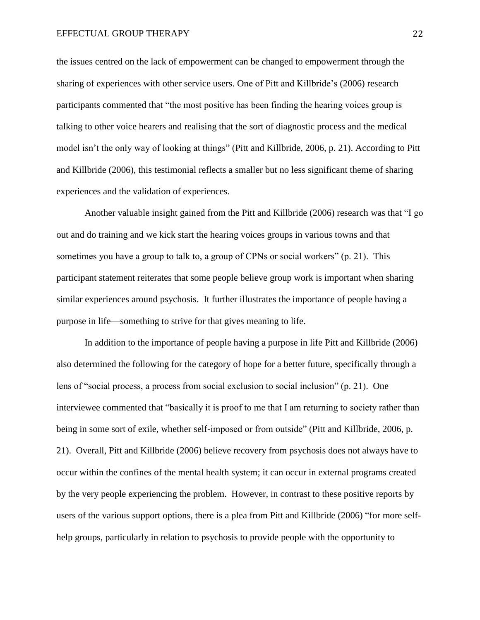the issues centred on the lack of empowerment can be changed to empowerment through the sharing of experiences with other service users. One of Pitt and Killbride's (2006) research participants commented that "the most positive has been finding the hearing voices group is talking to other voice hearers and realising that the sort of diagnostic process and the medical model isn't the only way of looking at things" (Pitt and Killbride, 2006, p. 21). According to Pitt and Killbride (2006), this testimonial reflects a smaller but no less significant theme of sharing experiences and the validation of experiences.

Another valuable insight gained from the Pitt and Killbride (2006) research was that "I go out and do training and we kick start the hearing voices groups in various towns and that sometimes you have a group to talk to, a group of CPNs or social workers" (p. 21). This participant statement reiterates that some people believe group work is important when sharing similar experiences around psychosis. It further illustrates the importance of people having a purpose in life—something to strive for that gives meaning to life.

In addition to the importance of people having a purpose in life Pitt and Killbride (2006) also determined the following for the category of hope for a better future, specifically through a lens of "social process, a process from social exclusion to social inclusion" (p. 21). One interviewee commented that "basically it is proof to me that I am returning to society rather than being in some sort of exile, whether self-imposed or from outside" (Pitt and Killbride, 2006, p. 21). Overall, Pitt and Killbride (2006) believe recovery from psychosis does not always have to occur within the confines of the mental health system; it can occur in external programs created by the very people experiencing the problem. However, in contrast to these positive reports by users of the various support options, there is a plea from Pitt and Killbride (2006) "for more selfhelp groups, particularly in relation to psychosis to provide people with the opportunity to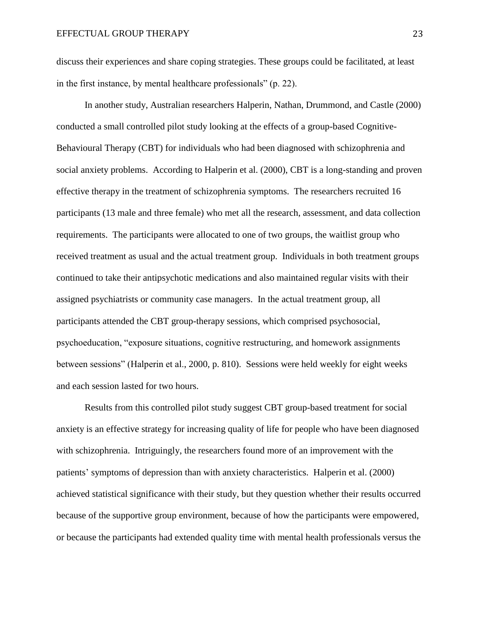discuss their experiences and share coping strategies. These groups could be facilitated, at least in the first instance, by mental healthcare professionals" (p. 22).

In another study, Australian researchers Halperin, Nathan, Drummond, and Castle (2000) conducted a small controlled pilot study looking at the effects of a group-based Cognitive-Behavioural Therapy (CBT) for individuals who had been diagnosed with schizophrenia and social anxiety problems. According to Halperin et al. (2000), CBT is a long-standing and proven effective therapy in the treatment of schizophrenia symptoms. The researchers recruited 16 participants (13 male and three female) who met all the research, assessment, and data collection requirements. The participants were allocated to one of two groups, the waitlist group who received treatment as usual and the actual treatment group. Individuals in both treatment groups continued to take their antipsychotic medications and also maintained regular visits with their assigned psychiatrists or community case managers. In the actual treatment group, all participants attended the CBT group-therapy sessions, which comprised psychosocial, psychoeducation, "exposure situations, cognitive restructuring, and homework assignments between sessions" (Halperin et al., 2000, p. 810). Sessions were held weekly for eight weeks and each session lasted for two hours.

Results from this controlled pilot study suggest CBT group-based treatment for social anxiety is an effective strategy for increasing quality of life for people who have been diagnosed with schizophrenia. Intriguingly, the researchers found more of an improvement with the patients' symptoms of depression than with anxiety characteristics. Halperin et al. (2000) achieved statistical significance with their study, but they question whether their results occurred because of the supportive group environment, because of how the participants were empowered, or because the participants had extended quality time with mental health professionals versus the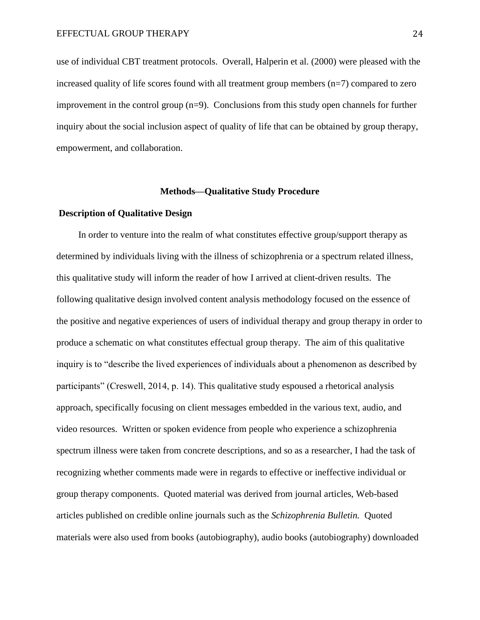use of individual CBT treatment protocols. Overall, Halperin et al. (2000) were pleased with the increased quality of life scores found with all treatment group members (n=7) compared to zero improvement in the control group  $(n=9)$ . Conclusions from this study open channels for further inquiry about the social inclusion aspect of quality of life that can be obtained by group therapy, empowerment, and collaboration.

# **Methods—Qualitative Study Procedure**

# **Description of Qualitative Design**

In order to venture into the realm of what constitutes effective group/support therapy as determined by individuals living with the illness of schizophrenia or a spectrum related illness, this qualitative study will inform the reader of how I arrived at client-driven results. The following qualitative design involved content analysis methodology focused on the essence of the positive and negative experiences of users of individual therapy and group therapy in order to produce a schematic on what constitutes effectual group therapy. The aim of this qualitative inquiry is to "describe the lived experiences of individuals about a phenomenon as described by participants" (Creswell, 2014, p. 14). This qualitative study espoused a rhetorical analysis approach, specifically focusing on client messages embedded in the various text, audio, and video resources. Written or spoken evidence from people who experience a schizophrenia spectrum illness were taken from concrete descriptions, and so as a researcher, I had the task of recognizing whether comments made were in regards to effective or ineffective individual or group therapy components. Quoted material was derived from journal articles, Web-based articles published on credible online journals such as the *Schizophrenia Bulletin.* Quoted materials were also used from books (autobiography), audio books (autobiography) downloaded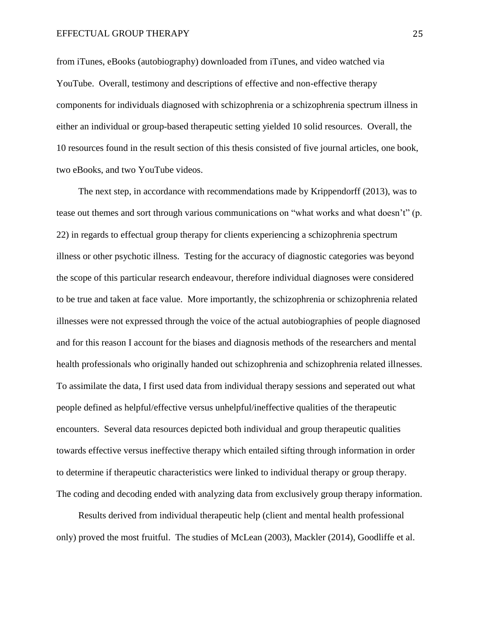from iTunes, eBooks (autobiography) downloaded from iTunes, and video watched via YouTube. Overall, testimony and descriptions of effective and non-effective therapy components for individuals diagnosed with schizophrenia or a schizophrenia spectrum illness in either an individual or group-based therapeutic setting yielded 10 solid resources. Overall, the 10 resources found in the result section of this thesis consisted of five journal articles, one book, two eBooks, and two YouTube videos.

The next step, in accordance with recommendations made by Krippendorff (2013), was to tease out themes and sort through various communications on "what works and what doesn't" (p. 22) in regards to effectual group therapy for clients experiencing a schizophrenia spectrum illness or other psychotic illness. Testing for the accuracy of diagnostic categories was beyond the scope of this particular research endeavour, therefore individual diagnoses were considered to be true and taken at face value. More importantly, the schizophrenia or schizophrenia related illnesses were not expressed through the voice of the actual autobiographies of people diagnosed and for this reason I account for the biases and diagnosis methods of the researchers and mental health professionals who originally handed out schizophrenia and schizophrenia related illnesses. To assimilate the data, I first used data from individual therapy sessions and seperated out what people defined as helpful/effective versus unhelpful/ineffective qualities of the therapeutic encounters. Several data resources depicted both individual and group therapeutic qualities towards effective versus ineffective therapy which entailed sifting through information in order to determine if therapeutic characteristics were linked to individual therapy or group therapy. The coding and decoding ended with analyzing data from exclusively group therapy information.

Results derived from individual therapeutic help (client and mental health professional only) proved the most fruitful. The studies of McLean (2003), Mackler (2014), Goodliffe et al.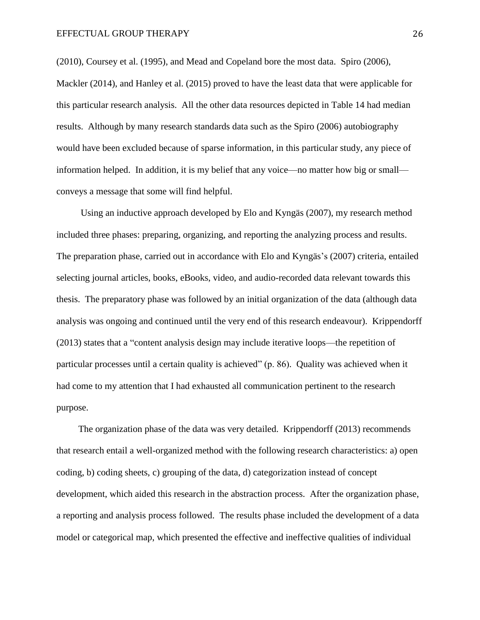(2010), Coursey et al. (1995), and Mead and Copeland bore the most data. Spiro (2006), Mackler (2014), and Hanley et al. (2015) proved to have the least data that were applicable for this particular research analysis. All the other data resources depicted in Table 14 had median results. Although by many research standards data such as the Spiro (2006) autobiography would have been excluded because of sparse information, in this particular study, any piece of information helped. In addition, it is my belief that any voice—no matter how big or small conveys a message that some will find helpful.

Using an inductive approach developed by Elo and Kyngäs (2007), my research method included three phases: preparing, organizing, and reporting the analyzing process and results. The preparation phase, carried out in accordance with Elo and Kyngäs's (2007) criteria, entailed selecting journal articles, books, eBooks, video, and audio-recorded data relevant towards this thesis. The preparatory phase was followed by an initial organization of the data (although data analysis was ongoing and continued until the very end of this research endeavour). Krippendorff (2013) states that a "content analysis design may include iterative loops—the repetition of particular processes until a certain quality is achieved" (p. 86). Quality was achieved when it had come to my attention that I had exhausted all communication pertinent to the research purpose.

The organization phase of the data was very detailed. Krippendorff (2013) recommends that research entail a well-organized method with the following research characteristics: a) open coding, b) coding sheets, c) grouping of the data, d) categorization instead of concept development, which aided this research in the abstraction process. After the organization phase, a reporting and analysis process followed. The results phase included the development of a data model or categorical map, which presented the effective and ineffective qualities of individual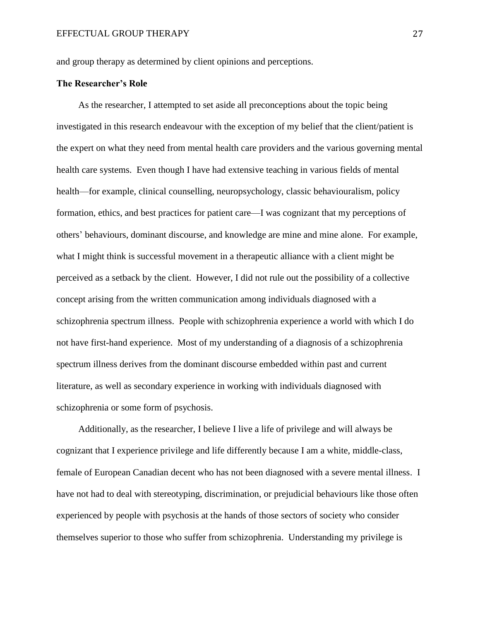and group therapy as determined by client opinions and perceptions.

# **The Researcher's Role**

As the researcher, I attempted to set aside all preconceptions about the topic being investigated in this research endeavour with the exception of my belief that the client/patient is the expert on what they need from mental health care providers and the various governing mental health care systems. Even though I have had extensive teaching in various fields of mental health—for example, clinical counselling, neuropsychology, classic behaviouralism, policy formation, ethics, and best practices for patient care—I was cognizant that my perceptions of others' behaviours, dominant discourse, and knowledge are mine and mine alone. For example, what I might think is successful movement in a therapeutic alliance with a client might be perceived as a setback by the client. However, I did not rule out the possibility of a collective concept arising from the written communication among individuals diagnosed with a schizophrenia spectrum illness. People with schizophrenia experience a world with which I do not have first-hand experience. Most of my understanding of a diagnosis of a schizophrenia spectrum illness derives from the dominant discourse embedded within past and current literature, as well as secondary experience in working with individuals diagnosed with schizophrenia or some form of psychosis.

Additionally, as the researcher, I believe I live a life of privilege and will always be cognizant that I experience privilege and life differently because I am a white, middle-class, female of European Canadian decent who has not been diagnosed with a severe mental illness. I have not had to deal with stereotyping, discrimination, or prejudicial behaviours like those often experienced by people with psychosis at the hands of those sectors of society who consider themselves superior to those who suffer from schizophrenia. Understanding my privilege is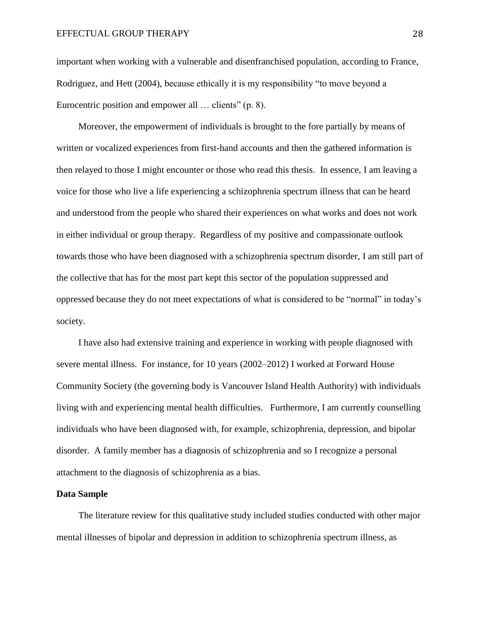important when working with a vulnerable and disenfranchised population, according to France, Rodriguez, and Hett (2004), because ethically it is my responsibility "to move beyond a Eurocentric position and empower all ... clients" (p. 8).

Moreover, the empowerment of individuals is brought to the fore partially by means of written or vocalized experiences from first-hand accounts and then the gathered information is then relayed to those I might encounter or those who read this thesis. In essence, I am leaving a voice for those who live a life experiencing a schizophrenia spectrum illness that can be heard and understood from the people who shared their experiences on what works and does not work in either individual or group therapy. Regardless of my positive and compassionate outlook towards those who have been diagnosed with a schizophrenia spectrum disorder, I am still part of the collective that has for the most part kept this sector of the population suppressed and oppressed because they do not meet expectations of what is considered to be "normal" in today's society.

I have also had extensive training and experience in working with people diagnosed with severe mental illness. For instance, for 10 years (2002–2012) I worked at Forward House Community Society (the governing body is Vancouver Island Health Authority) with individuals living with and experiencing mental health difficulties. Furthermore, I am currently counselling individuals who have been diagnosed with, for example, schizophrenia, depression, and bipolar disorder. A family member has a diagnosis of schizophrenia and so I recognize a personal attachment to the diagnosis of schizophrenia as a bias.

#### **Data Sample**

The literature review for this qualitative study included studies conducted with other major mental illnesses of bipolar and depression in addition to schizophrenia spectrum illness, as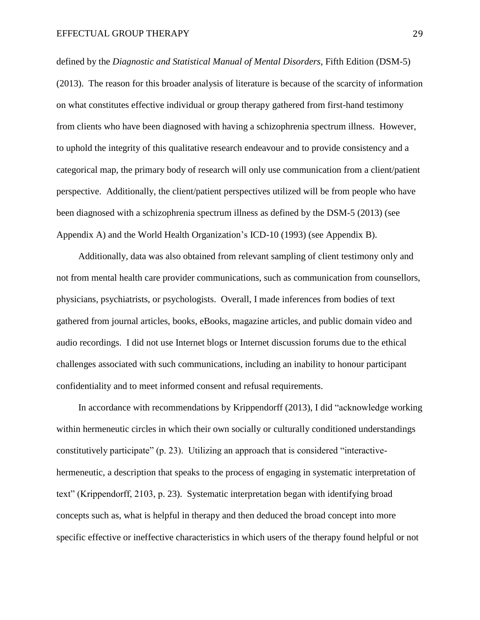defined by the *Diagnostic and Statistical Manual of Mental Disorders*, Fifth Edition (DSM-5) (2013). The reason for this broader analysis of literature is because of the scarcity of information on what constitutes effective individual or group therapy gathered from first-hand testimony from clients who have been diagnosed with having a schizophrenia spectrum illness. However, to uphold the integrity of this qualitative research endeavour and to provide consistency and a categorical map, the primary body of research will only use communication from a client/patient perspective. Additionally, the client/patient perspectives utilized will be from people who have been diagnosed with a schizophrenia spectrum illness as defined by the DSM-5 (2013) (see Appendix A) and the World Health Organization's ICD-10 (1993) (see Appendix B).

Additionally, data was also obtained from relevant sampling of client testimony only and not from mental health care provider communications, such as communication from counsellors, physicians, psychiatrists, or psychologists. Overall, I made inferences from bodies of text gathered from journal articles, books, eBooks, magazine articles, and public domain video and audio recordings. I did not use Internet blogs or Internet discussion forums due to the ethical challenges associated with such communications, including an inability to honour participant confidentiality and to meet informed consent and refusal requirements.

In accordance with recommendations by Krippendorff (2013), I did "acknowledge working within hermeneutic circles in which their own socially or culturally conditioned understandings constitutively participate" (p. 23). Utilizing an approach that is considered "interactivehermeneutic, a description that speaks to the process of engaging in systematic interpretation of text" (Krippendorff, 2103, p. 23). Systematic interpretation began with identifying broad concepts such as, what is helpful in therapy and then deduced the broad concept into more specific effective or ineffective characteristics in which users of the therapy found helpful or not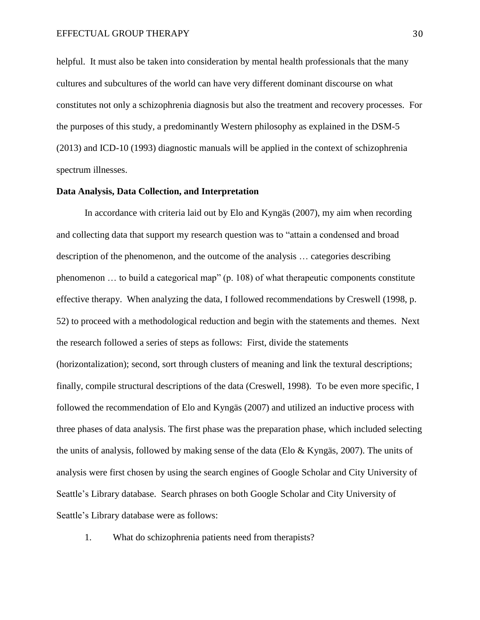#### EFFECTUAL GROUP THERAPY 30

helpful. It must also be taken into consideration by mental health professionals that the many cultures and subcultures of the world can have very different dominant discourse on what constitutes not only a schizophrenia diagnosis but also the treatment and recovery processes. For the purposes of this study, a predominantly Western philosophy as explained in the DSM-5 (2013) and ICD-10 (1993) diagnostic manuals will be applied in the context of schizophrenia spectrum illnesses.

# **Data Analysis, Data Collection, and Interpretation**

In accordance with criteria laid out by Elo and Kyngäs (2007), my aim when recording and collecting data that support my research question was to "attain a condensed and broad description of the phenomenon, and the outcome of the analysis … categories describing phenomenon … to build a categorical map" (p. 108) of what therapeutic components constitute effective therapy. When analyzing the data, I followed recommendations by Creswell (1998, p. 52) to proceed with a methodological reduction and begin with the statements and themes. Next the research followed a series of steps as follows: First, divide the statements (horizontalization); second, sort through clusters of meaning and link the textural descriptions; finally, compile structural descriptions of the data (Creswell, 1998). To be even more specific, I followed the recommendation of Elo and Kyngäs (2007) and utilized an inductive process with three phases of data analysis. The first phase was the preparation phase, which included selecting the units of analysis, followed by making sense of the data (Elo & Kyngäs, 2007). The units of analysis were first chosen by using the search engines of Google Scholar and City University of Seattle's Library database. Search phrases on both Google Scholar and City University of Seattle's Library database were as follows:

1. What do schizophrenia patients need from therapists?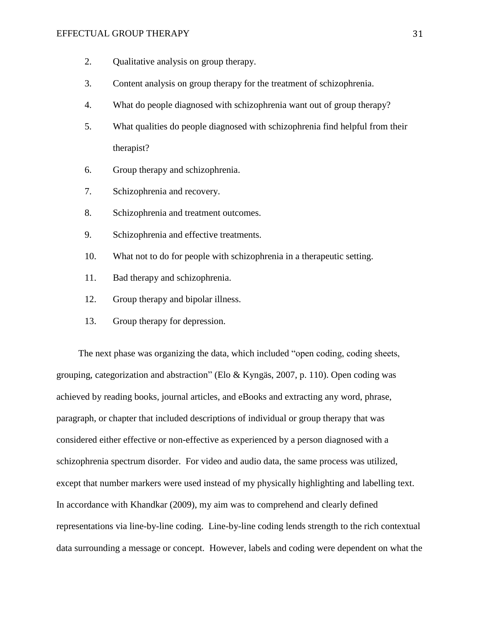### EFFECTUAL GROUP THERAPY 31

- 2. Qualitative analysis on group therapy.
- 3. Content analysis on group therapy for the treatment of schizophrenia.
- 4. What do people diagnosed with schizophrenia want out of group therapy?
- 5. What qualities do people diagnosed with schizophrenia find helpful from their therapist?
- 6. Group therapy and schizophrenia.
- 7. Schizophrenia and recovery.
- 8. Schizophrenia and treatment outcomes.
- 9. Schizophrenia and effective treatments.
- 10. What not to do for people with schizophrenia in a therapeutic setting.
- 11. Bad therapy and schizophrenia.
- 12. Group therapy and bipolar illness.
- 13. Group therapy for depression.

The next phase was organizing the data, which included "open coding, coding sheets, grouping, categorization and abstraction" (Elo & Kyngäs, 2007, p. 110). Open coding was achieved by reading books, journal articles, and eBooks and extracting any word, phrase, paragraph, or chapter that included descriptions of individual or group therapy that was considered either effective or non-effective as experienced by a person diagnosed with a schizophrenia spectrum disorder. For video and audio data, the same process was utilized, except that number markers were used instead of my physically highlighting and labelling text. In accordance with Khandkar (2009), my aim was to comprehend and clearly defined representations via line-by-line coding. Line-by-line coding lends strength to the rich contextual data surrounding a message or concept. However, labels and coding were dependent on what the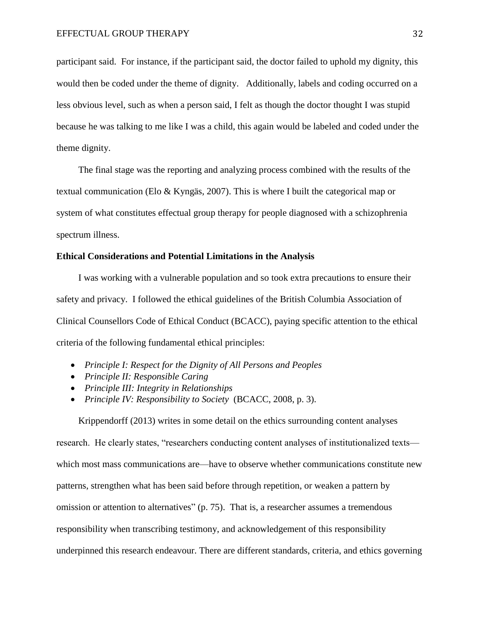participant said. For instance, if the participant said, the doctor failed to uphold my dignity, this would then be coded under the theme of dignity. Additionally, labels and coding occurred on a less obvious level, such as when a person said, I felt as though the doctor thought I was stupid because he was talking to me like I was a child, this again would be labeled and coded under the theme dignity.

The final stage was the reporting and analyzing process combined with the results of the textual communication (Elo & Kyngäs, 2007). This is where I built the categorical map or system of what constitutes effectual group therapy for people diagnosed with a schizophrenia spectrum illness.

# **Ethical Considerations and Potential Limitations in the Analysis**

I was working with a vulnerable population and so took extra precautions to ensure their safety and privacy. I followed the ethical guidelines of the British Columbia Association of Clinical Counsellors Code of Ethical Conduct (BCACC), paying specific attention to the ethical criteria of the following fundamental ethical principles:

- *Principle I: Respect for the Dignity of All Persons and Peoples*
- *Principle II: Responsible Caring*
- *Principle III: Integrity in Relationships*
- *Principle IV: Responsibility to Society* (BCACC, 2008, p. 3).

Krippendorff (2013) writes in some detail on the ethics surrounding content analyses

research. He clearly states, "researchers conducting content analyses of institutionalized texts which most mass communications are—have to observe whether communications constitute new patterns, strengthen what has been said before through repetition, or weaken a pattern by omission or attention to alternatives" (p. 75). That is, a researcher assumes a tremendous responsibility when transcribing testimony, and acknowledgement of this responsibility underpinned this research endeavour. There are different standards, criteria, and ethics governing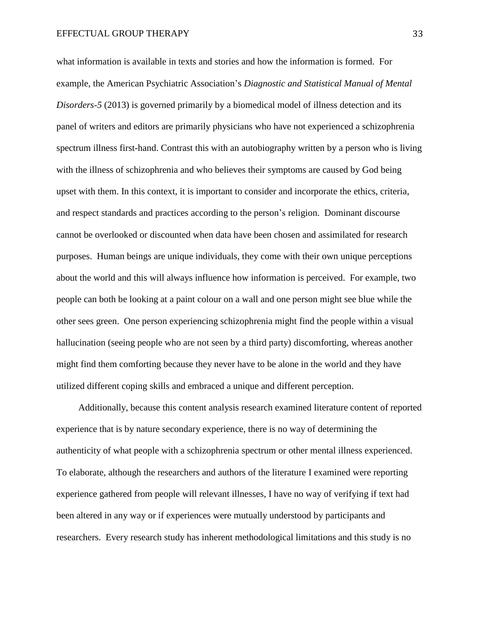what information is available in texts and stories and how the information is formed. For example, the American Psychiatric Association's *Diagnostic and Statistical Manual of Mental Disorders-5* (2013) is governed primarily by a biomedical model of illness detection and its panel of writers and editors are primarily physicians who have not experienced a schizophrenia spectrum illness first-hand. Contrast this with an autobiography written by a person who is living with the illness of schizophrenia and who believes their symptoms are caused by God being upset with them. In this context, it is important to consider and incorporate the ethics, criteria, and respect standards and practices according to the person's religion. Dominant discourse cannot be overlooked or discounted when data have been chosen and assimilated for research purposes. Human beings are unique individuals, they come with their own unique perceptions about the world and this will always influence how information is perceived. For example, two people can both be looking at a paint colour on a wall and one person might see blue while the other sees green. One person experiencing schizophrenia might find the people within a visual hallucination (seeing people who are not seen by a third party) discomforting, whereas another might find them comforting because they never have to be alone in the world and they have utilized different coping skills and embraced a unique and different perception.

Additionally, because this content analysis research examined literature content of reported experience that is by nature secondary experience, there is no way of determining the authenticity of what people with a schizophrenia spectrum or other mental illness experienced. To elaborate, although the researchers and authors of the literature I examined were reporting experience gathered from people will relevant illnesses, I have no way of verifying if text had been altered in any way or if experiences were mutually understood by participants and researchers. Every research study has inherent methodological limitations and this study is no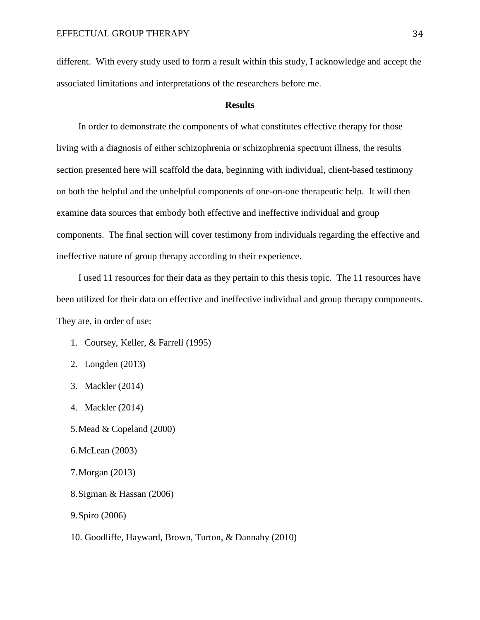different. With every study used to form a result within this study, I acknowledge and accept the associated limitations and interpretations of the researchers before me.

# **Results**

In order to demonstrate the components of what constitutes effective therapy for those living with a diagnosis of either schizophrenia or schizophrenia spectrum illness, the results section presented here will scaffold the data, beginning with individual, client-based testimony on both the helpful and the unhelpful components of one-on-one therapeutic help. It will then examine data sources that embody both effective and ineffective individual and group components. The final section will cover testimony from individuals regarding the effective and ineffective nature of group therapy according to their experience.

I used 11 resources for their data as they pertain to this thesis topic. The 11 resources have been utilized for their data on effective and ineffective individual and group therapy components. They are, in order of use:

- 1. Coursey, Keller, & Farrell (1995)
- 2. Longden (2013)
- 3. Mackler (2014)
- 4. Mackler (2014)
- 5.Mead & Copeland (2000)
- 6.McLean (2003)
- 7.Morgan (2013)
- 8.Sigman & Hassan (2006)
- 9.Spiro (2006)
- 10. Goodliffe, Hayward, Brown, Turton, & Dannahy (2010)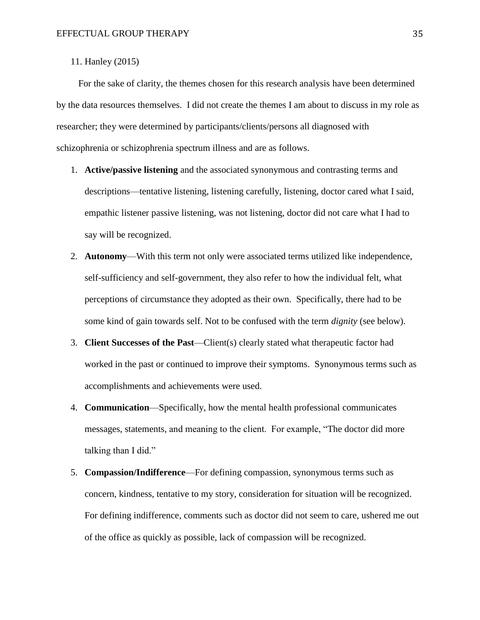11. Hanley (2015)

For the sake of clarity, the themes chosen for this research analysis have been determined by the data resources themselves. I did not create the themes I am about to discuss in my role as researcher; they were determined by participants/clients/persons all diagnosed with schizophrenia or schizophrenia spectrum illness and are as follows.

- 1. **Active/passive listening** and the associated synonymous and contrasting terms and descriptions—tentative listening, listening carefully, listening, doctor cared what I said, empathic listener passive listening, was not listening, doctor did not care what I had to say will be recognized.
- 2. **Autonomy**—With this term not only were associated terms utilized like independence, self-sufficiency and self-government, they also refer to how the individual felt, what perceptions of circumstance they adopted as their own. Specifically, there had to be some kind of gain towards self. Not to be confused with the term *dignity* (see below).
- 3. **Client Successes of the Past**—Client(s) clearly stated what therapeutic factor had worked in the past or continued to improve their symptoms. Synonymous terms such as accomplishments and achievements were used.
- 4. **Communication**—Specifically, how the mental health professional communicates messages, statements, and meaning to the client. For example, "The doctor did more talking than I did."
- 5. **Compassion/Indifference**—For defining compassion, synonymous terms such as concern, kindness, tentative to my story, consideration for situation will be recognized. For defining indifference, comments such as doctor did not seem to care, ushered me out of the office as quickly as possible, lack of compassion will be recognized.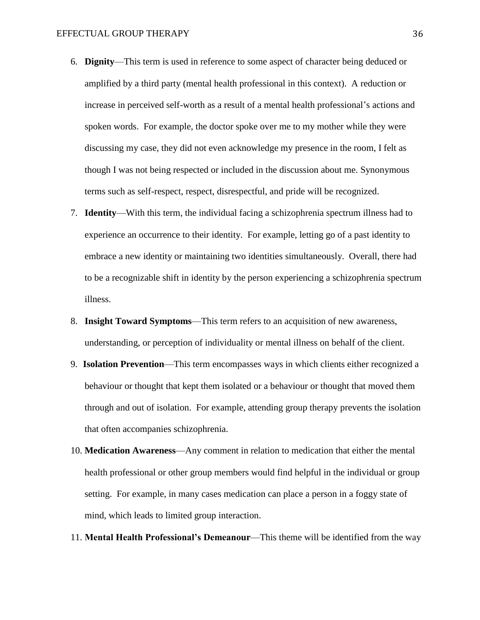- 6. **Dignity**—This term is used in reference to some aspect of character being deduced or amplified by a third party (mental health professional in this context). A reduction or increase in perceived self-worth as a result of a mental health professional's actions and spoken words. For example, the doctor spoke over me to my mother while they were discussing my case, they did not even acknowledge my presence in the room, I felt as though I was not being respected or included in the discussion about me. Synonymous terms such as self-respect, respect, disrespectful, and pride will be recognized.
- 7. **Identity**—With this term, the individual facing a schizophrenia spectrum illness had to experience an occurrence to their identity. For example, letting go of a past identity to embrace a new identity or maintaining two identities simultaneously. Overall, there had to be a recognizable shift in identity by the person experiencing a schizophrenia spectrum illness.
- 8. **Insight Toward Symptoms**—This term refers to an acquisition of new awareness, understanding, or perception of individuality or mental illness on behalf of the client.
- 9. **Isolation Prevention**—This term encompasses ways in which clients either recognized a behaviour or thought that kept them isolated or a behaviour or thought that moved them through and out of isolation. For example, attending group therapy prevents the isolation that often accompanies schizophrenia.
- 10. **Medication Awareness**—Any comment in relation to medication that either the mental health professional or other group members would find helpful in the individual or group setting. For example, in many cases medication can place a person in a foggy state of mind, which leads to limited group interaction.
- 11. **Mental Health Professional's Demeanour**—This theme will be identified from the way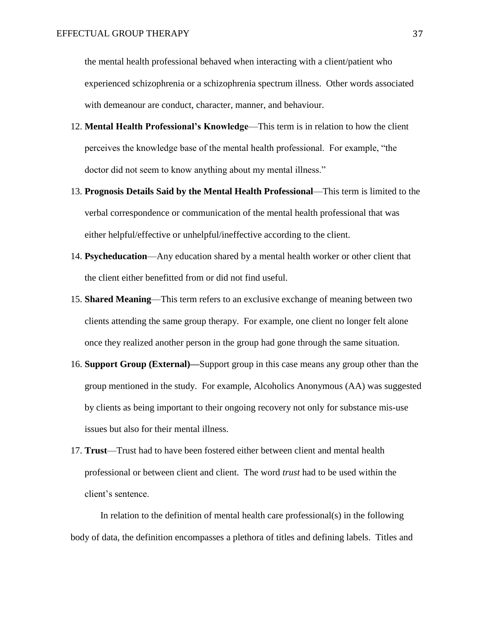the mental health professional behaved when interacting with a client/patient who experienced schizophrenia or a schizophrenia spectrum illness. Other words associated with demeanour are conduct, character, manner, and behaviour.

- 12. **Mental Health Professional's Knowledge**—This term is in relation to how the client perceives the knowledge base of the mental health professional. For example, "the doctor did not seem to know anything about my mental illness."
- 13. **Prognosis Details Said by the Mental Health Professional**—This term is limited to the verbal correspondence or communication of the mental health professional that was either helpful/effective or unhelpful/ineffective according to the client.
- 14. **Psycheducation**—Any education shared by a mental health worker or other client that the client either benefitted from or did not find useful.
- 15. **Shared Meaning**—This term refers to an exclusive exchange of meaning between two clients attending the same group therapy. For example, one client no longer felt alone once they realized another person in the group had gone through the same situation.
- 16. **Support Group (External)—**Support group in this case means any group other than the group mentioned in the study. For example, Alcoholics Anonymous (AA) was suggested by clients as being important to their ongoing recovery not only for substance mis-use issues but also for their mental illness.
- 17. **Trust**—Trust had to have been fostered either between client and mental health professional or between client and client. The word *trust* had to be used within the client's sentence.

In relation to the definition of mental health care professional(s) in the following body of data, the definition encompasses a plethora of titles and defining labels. Titles and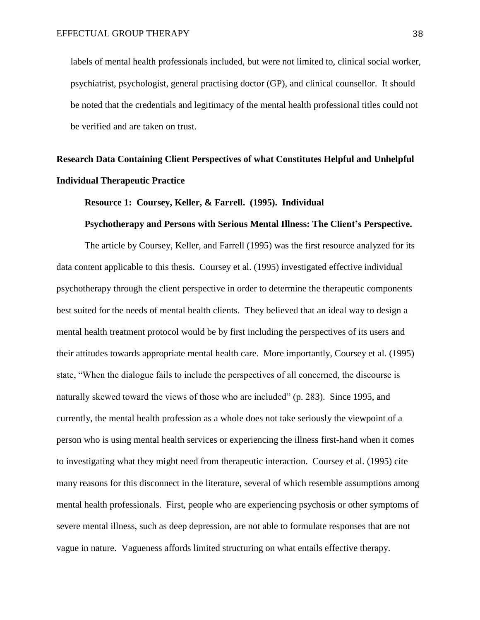labels of mental health professionals included, but were not limited to, clinical social worker, psychiatrist, psychologist, general practising doctor (GP), and clinical counsellor. It should be noted that the credentials and legitimacy of the mental health professional titles could not be verified and are taken on trust.

## **Research Data Containing Client Perspectives of what Constitutes Helpful and Unhelpful Individual Therapeutic Practice**

### **Resource 1: Coursey, Keller, & Farrell. (1995). Individual**

#### **Psychotherapy and Persons with Serious Mental Illness: The Client's Perspective.**

The article by Coursey, Keller, and Farrell (1995) was the first resource analyzed for its data content applicable to this thesis. Coursey et al. (1995) investigated effective individual psychotherapy through the client perspective in order to determine the therapeutic components best suited for the needs of mental health clients. They believed that an ideal way to design a mental health treatment protocol would be by first including the perspectives of its users and their attitudes towards appropriate mental health care. More importantly, Coursey et al. (1995) state, "When the dialogue fails to include the perspectives of all concerned, the discourse is naturally skewed toward the views of those who are included" (p. 283). Since 1995, and currently, the mental health profession as a whole does not take seriously the viewpoint of a person who is using mental health services or experiencing the illness first-hand when it comes to investigating what they might need from therapeutic interaction. Coursey et al. (1995) cite many reasons for this disconnect in the literature, several of which resemble assumptions among mental health professionals. First, people who are experiencing psychosis or other symptoms of severe mental illness, such as deep depression, are not able to formulate responses that are not vague in nature. Vagueness affords limited structuring on what entails effective therapy.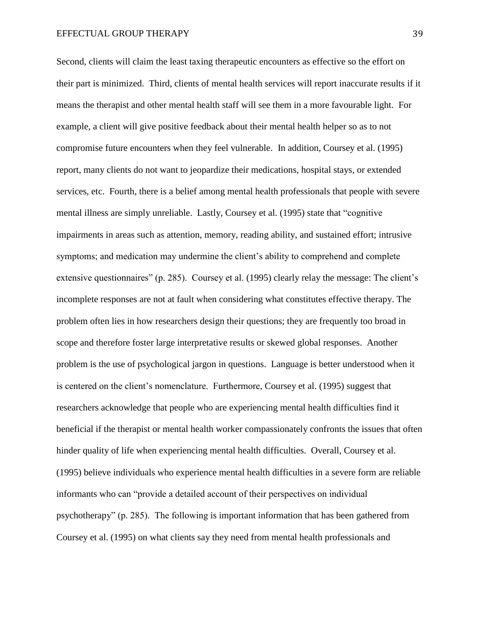Second, clients will claim the least taxing therapeutic encounters as effective so the effort on their part is minimized. Third, clients of mental health services will report inaccurate results if it means the therapist and other mental health staff will see them in a more favourable light. For example, a client will give positive feedback about their mental health helper so as to not compromise future encounters when they feel vulnerable. In addition, Coursey et al. (1995) report, many clients do not want to jeopardize their medications, hospital stays, or extended services, etc. Fourth, there is a belief among mental health professionals that people with severe mental illness are simply unreliable. Lastly, Coursey et al. (1995) state that "cognitive impairments in areas such as attention, memory, reading ability, and sustained effort; intrusive symptoms; and medication may undermine the client's ability to comprehend and complete extensive questionnaires" (p. 285). Coursey et al. (1995) clearly relay the message: The client's incomplete responses are not at fault when considering what constitutes effective therapy. The problem often lies in how researchers design their questions; they are frequently too broad in scope and therefore foster large interpretative results or skewed global responses. Another problem is the use of psychological jargon in questions. Language is better understood when it is centered on the client's nomenclature. Furthermore, Coursey et al. (1995) suggest that researchers acknowledge that people who are experiencing mental health difficulties find it beneficial if the therapist or mental health worker compassionately confronts the issues that often hinder quality of life when experiencing mental health difficulties. Overall, Coursey et al. (1995) believe individuals who experience mental health difficulties in a severe form are reliable informants who can "provide a detailed account of their perspectives on individual psychotherapy" (p. 285). The following is important information that has been gathered from Coursey et al. (1995) on what clients say they need from mental health professionals and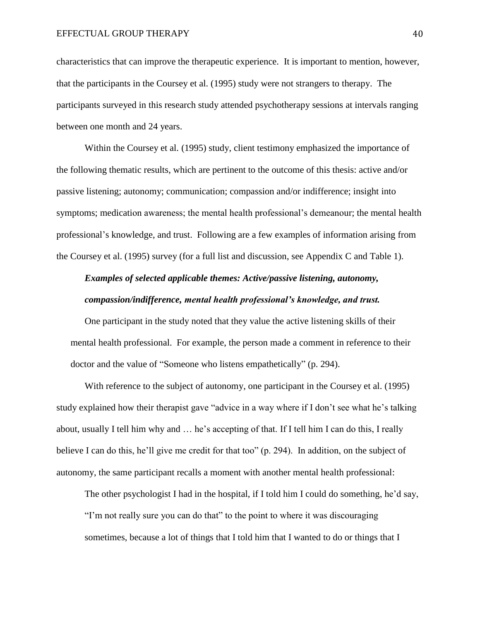characteristics that can improve the therapeutic experience. It is important to mention, however, that the participants in the Coursey et al. (1995) study were not strangers to therapy. The participants surveyed in this research study attended psychotherapy sessions at intervals ranging between one month and 24 years.

Within the Coursey et al. (1995) study, client testimony emphasized the importance of the following thematic results, which are pertinent to the outcome of this thesis: active and/or passive listening; autonomy; communication; compassion and/or indifference; insight into symptoms; medication awareness; the mental health professional's demeanour; the mental health professional's knowledge, and trust. Following are a few examples of information arising from the Coursey et al. (1995) survey (for a full list and discussion, see Appendix C and Table 1).

### *Examples of selected applicable themes: Active/passive listening, autonomy, compassion/indifference, mental health professional's knowledge, and trust.*

One participant in the study noted that they value the active listening skills of their mental health professional. For example, the person made a comment in reference to their doctor and the value of "Someone who listens empathetically" (p. 294).

With reference to the subject of autonomy, one participant in the Coursey et al. (1995) study explained how their therapist gave "advice in a way where if I don't see what he's talking about, usually I tell him why and … he's accepting of that. If I tell him I can do this, I really believe I can do this, he'll give me credit for that too" (p. 294). In addition, on the subject of autonomy, the same participant recalls a moment with another mental health professional:

The other psychologist I had in the hospital, if I told him I could do something, he'd say, "I'm not really sure you can do that" to the point to where it was discouraging sometimes, because a lot of things that I told him that I wanted to do or things that I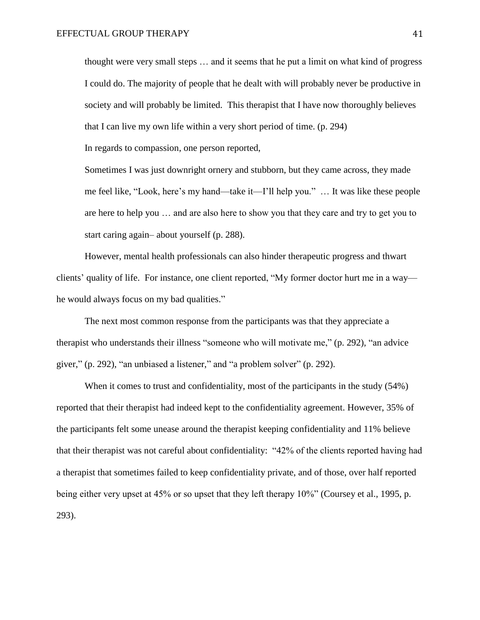thought were very small steps … and it seems that he put a limit on what kind of progress I could do. The majority of people that he dealt with will probably never be productive in society and will probably be limited. This therapist that I have now thoroughly believes that I can live my own life within a very short period of time. (p. 294)

In regards to compassion, one person reported,

Sometimes I was just downright ornery and stubborn, but they came across, they made me feel like, "Look, here's my hand—take it—I'll help you." … It was like these people are here to help you … and are also here to show you that they care and try to get you to start caring again– about yourself (p. 288).

However, mental health professionals can also hinder therapeutic progress and thwart clients' quality of life. For instance, one client reported, "My former doctor hurt me in a way he would always focus on my bad qualities."

The next most common response from the participants was that they appreciate a therapist who understands their illness "someone who will motivate me," (p. 292), "an advice giver," (p. 292), "an unbiased a listener," and "a problem solver" (p. 292).

When it comes to trust and confidentiality, most of the participants in the study (54%) reported that their therapist had indeed kept to the confidentiality agreement. However, 35% of the participants felt some unease around the therapist keeping confidentiality and 11% believe that their therapist was not careful about confidentiality: "42% of the clients reported having had a therapist that sometimes failed to keep confidentiality private, and of those, over half reported being either very upset at 45% or so upset that they left therapy 10%" (Coursey et al., 1995, p. 293).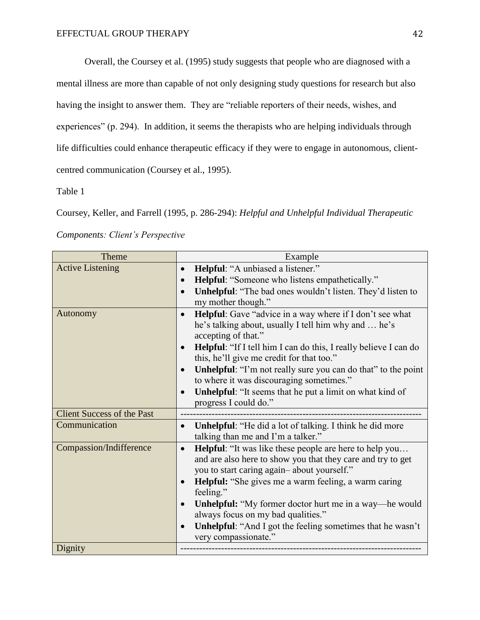Overall, the Coursey et al. (1995) study suggests that people who are diagnosed with a mental illness are more than capable of not only designing study questions for research but also having the insight to answer them. They are "reliable reporters of their needs, wishes, and experiences" (p. 294). In addition, it seems the therapists who are helping individuals through life difficulties could enhance therapeutic efficacy if they were to engage in autonomous, clientcentred communication (Coursey et al., 1995).

Table 1

Coursey, Keller, and Farrell (1995, p. 286-294): *Helpful and Unhelpful Individual Therapeutic* 

*Components: Client's Perspective*

| Theme                             | Example                                                                                                            |
|-----------------------------------|--------------------------------------------------------------------------------------------------------------------|
| <b>Active Listening</b>           | Helpful: "A unbiased a listener."<br>$\bullet$                                                                     |
|                                   | <b>Helpful:</b> "Someone who listens empathetically."                                                              |
|                                   | Unhelpful: "The bad ones wouldn't listen. They'd listen to<br>$\bullet$                                            |
|                                   | my mother though."                                                                                                 |
| Autonomy                          | <b>Helpful</b> : Gave "advice in a way where if I don't see what<br>$\bullet$                                      |
|                                   | he's talking about, usually I tell him why and  he's<br>accepting of that."                                        |
|                                   | <b>Helpful:</b> "If I tell him I can do this, I really believe I can do<br>$\bullet$                               |
|                                   | this, he'll give me credit for that too."                                                                          |
|                                   | <b>Unhelpful:</b> "I'm not really sure you can do that" to the point<br>$\bullet$                                  |
|                                   | to where it was discouraging sometimes."                                                                           |
|                                   | <b>Unhelpful:</b> "It seems that he put a limit on what kind of<br>$\bullet$                                       |
|                                   | progress I could do."                                                                                              |
| <b>Client Success of the Past</b> |                                                                                                                    |
| Communication                     | <b>Unhelpful:</b> "He did a lot of talking. I think he did more<br>$\bullet$<br>talking than me and I'm a talker." |
| Compassion/Indifference           | <b>Helpful:</b> "It was like these people are here to help you<br>$\bullet$                                        |
|                                   | and are also here to show you that they care and try to get                                                        |
|                                   | you to start caring again-about yourself."                                                                         |
|                                   | Helpful: "She gives me a warm feeling, a warm caring<br>feeling."                                                  |
|                                   | Unhelpful: "My former doctor hurt me in a way—he would                                                             |
|                                   | always focus on my bad qualities."                                                                                 |
|                                   | Unhelpful: "And I got the feeling sometimes that he wasn't                                                         |
|                                   | very compassionate."                                                                                               |
| Dignity                           |                                                                                                                    |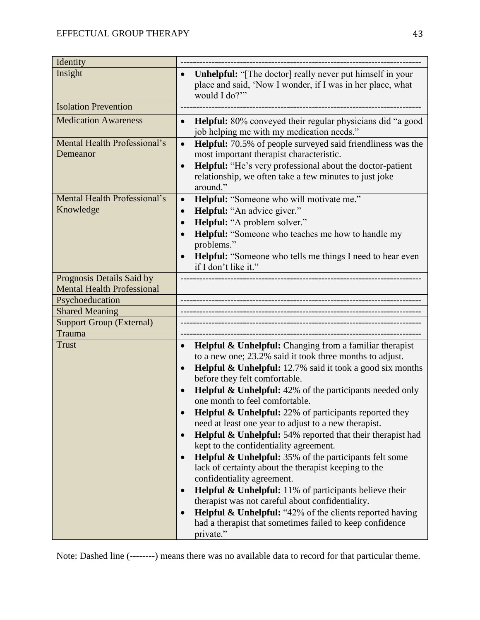| Identity                                  |                                                                                                                                                                                                                                                                                                               |
|-------------------------------------------|---------------------------------------------------------------------------------------------------------------------------------------------------------------------------------------------------------------------------------------------------------------------------------------------------------------|
| Insight                                   | Unhelpful: "[The doctor] really never put himself in your<br>place and said, 'Now I wonder, if I was in her place, what<br>would I do?"                                                                                                                                                                       |
| <b>Isolation Prevention</b>               |                                                                                                                                                                                                                                                                                                               |
| <b>Medication Awareness</b>               | Helpful: 80% conveyed their regular physicians did "a good<br>$\bullet$<br>job helping me with my medication needs."                                                                                                                                                                                          |
| Mental Health Professional's<br>Demeanor  | Helpful: 70.5% of people surveyed said friendliness was the<br>$\bullet$<br>most important therapist characteristic.<br><b>Helpful:</b> "He's very professional about the doctor-patient<br>$\bullet$<br>relationship, we often take a few minutes to just joke<br>around."                                   |
| Mental Health Professional's<br>Knowledge | Helpful: "Someone who will motivate me."<br>$\bullet$<br>Helpful: "An advice giver."<br>$\bullet$<br>Helpful: "A problem solver."<br><b>Helpful:</b> "Someone who teaches me how to handle my<br>problems."<br>Helpful: "Someone who tells me things I need to hear even<br>$\bullet$<br>if I don't like it." |
| Prognosis Details Said by                 |                                                                                                                                                                                                                                                                                                               |
| <b>Mental Health Professional</b>         |                                                                                                                                                                                                                                                                                                               |
| Psychoeducation                           |                                                                                                                                                                                                                                                                                                               |
| <b>Shared Meaning</b>                     |                                                                                                                                                                                                                                                                                                               |
| <b>Support Group (External)</b>           |                                                                                                                                                                                                                                                                                                               |
| Trauma<br><b>Trust</b>                    | <b>Helpful &amp; Unhelpful:</b> Changing from a familiar therapist<br>$\bullet$                                                                                                                                                                                                                               |
|                                           | to a new one; 23.2% said it took three months to adjust.<br><b>Helpful &amp; Unhelpful:</b> 12.7% said it took a good six months<br>$\bullet$<br>before they felt comfortable.                                                                                                                                |
|                                           | <b>Helpful &amp; Unhelpful:</b> 42% of the participants needed only<br>one month to feel comfortable.                                                                                                                                                                                                         |
|                                           | <b>Helpful &amp; Unhelpful:</b> 22% of participants reported they<br>need at least one year to adjust to a new therapist.                                                                                                                                                                                     |
|                                           | Helpful & Unhelpful: 54% reported that their therapist had<br>$\bullet$<br>kept to the confidentiality agreement.                                                                                                                                                                                             |
|                                           | <b>Helpful &amp; Unhelpful:</b> 35% of the participants felt some<br>$\bullet$<br>lack of certainty about the therapist keeping to the<br>confidentiality agreement.                                                                                                                                          |
|                                           | <b>Helpful &amp; Unhelpful:</b> 11% of participants believe their<br>therapist was not careful about confidentiality.                                                                                                                                                                                         |
|                                           | <b>Helpful &amp; Unhelpful:</b> "42% of the clients reported having<br>had a therapist that sometimes failed to keep confidence<br>private."                                                                                                                                                                  |

Note: Dashed line (--------) means there was no available data to record for that particular theme.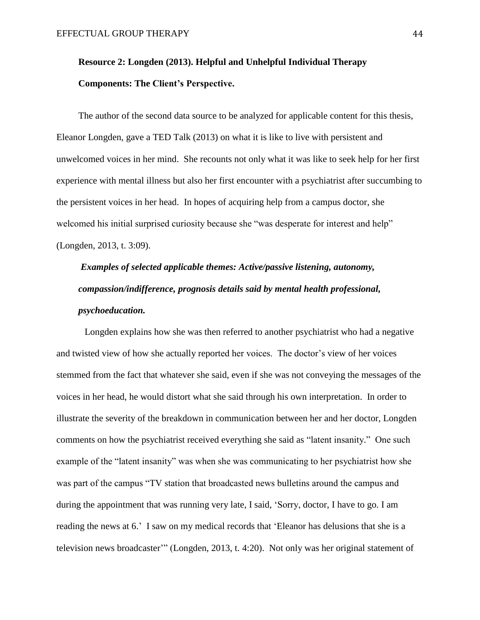### **Resource 2: Longden (2013). Helpful and Unhelpful Individual Therapy Components: The Client's Perspective.**

The author of the second data source to be analyzed for applicable content for this thesis, Eleanor Longden, gave a TED Talk (2013) on what it is like to live with persistent and unwelcomed voices in her mind. She recounts not only what it was like to seek help for her first experience with mental illness but also her first encounter with a psychiatrist after succumbing to the persistent voices in her head. In hopes of acquiring help from a campus doctor, she welcomed his initial surprised curiosity because she "was desperate for interest and help" (Longden, 2013, t. 3:09).

# *Examples of selected applicable themes: Active/passive listening, autonomy, compassion/indifference, prognosis details said by mental health professional, psychoeducation.*

Longden explains how she was then referred to another psychiatrist who had a negative and twisted view of how she actually reported her voices. The doctor's view of her voices stemmed from the fact that whatever she said, even if she was not conveying the messages of the voices in her head, he would distort what she said through his own interpretation. In order to illustrate the severity of the breakdown in communication between her and her doctor, Longden comments on how the psychiatrist received everything she said as "latent insanity." One such example of the "latent insanity" was when she was communicating to her psychiatrist how she was part of the campus "TV station that broadcasted news bulletins around the campus and during the appointment that was running very late, I said, 'Sorry, doctor, I have to go. I am reading the news at 6.' I saw on my medical records that 'Eleanor has delusions that she is a television news broadcaster'" (Longden, 2013, t. 4:20). Not only was her original statement of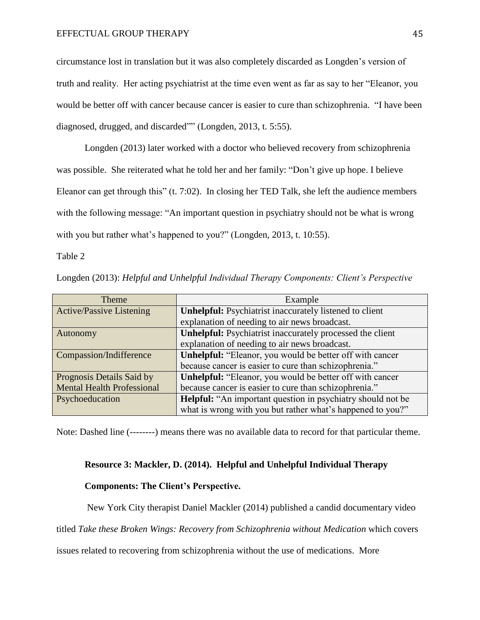circumstance lost in translation but it was also completely discarded as Longden's version of truth and reality. Her acting psychiatrist at the time even went as far as say to her "Eleanor, you would be better off with cancer because cancer is easier to cure than schizophrenia. "I have been diagnosed, drugged, and discarded"" (Longden, 2013, t. 5:55).

Longden (2013) later worked with a doctor who believed recovery from schizophrenia was possible. She reiterated what he told her and her family: "Don't give up hope. I believe Eleanor can get through this" (t. 7:02). In closing her TED Talk, she left the audience members with the following message: "An important question in psychiatry should not be what is wrong with you but rather what's happened to you?" (Longden, 2013, t. 10:55).

Table 2

Longden (2013): *Helpful and Unhelpful Individual Therapy Components: Client's Perspective*

| <b>Theme</b>                      | Example                                                        |
|-----------------------------------|----------------------------------------------------------------|
| <b>Active/Passive Listening</b>   | <b>Unhelpful:</b> Psychiatrist inaccurately listened to client |
|                                   | explanation of needing to air news broadcast.                  |
| Autonomy                          | Unhelpful: Psychiatrist inaccurately processed the client      |
|                                   | explanation of needing to air news broadcast.                  |
| Compassion/Indifference           | Unhelpful: "Eleanor, you would be better off with cancer       |
|                                   | because cancer is easier to cure than schizophrenia."          |
| Prognosis Details Said by         | Unhelpful: "Eleanor, you would be better off with cancer       |
| <b>Mental Health Professional</b> | because cancer is easier to cure than schizophrenia."          |
| Psychoeducation                   | Helpful: "An important question in psychiatry should not be    |
|                                   | what is wrong with you but rather what's happened to you?"     |

Note: Dashed line (--------) means there was no available data to record for that particular theme.

### **Resource 3: Mackler, D. (2014). Helpful and Unhelpful Individual Therapy**

### **Components: The Client's Perspective.**

New York City therapist Daniel Mackler (2014) published a candid documentary video

titled *Take these Broken Wings: Recovery from Schizophrenia without Medication* which covers

issues related to recovering from schizophrenia without the use of medications. More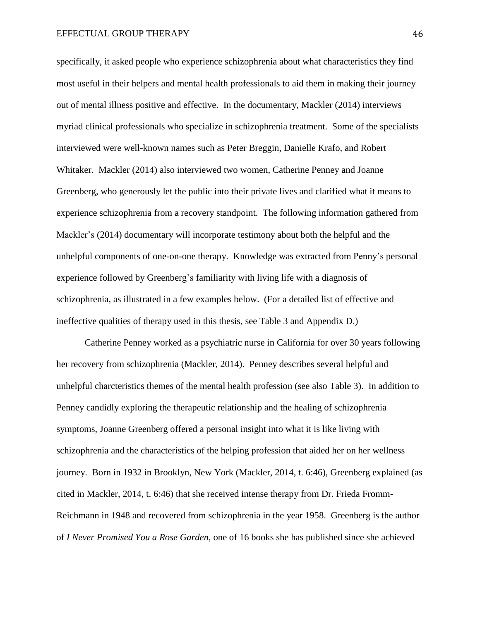#### EFFECTUAL GROUP THERAPY 46

specifically, it asked people who experience schizophrenia about what characteristics they find most useful in their helpers and mental health professionals to aid them in making their journey out of mental illness positive and effective. In the documentary, Mackler (2014) interviews myriad clinical professionals who specialize in schizophrenia treatment. Some of the specialists interviewed were well-known names such as Peter Breggin, Danielle Krafo, and Robert Whitaker. Mackler (2014) also interviewed two women, Catherine Penney and Joanne Greenberg, who generously let the public into their private lives and clarified what it means to experience schizophrenia from a recovery standpoint. The following information gathered from Mackler's (2014) documentary will incorporate testimony about both the helpful and the unhelpful components of one-on-one therapy. Knowledge was extracted from Penny's personal experience followed by Greenberg's familiarity with living life with a diagnosis of schizophrenia, as illustrated in a few examples below. (For a detailed list of effective and ineffective qualities of therapy used in this thesis, see Table 3 and Appendix D.)

Catherine Penney worked as a psychiatric nurse in California for over 30 years following her recovery from schizophrenia (Mackler, 2014). Penney describes several helpful and unhelpful charcteristics themes of the mental health profession (see also Table 3). In addition to Penney candidly exploring the therapeutic relationship and the healing of schizophrenia symptoms, Joanne Greenberg offered a personal insight into what it is like living with schizophrenia and the characteristics of the helping profession that aided her on her wellness journey. Born in 1932 in Brooklyn, New York (Mackler, 2014, t. 6:46), Greenberg explained (as cited in Mackler, 2014, t. 6:46) that she received intense therapy from Dr. Frieda Fromm-Reichmann in 1948 and recovered from schizophrenia in the year 1958. Greenberg is the author of *I Never Promised You a Rose Garden*, one of 16 books she has published since she achieved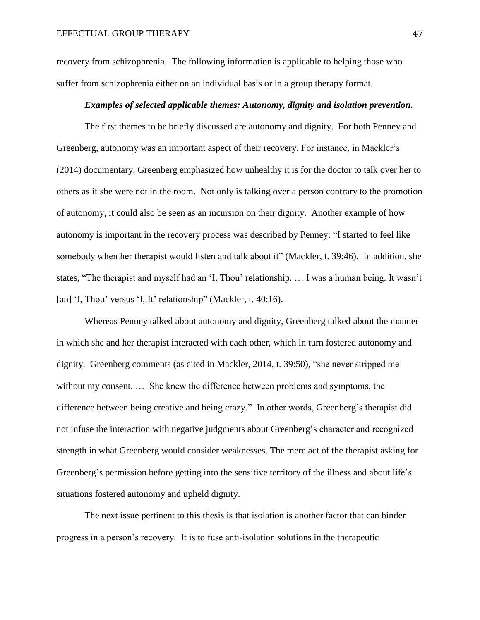recovery from schizophrenia. The following information is applicable to helping those who suffer from schizophrenia either on an individual basis or in a group therapy format.

#### *Examples of selected applicable themes: Autonomy, dignity and isolation prevention.*

The first themes to be briefly discussed are autonomy and dignity. For both Penney and Greenberg, autonomy was an important aspect of their recovery. For instance, in Mackler's (2014) documentary, Greenberg emphasized how unhealthy it is for the doctor to talk over her to others as if she were not in the room. Not only is talking over a person contrary to the promotion of autonomy, it could also be seen as an incursion on their dignity. Another example of how autonomy is important in the recovery process was described by Penney: "I started to feel like somebody when her therapist would listen and talk about it" (Mackler, t. 39:46). In addition, she states, "The therapist and myself had an 'I, Thou' relationship. … I was a human being. It wasn't [an] 'I, Thou' versus 'I, It' relationship'' (Mackler, t. 40:16).

Whereas Penney talked about autonomy and dignity, Greenberg talked about the manner in which she and her therapist interacted with each other, which in turn fostered autonomy and dignity. Greenberg comments (as cited in Mackler, 2014, t. 39:50), "she never stripped me without my consent. … She knew the difference between problems and symptoms, the difference between being creative and being crazy." In other words, Greenberg's therapist did not infuse the interaction with negative judgments about Greenberg's character and recognized strength in what Greenberg would consider weaknesses. The mere act of the therapist asking for Greenberg's permission before getting into the sensitive territory of the illness and about life's situations fostered autonomy and upheld dignity.

The next issue pertinent to this thesis is that isolation is another factor that can hinder progress in a person's recovery. It is to fuse anti-isolation solutions in the therapeutic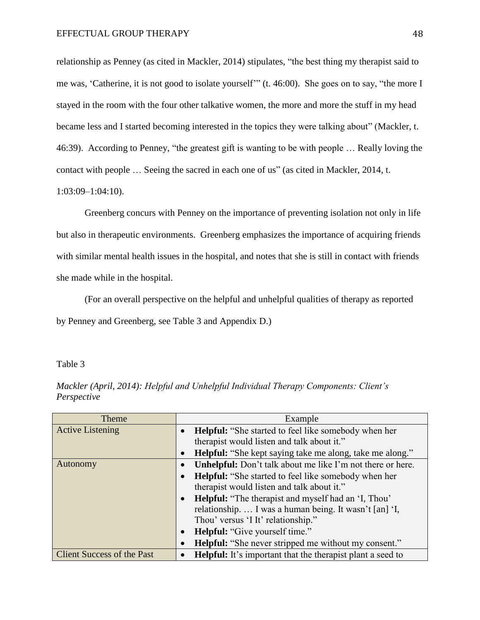relationship as Penney (as cited in Mackler, 2014) stipulates, "the best thing my therapist said to me was, 'Catherine, it is not good to isolate yourself'" (t. 46:00). She goes on to say, "the more I stayed in the room with the four other talkative women, the more and more the stuff in my head became less and I started becoming interested in the topics they were talking about" (Mackler, t. 46:39). According to Penney, "the greatest gift is wanting to be with people … Really loving the contact with people … Seeing the sacred in each one of us" (as cited in Mackler, 2014, t. 1:03:09–1:04:10).

Greenberg concurs with Penney on the importance of preventing isolation not only in life but also in therapeutic environments. Greenberg emphasizes the importance of acquiring friends with similar mental health issues in the hospital, and notes that she is still in contact with friends she made while in the hospital.

(For an overall perspective on the helpful and unhelpful qualities of therapy as reported by Penney and Greenberg, see Table 3 and Appendix D.)

Table 3

| Theme                             | Example                                                                  |
|-----------------------------------|--------------------------------------------------------------------------|
| <b>Active Listening</b>           | <b>Helpful:</b> "She started to feel like somebody when her              |
|                                   | therapist would listen and talk about it."                               |
|                                   | <b>Helpful:</b> "She kept saying take me along, take me along."          |
| Autonomy                          | <b>Unhelpful:</b> Don't talk about me like I'm not there or here.        |
|                                   | <b>Helpful:</b> "She started to feel like somebody when her<br>$\bullet$ |
|                                   | therapist would listen and talk about it."                               |
|                                   | <b>Helpful:</b> "The therapist and myself had an 'I, Thou'<br>$\bullet$  |
|                                   | relationship.  I was a human being. It wasn't [an] 'I,                   |
|                                   | Thou' versus 'I It' relationship."                                       |
|                                   | <b>Helpful:</b> "Give yourself time."                                    |
|                                   | <b>Helpful:</b> "She never stripped me without my consent."              |
| <b>Client Success of the Past</b> | <b>Helpful:</b> It's important that the therapist plant a seed to        |

*Mackler (April, 2014): Helpful and Unhelpful Individual Therapy Components: Client's Perspective*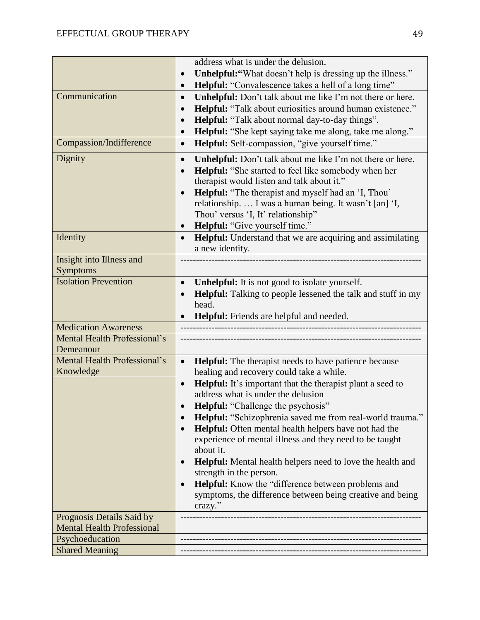|                                                  | address what is under the delusion.                                                                                                                                                                                                                                                                                                                                                                                                                                                                                                                                                                                                                                                                                                       |
|--------------------------------------------------|-------------------------------------------------------------------------------------------------------------------------------------------------------------------------------------------------------------------------------------------------------------------------------------------------------------------------------------------------------------------------------------------------------------------------------------------------------------------------------------------------------------------------------------------------------------------------------------------------------------------------------------------------------------------------------------------------------------------------------------------|
|                                                  | <b>Unhelpful:</b> "What doesn't help is dressing up the illness."<br>$\bullet$                                                                                                                                                                                                                                                                                                                                                                                                                                                                                                                                                                                                                                                            |
|                                                  | <b>Helpful:</b> "Convalescence takes a hell of a long time"<br>$\bullet$                                                                                                                                                                                                                                                                                                                                                                                                                                                                                                                                                                                                                                                                  |
| Communication                                    | <b>Unhelpful:</b> Don't talk about me like I'm not there or here.<br>$\bullet$<br><b>Helpful:</b> "Talk about curiosities around human existence."<br>$\bullet$<br>Helpful: "Talk about normal day-to-day things".<br>$\bullet$<br>Helpful: "She kept saying take me along, take me along."                                                                                                                                                                                                                                                                                                                                                                                                                                               |
| Compassion/Indifference                          | Helpful: Self-compassion, "give yourself time."<br>$\bullet$                                                                                                                                                                                                                                                                                                                                                                                                                                                                                                                                                                                                                                                                              |
| Dignity                                          | <b>Unhelpful:</b> Don't talk about me like I'm not there or here.<br>$\bullet$<br><b>Helpful:</b> "She started to feel like somebody when her<br>$\bullet$<br>therapist would listen and talk about it."<br><b>Helpful:</b> "The therapist and myself had an 'I, Thou'<br>$\bullet$<br>relationship.  I was a human being. It wasn't [an] 'I,<br>Thou' versus 'I, It' relationship"<br>Helpful: "Give yourself time."<br>$\bullet$                                                                                                                                                                                                                                                                                                        |
| Identity                                         | <b>Helpful:</b> Understand that we are acquiring and assimilating<br>$\bullet$<br>a new identity.                                                                                                                                                                                                                                                                                                                                                                                                                                                                                                                                                                                                                                         |
| Insight into Illness and<br>Symptoms             |                                                                                                                                                                                                                                                                                                                                                                                                                                                                                                                                                                                                                                                                                                                                           |
| <b>Isolation Prevention</b>                      | <b>Unhelpful:</b> It is not good to isolate yourself.<br>$\bullet$<br>Helpful: Talking to people lessened the talk and stuff in my<br>head.<br>Helpful: Friends are helpful and needed.                                                                                                                                                                                                                                                                                                                                                                                                                                                                                                                                                   |
| <b>Medication Awareness</b>                      |                                                                                                                                                                                                                                                                                                                                                                                                                                                                                                                                                                                                                                                                                                                                           |
| <b>Mental Health Professional's</b><br>Demeanour |                                                                                                                                                                                                                                                                                                                                                                                                                                                                                                                                                                                                                                                                                                                                           |
| Mental Health Professional's<br>Knowledge        | <b>Helpful:</b> The therapist needs to have patience because<br>$\bullet$<br>healing and recovery could take a while.<br><b>Helpful:</b> It's important that the therapist plant a seed to<br>$\bullet$<br>address what is under the delusion<br><b>Helpful:</b> "Challenge the psychosis"<br>Helpful: "Schizophrenia saved me from real-world trauma."<br>Helpful: Often mental health helpers have not had the<br>experience of mental illness and they need to be taught<br>about it.<br>Helpful: Mental health helpers need to love the health and<br>$\bullet$<br>strength in the person.<br>Helpful: Know the "difference between problems and<br>$\bullet$<br>symptoms, the difference between being creative and being<br>crazy." |
| Prognosis Details Said by                        |                                                                                                                                                                                                                                                                                                                                                                                                                                                                                                                                                                                                                                                                                                                                           |
| <b>Mental Health Professional</b>                |                                                                                                                                                                                                                                                                                                                                                                                                                                                                                                                                                                                                                                                                                                                                           |
| Psychoeducation<br><b>Shared Meaning</b>         |                                                                                                                                                                                                                                                                                                                                                                                                                                                                                                                                                                                                                                                                                                                                           |
|                                                  |                                                                                                                                                                                                                                                                                                                                                                                                                                                                                                                                                                                                                                                                                                                                           |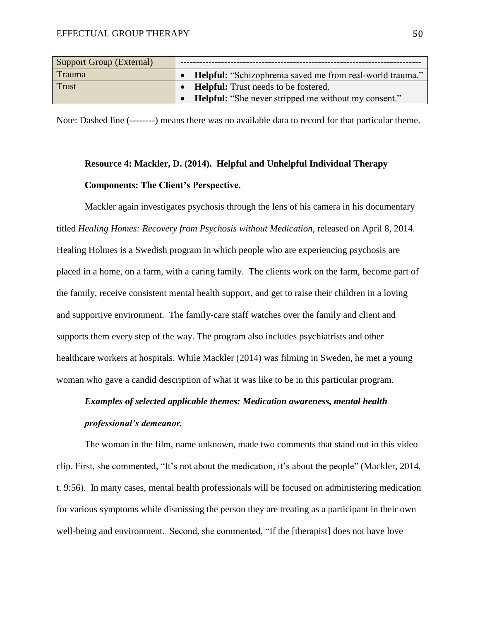| Support Group (External) |                                                                  |
|--------------------------|------------------------------------------------------------------|
| <b>Trauma</b>            | <b>Helpful:</b> "Schizophrenia saved me from real-world trauma." |
| <b>Trust</b>             | <b>Helpful:</b> Trust needs to be fostered.                      |
|                          | <b>Helpful:</b> "She never stripped me without my consent."      |

Note: Dashed line (--------) means there was no available data to record for that particular theme.

# **Resource 4: Mackler, D. (2014). Helpful and Unhelpful Individual Therapy Components: The Client's Perspective.**

Mackler again investigates psychosis through the lens of his camera in his documentary titled *Healing Homes: Recovery from Psychosis without Medication*, released on April 8, 2014. Healing Holmes is a Swedish program in which people who are experiencing psychosis are placed in a home, on a farm, with a caring family. The clients work on the farm, become part of the family, receive consistent mental health support, and get to raise their children in a loving and supportive environment. The family-care staff watches over the family and client and supports them every step of the way. The program also includes psychiatrists and other healthcare workers at hospitals. While Mackler (2014) was filming in Sweden, he met a young woman who gave a candid description of what it was like to be in this particular program.

# *Examples of selected applicable themes: Medication awareness, mental health professional's demeanor.*

The woman in the film, name unknown, made two comments that stand out in this video clip. First, she commented, "It's not about the medication, it's about the people" (Mackler, 2014, t. 9:56). In many cases, mental health professionals will be focused on administering medication for various symptoms while dismissing the person they are treating as a participant in their own well-being and environment. Second, she commented, "If the [therapist] does not have love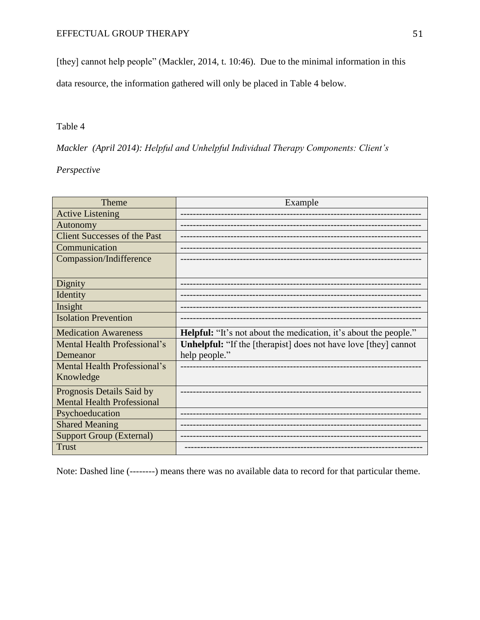[they] cannot help people" (Mackler, 2014, t. 10:46). Due to the minimal information in this

data resource, the information gathered will only be placed in Table 4 below.

### Table 4

*Mackler (April 2014): Helpful and Unhelpful Individual Therapy Components: Client's* 

### *Perspective*

| Theme                               | Example                                                                 |
|-------------------------------------|-------------------------------------------------------------------------|
| <b>Active Listening</b>             |                                                                         |
| Autonomy                            |                                                                         |
| <b>Client Successes of the Past</b> |                                                                         |
| Communication                       |                                                                         |
| Compassion/Indifference             |                                                                         |
|                                     |                                                                         |
| Dignity                             |                                                                         |
| Identity                            |                                                                         |
| Insight                             |                                                                         |
| <b>Isolation Prevention</b>         |                                                                         |
| <b>Medication Awareness</b>         | <b>Helpful:</b> "It's not about the medication, it's about the people." |
| Mental Health Professional's        | <b>Unhelpful:</b> "If the [therapist] does not have love [they] cannot  |
| Demeanor                            | help people."                                                           |
| Mental Health Professional's        |                                                                         |
| Knowledge                           |                                                                         |
| Prognosis Details Said by           |                                                                         |
| <b>Mental Health Professional</b>   |                                                                         |
| Psychoeducation                     |                                                                         |
| <b>Shared Meaning</b>               |                                                                         |
| <b>Support Group (External)</b>     |                                                                         |
| <b>Trust</b>                        |                                                                         |

Note: Dashed line (--------) means there was no available data to record for that particular theme.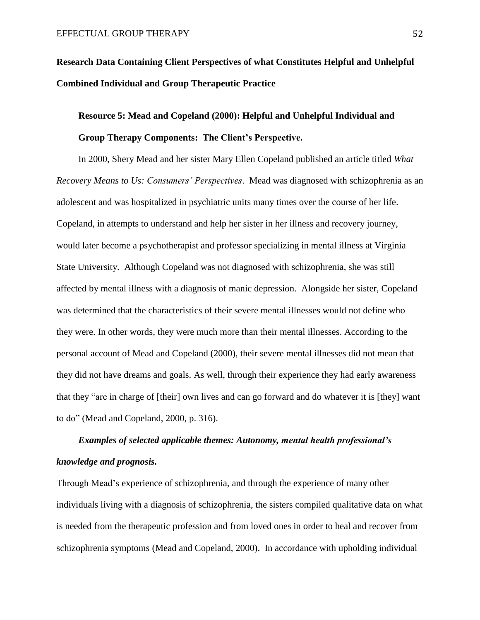**Research Data Containing Client Perspectives of what Constitutes Helpful and Unhelpful Combined Individual and Group Therapeutic Practice**

# **Resource 5: Mead and Copeland (2000): Helpful and Unhelpful Individual and Group Therapy Components: The Client's Perspective.**

 In 2000, Shery Mead and her sister Mary Ellen Copeland published an article titled *What Recovery Means to Us: Consumers' Perspectives*. Mead was diagnosed with schizophrenia as an adolescent and was hospitalized in psychiatric units many times over the course of her life. Copeland, in attempts to understand and help her sister in her illness and recovery journey, would later become a psychotherapist and professor specializing in mental illness at Virginia State University. Although Copeland was not diagnosed with schizophrenia, she was still affected by mental illness with a diagnosis of manic depression. Alongside her sister, Copeland was determined that the characteristics of their severe mental illnesses would not define who they were. In other words, they were much more than their mental illnesses. According to the personal account of Mead and Copeland (2000), their severe mental illnesses did not mean that they did not have dreams and goals. As well, through their experience they had early awareness that they "are in charge of [their] own lives and can go forward and do whatever it is [they] want to do" (Mead and Copeland, 2000, p. 316).

# *Examples of selected applicable themes: Autonomy, mental health professional's knowledge and prognosis.*

Through Mead's experience of schizophrenia, and through the experience of many other individuals living with a diagnosis of schizophrenia, the sisters compiled qualitative data on what is needed from the therapeutic profession and from loved ones in order to heal and recover from schizophrenia symptoms (Mead and Copeland, 2000). In accordance with upholding individual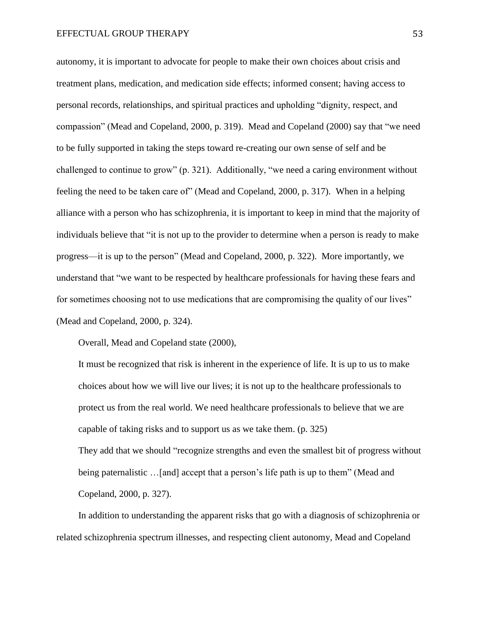autonomy, it is important to advocate for people to make their own choices about crisis and treatment plans, medication, and medication side effects; informed consent; having access to personal records, relationships, and spiritual practices and upholding "dignity, respect, and compassion" (Mead and Copeland, 2000, p. 319). Mead and Copeland (2000) say that "we need to be fully supported in taking the steps toward re-creating our own sense of self and be challenged to continue to grow" (p. 321). Additionally, "we need a caring environment without feeling the need to be taken care of" (Mead and Copeland, 2000, p. 317). When in a helping alliance with a person who has schizophrenia, it is important to keep in mind that the majority of individuals believe that "it is not up to the provider to determine when a person is ready to make progress—it is up to the person" (Mead and Copeland, 2000, p. 322). More importantly, we understand that "we want to be respected by healthcare professionals for having these fears and for sometimes choosing not to use medications that are compromising the quality of our lives" (Mead and Copeland, 2000, p. 324).

Overall, Mead and Copeland state (2000),

It must be recognized that risk is inherent in the experience of life. It is up to us to make choices about how we will live our lives; it is not up to the healthcare professionals to protect us from the real world. We need healthcare professionals to believe that we are capable of taking risks and to support us as we take them. (p. 325)

They add that we should "recognize strengths and even the smallest bit of progress without being paternalistic …[and] accept that a person's life path is up to them" (Mead and Copeland, 2000, p. 327).

In addition to understanding the apparent risks that go with a diagnosis of schizophrenia or related schizophrenia spectrum illnesses, and respecting client autonomy, Mead and Copeland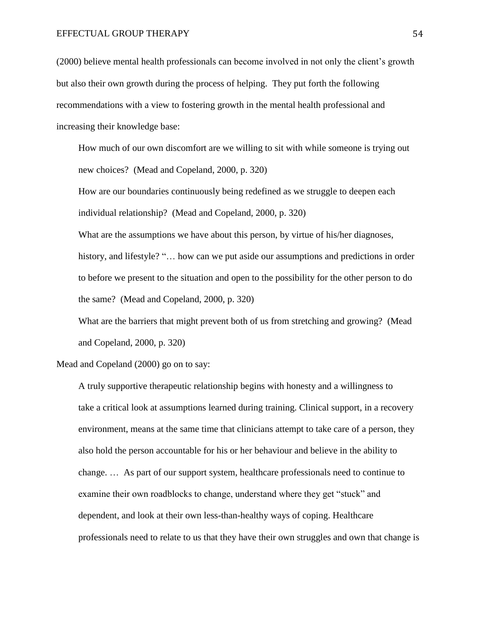(2000) believe mental health professionals can become involved in not only the client's growth but also their own growth during the process of helping. They put forth the following recommendations with a view to fostering growth in the mental health professional and increasing their knowledge base:

How much of our own discomfort are we willing to sit with while someone is trying out new choices? (Mead and Copeland, 2000, p. 320)

How are our boundaries continuously being redefined as we struggle to deepen each individual relationship? (Mead and Copeland, 2000, p. 320)

What are the assumptions we have about this person, by virtue of his/her diagnoses, history, and lifestyle? "... how can we put aside our assumptions and predictions in order to before we present to the situation and open to the possibility for the other person to do the same? (Mead and Copeland, 2000, p. 320)

What are the barriers that might prevent both of us from stretching and growing? (Mead and Copeland, 2000, p. 320)

Mead and Copeland (2000) go on to say:

A truly supportive therapeutic relationship begins with honesty and a willingness to take a critical look at assumptions learned during training. Clinical support, in a recovery environment, means at the same time that clinicians attempt to take care of a person, they also hold the person accountable for his or her behaviour and believe in the ability to change. … As part of our support system, healthcare professionals need to continue to examine their own roadblocks to change, understand where they get "stuck" and dependent, and look at their own less-than-healthy ways of coping. Healthcare professionals need to relate to us that they have their own struggles and own that change is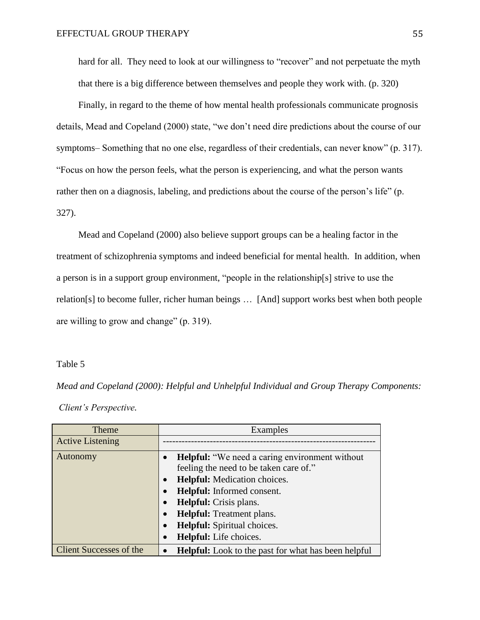hard for all. They need to look at our willingness to "recover" and not perpetuate the myth that there is a big difference between themselves and people they work with. (p. 320)

Finally, in regard to the theme of how mental health professionals communicate prognosis details, Mead and Copeland (2000) state, "we don't need dire predictions about the course of our symptoms– Something that no one else, regardless of their credentials, can never know" (p. 317). "Focus on how the person feels, what the person is experiencing, and what the person wants rather then on a diagnosis, labeling, and predictions about the course of the person's life" (p. 327).

Mead and Copeland (2000) also believe support groups can be a healing factor in the treatment of schizophrenia symptoms and indeed beneficial for mental health. In addition, when a person is in a support group environment, "people in the relationship[s] strive to use the relation[s] to become fuller, richer human beings … [And] support works best when both people are willing to grow and change" (p. 319).

#### Table 5

*Mead and Copeland (2000): Helpful and Unhelpful Individual and Group Therapy Components: Client's Perspective.*

| Theme                          | Examples                                                                                                                                                                                                                                                                                                                                   |
|--------------------------------|--------------------------------------------------------------------------------------------------------------------------------------------------------------------------------------------------------------------------------------------------------------------------------------------------------------------------------------------|
| <b>Active Listening</b>        |                                                                                                                                                                                                                                                                                                                                            |
| Autonomy                       | Helpful: "We need a caring environment without<br>feeling the need to be taken care of."<br><b>Helpful:</b> Medication choices.<br>$\bullet$<br><b>Helpful:</b> Informed consent.<br><b>Helpful:</b> Crisis plans.<br><b>Helpful:</b> Treatment plans.<br><b>Helpful:</b> Spiritual choices.<br>$\bullet$<br><b>Helpful:</b> Life choices. |
| <b>Client Successes of the</b> | <b>Helpful:</b> Look to the past for what has been helpful                                                                                                                                                                                                                                                                                 |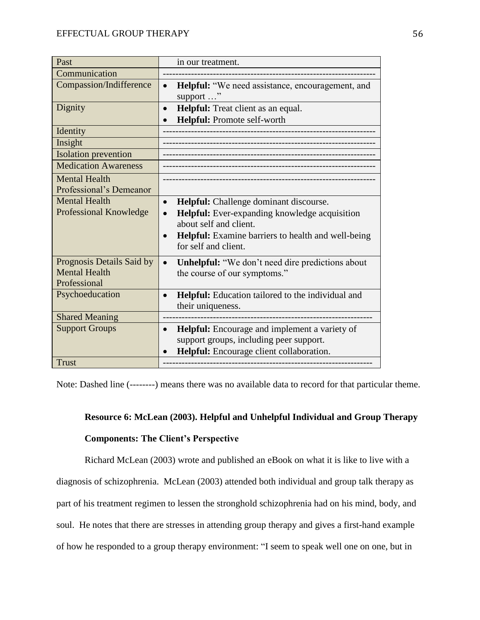| Past                                                              | in our treatment.                                                                                                                                                  |
|-------------------------------------------------------------------|--------------------------------------------------------------------------------------------------------------------------------------------------------------------|
| Communication                                                     |                                                                                                                                                                    |
| Compassion/Indifference                                           | <b>Helpful:</b> "We need assistance, encouragement, and<br>$\bullet$<br>support "                                                                                  |
| Dignity                                                           | Helpful: Treat client as an equal.<br>$\bullet$                                                                                                                    |
|                                                                   | Helpful: Promote self-worth                                                                                                                                        |
| Identity                                                          |                                                                                                                                                                    |
| Insight                                                           |                                                                                                                                                                    |
| <b>Isolation</b> prevention                                       |                                                                                                                                                                    |
| <b>Medication Awareness</b>                                       |                                                                                                                                                                    |
| <b>Mental Health</b><br>Professional's Demeanor                   |                                                                                                                                                                    |
| <b>Mental Health</b>                                              | Helpful: Challenge dominant discourse.<br>$\bullet$                                                                                                                |
| Professional Knowledge                                            | Helpful: Ever-expanding knowledge acquisition<br>$\bullet$<br>about self and client.<br>Helpful: Examine barriers to health and well-being<br>for self and client. |
| Prognosis Details Said by<br><b>Mental Health</b><br>Professional | <b>Unhelpful:</b> "We don't need dire predictions about<br>$\bullet$<br>the course of our symptoms."                                                               |
| Psychoeducation                                                   | Helpful: Education tailored to the individual and<br>$\bullet$<br>their uniqueness.                                                                                |
| <b>Shared Meaning</b>                                             |                                                                                                                                                                    |
| <b>Support Groups</b>                                             | Helpful: Encourage and implement a variety of<br>$\bullet$<br>support groups, including peer support.<br>Helpful: Encourage client collaboration.                  |
| <b>Trust</b>                                                      |                                                                                                                                                                    |

Note: Dashed line (--------) means there was no available data to record for that particular theme.

### **Resource 6: McLean (2003). Helpful and Unhelpful Individual and Group Therapy**

#### **Components: The Client's Perspective**

Richard McLean (2003) wrote and published an eBook on what it is like to live with a diagnosis of schizophrenia. McLean (2003) attended both individual and group talk therapy as part of his treatment regimen to lessen the stronghold schizophrenia had on his mind, body, and soul. He notes that there are stresses in attending group therapy and gives a first-hand example of how he responded to a group therapy environment: "I seem to speak well one on one, but in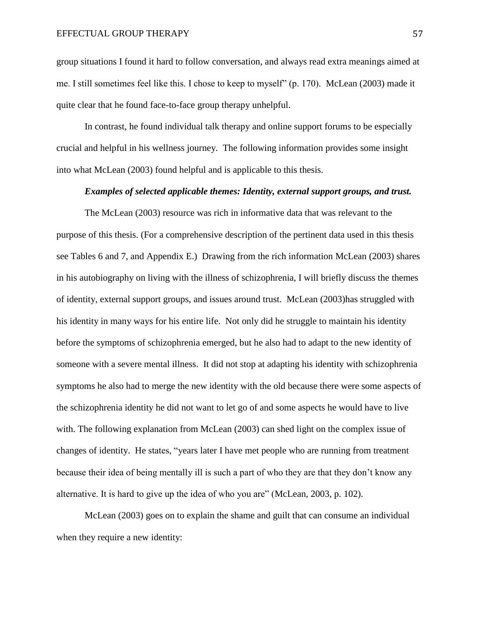group situations I found it hard to follow conversation, and always read extra meanings aimed at me. I still sometimes feel like this. I chose to keep to myself" (p. 170). McLean (2003) made it quite clear that he found face-to-face group therapy unhelpful.

In contrast, he found individual talk therapy and online support forums to be especially crucial and helpful in his wellness journey. The following information provides some insight into what McLean (2003) found helpful and is applicable to this thesis.

#### *Examples of selected applicable themes: Identity, external support groups, and trust.*

The McLean (2003) resource was rich in informative data that was relevant to the purpose of this thesis. (For a comprehensive description of the pertinent data used in this thesis see Tables 6 and 7, and Appendix E.)Drawing from the rich information McLean (2003) shares in his autobiography on living with the illness of schizophrenia, I will briefly discuss the themes of identity, external support groups, and issues around trust. McLean (2003)has struggled with his identity in many ways for his entire life. Not only did he struggle to maintain his identity before the symptoms of schizophrenia emerged, but he also had to adapt to the new identity of someone with a severe mental illness. It did not stop at adapting his identity with schizophrenia symptoms he also had to merge the new identity with the old because there were some aspects of the schizophrenia identity he did not want to let go of and some aspects he would have to live with. The following explanation from McLean (2003) can shed light on the complex issue of changes of identity. He states, "years later I have met people who are running from treatment because their idea of being mentally ill is such a part of who they are that they don't know any alternative. It is hard to give up the idea of who you are" (McLean, 2003, p. 102).

McLean (2003) goes on to explain the shame and guilt that can consume an individual when they require a new identity: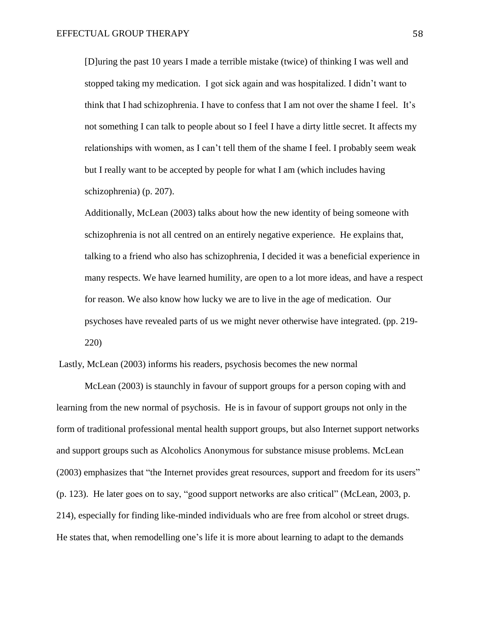[D]uring the past 10 years I made a terrible mistake (twice) of thinking I was well and stopped taking my medication. I got sick again and was hospitalized. I didn't want to think that I had schizophrenia. I have to confess that I am not over the shame I feel. It's not something I can talk to people about so I feel I have a dirty little secret. It affects my relationships with women, as I can't tell them of the shame I feel. I probably seem weak but I really want to be accepted by people for what I am (which includes having schizophrenia) (p. 207).

Additionally, McLean (2003) talks about how the new identity of being someone with schizophrenia is not all centred on an entirely negative experience. He explains that, talking to a friend who also has schizophrenia, I decided it was a beneficial experience in many respects. We have learned humility, are open to a lot more ideas, and have a respect for reason. We also know how lucky we are to live in the age of medication. Our psychoses have revealed parts of us we might never otherwise have integrated. (pp. 219- 220)

Lastly, McLean (2003) informs his readers, psychosis becomes the new normal

McLean (2003) is staunchly in favour of support groups for a person coping with and learning from the new normal of psychosis. He is in favour of support groups not only in the form of traditional professional mental health support groups, but also Internet support networks and support groups such as Alcoholics Anonymous for substance misuse problems. McLean (2003) emphasizes that "the Internet provides great resources, support and freedom for its users" (p. 123). He later goes on to say, "good support networks are also critical" (McLean, 2003, p. 214), especially for finding like-minded individuals who are free from alcohol or street drugs. He states that, when remodelling one's life it is more about learning to adapt to the demands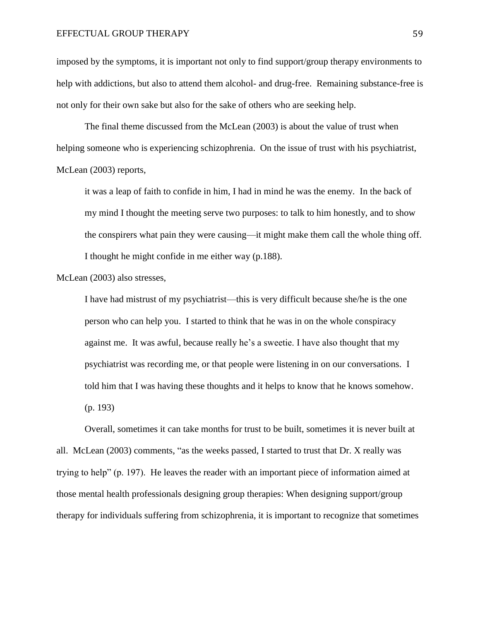imposed by the symptoms, it is important not only to find support/group therapy environments to help with addictions, but also to attend them alcohol- and drug-free. Remaining substance-free is not only for their own sake but also for the sake of others who are seeking help.

The final theme discussed from the McLean (2003) is about the value of trust when helping someone who is experiencing schizophrenia. On the issue of trust with his psychiatrist, McLean (2003) reports,

it was a leap of faith to confide in him, I had in mind he was the enemy. In the back of my mind I thought the meeting serve two purposes: to talk to him honestly, and to show the conspirers what pain they were causing—it might make them call the whole thing off. I thought he might confide in me either way (p.188).

McLean (2003) also stresses,

I have had mistrust of my psychiatrist—this is very difficult because she/he is the one person who can help you. I started to think that he was in on the whole conspiracy against me. It was awful, because really he's a sweetie. I have also thought that my psychiatrist was recording me, or that people were listening in on our conversations. I told him that I was having these thoughts and it helps to know that he knows somehow. (p. 193)

Overall, sometimes it can take months for trust to be built, sometimes it is never built at all. McLean (2003) comments, "as the weeks passed, I started to trust that Dr. X really was trying to help" (p. 197). He leaves the reader with an important piece of information aimed at those mental health professionals designing group therapies: When designing support/group therapy for individuals suffering from schizophrenia, it is important to recognize that sometimes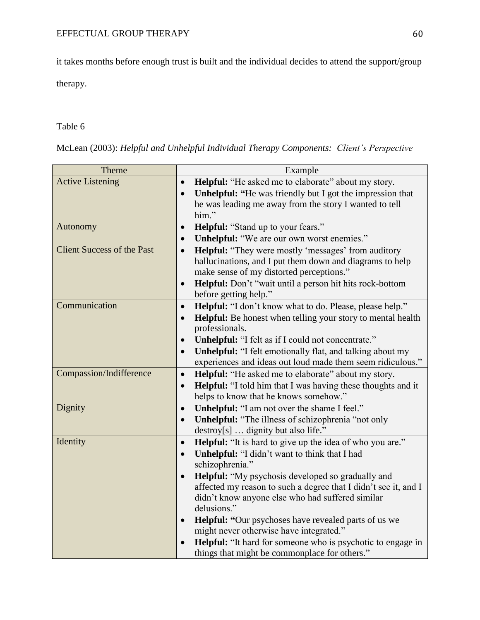it takes months before enough trust is built and the individual decides to attend the support/group

therapy.

### Table 6

McLean (2003): *Helpful and Unhelpful Individual Therapy Components: Client's Perspective*

| Theme                             | Example                                                                          |
|-----------------------------------|----------------------------------------------------------------------------------|
| <b>Active Listening</b>           | Helpful: "He asked me to elaborate" about my story.<br>$\bullet$                 |
|                                   | <b>Unhelpful:</b> "He was friendly but I got the impression that<br>$\bullet$    |
|                                   | he was leading me away from the story I wanted to tell                           |
|                                   | him."                                                                            |
| Autonomy                          | Helpful: "Stand up to your fears."<br>$\bullet$                                  |
|                                   | Unhelpful: "We are our own worst enemies."<br>$\bullet$                          |
| <b>Client Success of the Past</b> | <b>Helpful:</b> "They were mostly 'messages' from auditory<br>$\bullet$          |
|                                   | hallucinations, and I put them down and diagrams to help                         |
|                                   | make sense of my distorted perceptions."                                         |
|                                   | Helpful: Don't "wait until a person hit hits rock-bottom<br>$\bullet$            |
|                                   | before getting help."                                                            |
| Communication                     | Helpful: "I don't know what to do. Please, please help."<br>$\bullet$            |
|                                   | Helpful: Be honest when telling your story to mental health<br>$\bullet$         |
|                                   | professionals.                                                                   |
|                                   | Unhelpful: "I felt as if I could not concentrate."<br>$\bullet$                  |
|                                   | <b>Unhelpful:</b> "I felt emotionally flat, and talking about my<br>$\bullet$    |
|                                   | experiences and ideas out loud made them seem ridiculous."                       |
| <b>Compassion/Indifference</b>    | <b>Helpful:</b> "He asked me to elaborate" about my story.<br>$\bullet$          |
|                                   | <b>Helpful:</b> "I told him that I was having these thoughts and it<br>$\bullet$ |
|                                   | helps to know that he knows somehow."                                            |
| Dignity                           | Unhelpful: "I am not over the shame I feel."<br>$\bullet$                        |
|                                   | <b>Unhelpful:</b> "The illness of schizophrenia "not only<br>$\bullet$           |
| Identity                          | destroy[s]  dignity but also life."                                              |
|                                   | <b>Helpful:</b> "It is hard to give up the idea of who you are."<br>$\bullet$    |
|                                   | Unhelpful: "I didn't want to think that I had<br>$\bullet$<br>schizophrenia."    |
|                                   | <b>Helpful:</b> "My psychosis developed so gradually and<br>$\bullet$            |
|                                   | affected my reason to such a degree that I didn't see it, and I                  |
|                                   | didn't know anyone else who had suffered similar                                 |
|                                   | delusions."                                                                      |
|                                   | Helpful: "Our psychoses have revealed parts of us we<br>$\bullet$                |
|                                   | might never otherwise have integrated."                                          |
|                                   | <b>Helpful:</b> "It hard for someone who is psychotic to engage in               |
|                                   | things that might be commonplace for others."                                    |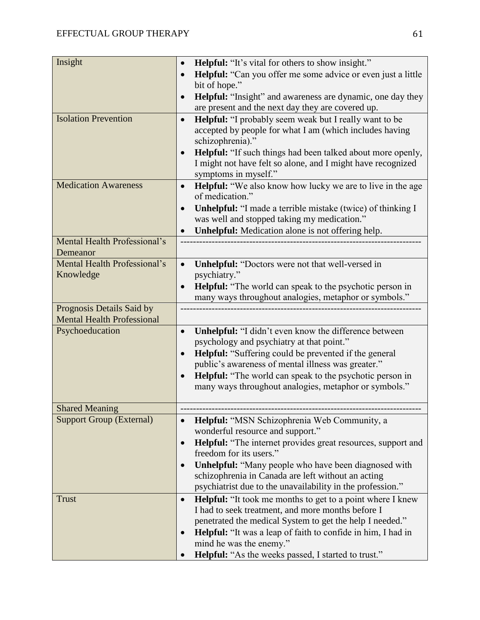| Insight                                                        | <b>Helpful:</b> "It's vital for others to show insight."                                                    |
|----------------------------------------------------------------|-------------------------------------------------------------------------------------------------------------|
|                                                                | <b>Helpful:</b> "Can you offer me some advice or even just a little<br>$\bullet$                            |
|                                                                | bit of hope."                                                                                               |
|                                                                | Helpful: "Insight" and awareness are dynamic, one day they                                                  |
|                                                                | are present and the next day they are covered up.                                                           |
| <b>Isolation Prevention</b>                                    | <b>Helpful:</b> "I probably seem weak but I really want to be<br>$\bullet$                                  |
|                                                                | accepted by people for what I am (which includes having                                                     |
|                                                                | schizophrenia)."                                                                                            |
|                                                                | Helpful: "If such things had been talked about more openly,                                                 |
|                                                                | I might not have felt so alone, and I might have recognized                                                 |
|                                                                | symptoms in myself."                                                                                        |
| <b>Medication Awareness</b>                                    | <b>Helpful:</b> "We also know how lucky we are to live in the age                                           |
|                                                                | of medication."                                                                                             |
|                                                                | $\bullet$                                                                                                   |
|                                                                | <b>Unhelpful:</b> "I made a terrible mistake (twice) of thinking I                                          |
|                                                                | was well and stopped taking my medication."                                                                 |
| Mental Health Professional's                                   | <b>Unhelpful:</b> Medication alone is not offering help.                                                    |
|                                                                |                                                                                                             |
| Demeanor<br>Mental Health Professional's                       |                                                                                                             |
| Knowledge                                                      | <b>Unhelpful:</b> "Doctors were not that well-versed in                                                     |
|                                                                | psychiatry."                                                                                                |
|                                                                | <b>Helpful:</b> "The world can speak to the psychotic person in<br>$\bullet$                                |
|                                                                | many ways throughout analogies, metaphor or symbols."                                                       |
| Prognosis Details Said by<br><b>Mental Health Professional</b> |                                                                                                             |
| Psychoeducation                                                |                                                                                                             |
|                                                                | <b>Unhelpful:</b> "I didn't even know the difference between                                                |
|                                                                | psychology and psychiatry at that point."                                                                   |
|                                                                | Helpful: "Suffering could be prevented if the general<br>public's awareness of mental illness was greater." |
|                                                                |                                                                                                             |
|                                                                | <b>Helpful:</b> "The world can speak to the psychotic person in<br>$\bullet$                                |
|                                                                | many ways throughout analogies, metaphor or symbols."                                                       |
| <b>Shared Meaning</b>                                          |                                                                                                             |
| <b>Support Group (External)</b>                                | Helpful: "MSN Schizophrenia Web Community, a                                                                |
|                                                                | wonderful resource and support."                                                                            |
|                                                                | <b>Helpful:</b> "The internet provides great resources, support and<br>$\bullet$                            |
|                                                                | freedom for its users."                                                                                     |
|                                                                | <b>Unhelpful:</b> "Many people who have been diagnosed with<br>$\bullet$                                    |
|                                                                | schizophrenia in Canada are left without an acting                                                          |
|                                                                | psychiatrist due to the unavailability in the profession."                                                  |
|                                                                |                                                                                                             |
| <b>Trust</b>                                                   | <b>Helpful:</b> "It took me months to get to a point where I knew<br>$\bullet$                              |
|                                                                | I had to seek treatment, and more months before I                                                           |
|                                                                | penetrated the medical System to get the help I needed."                                                    |
|                                                                | Helpful: "It was a leap of faith to confide in him, I had in                                                |
|                                                                | mind he was the enemy."                                                                                     |
|                                                                | Helpful: "As the weeks passed, I started to trust."                                                         |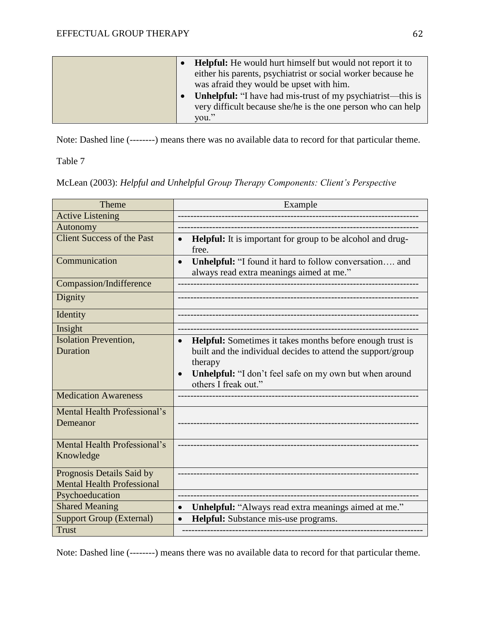|  | <b>Helpful:</b> He would hurt himself but would not report it to   |
|--|--------------------------------------------------------------------|
|  | either his parents, psychiatrist or social worker because he       |
|  | was afraid they would be upset with him.                           |
|  | <b>Unhelpful:</b> "I have had mis-trust of my psychiatrist—this is |
|  | very difficult because she/he is the one person who can help       |
|  | you."                                                              |

Note: Dashed line (--------) means there was no available data to record for that particular theme.

Table 7

McLean (2003): *Helpful and Unhelpful Group Therapy Components: Client's Perspective*

| Theme                                                          | Example                                                                                                                                                                                                                              |
|----------------------------------------------------------------|--------------------------------------------------------------------------------------------------------------------------------------------------------------------------------------------------------------------------------------|
| <b>Active Listening</b>                                        |                                                                                                                                                                                                                                      |
| Autonomy                                                       |                                                                                                                                                                                                                                      |
| <b>Client Success of the Past</b>                              | <b>Helpful:</b> It is important for group to be alcohol and drug-<br>$\bullet$<br>free.                                                                                                                                              |
| Communication                                                  | Unhelpful: "I found it hard to follow conversation and<br>$\bullet$<br>always read extra meanings aimed at me."                                                                                                                      |
| Compassion/Indifference                                        |                                                                                                                                                                                                                                      |
| Dignity                                                        |                                                                                                                                                                                                                                      |
| Identity                                                       |                                                                                                                                                                                                                                      |
| Insight                                                        |                                                                                                                                                                                                                                      |
| <b>Isolation Prevention,</b><br>Duration                       | Helpful: Sometimes it takes months before enough trust is<br>built and the individual decides to attend the support/group<br>therapy<br>Unhelpful: "I don't feel safe on my own but when around<br>$\bullet$<br>others I freak out." |
| <b>Medication Awareness</b>                                    |                                                                                                                                                                                                                                      |
| Mental Health Professional's<br>Demeanor                       |                                                                                                                                                                                                                                      |
| Mental Health Professional's<br>Knowledge                      |                                                                                                                                                                                                                                      |
| Prognosis Details Said by<br><b>Mental Health Professional</b> |                                                                                                                                                                                                                                      |
| Psychoeducation                                                |                                                                                                                                                                                                                                      |
| <b>Shared Meaning</b>                                          | Unhelpful: "Always read extra meanings aimed at me."<br>$\bullet$                                                                                                                                                                    |
| <b>Support Group (External)</b>                                | Helpful: Substance mis-use programs.<br>$\bullet$                                                                                                                                                                                    |
| <b>Trust</b>                                                   |                                                                                                                                                                                                                                      |

Note: Dashed line (--------) means there was no available data to record for that particular theme.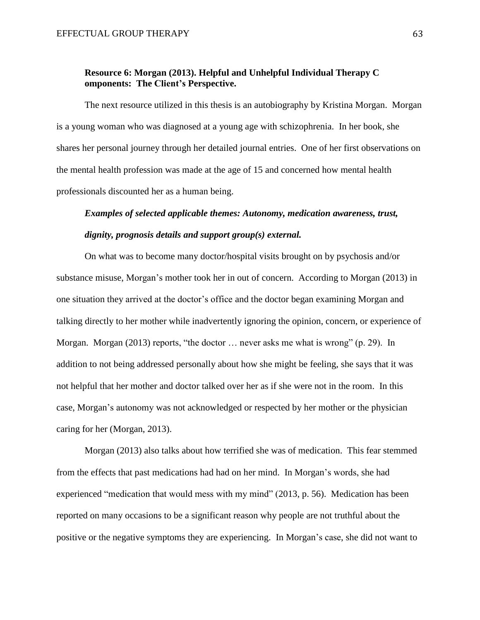### **Resource 6: Morgan (2013). Helpful and Unhelpful Individual Therapy C omponents: The Client's Perspective.**

The next resource utilized in this thesis is an autobiography by Kristina Morgan. Morgan is a young woman who was diagnosed at a young age with schizophrenia. In her book, she shares her personal journey through her detailed journal entries. One of her first observations on the mental health profession was made at the age of 15 and concerned how mental health professionals discounted her as a human being.

### *Examples of selected applicable themes: Autonomy, medication awareness, trust, dignity, prognosis details and support group(s) external.*

On what was to become many doctor/hospital visits brought on by psychosis and/or substance misuse, Morgan's mother took her in out of concern. According to Morgan (2013) in one situation they arrived at the doctor's office and the doctor began examining Morgan and talking directly to her mother while inadvertently ignoring the opinion, concern, or experience of Morgan. Morgan (2013) reports, "the doctor … never asks me what is wrong" (p. 29). In addition to not being addressed personally about how she might be feeling, she says that it was not helpful that her mother and doctor talked over her as if she were not in the room. In this case, Morgan's autonomy was not acknowledged or respected by her mother or the physician caring for her (Morgan, 2013).

Morgan (2013) also talks about how terrified she was of medication. This fear stemmed from the effects that past medications had had on her mind. In Morgan's words, she had experienced "medication that would mess with my mind" (2013, p. 56). Medication has been reported on many occasions to be a significant reason why people are not truthful about the positive or the negative symptoms they are experiencing. In Morgan's case, she did not want to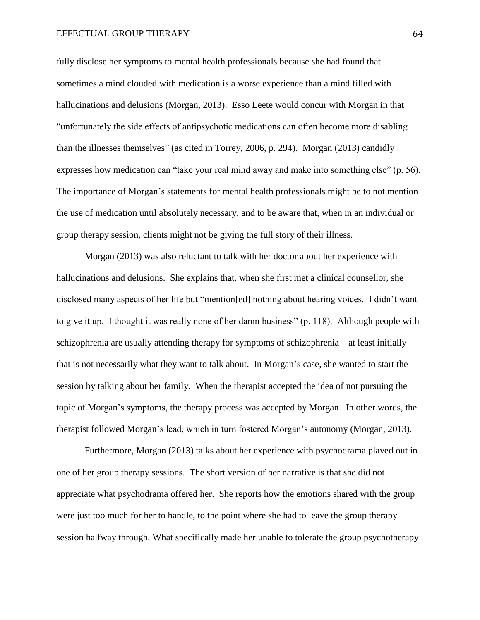#### EFFECTUAL GROUP THERAPY 64

fully disclose her symptoms to mental health professionals because she had found that sometimes a mind clouded with medication is a worse experience than a mind filled with hallucinations and delusions (Morgan, 2013). Esso Leete would concur with Morgan in that "unfortunately the side effects of antipsychotic medications can often become more disabling than the illnesses themselves" (as cited in Torrey, 2006, p. 294). Morgan (2013) candidly expresses how medication can "take your real mind away and make into something else" (p. 56). The importance of Morgan's statements for mental health professionals might be to not mention the use of medication until absolutely necessary, and to be aware that, when in an individual or group therapy session, clients might not be giving the full story of their illness.

Morgan (2013) was also reluctant to talk with her doctor about her experience with hallucinations and delusions. She explains that, when she first met a clinical counsellor, she disclosed many aspects of her life but "mention[ed] nothing about hearing voices. I didn't want to give it up. I thought it was really none of her damn business" (p. 118). Although people with schizophrenia are usually attending therapy for symptoms of schizophrenia—at least initially that is not necessarily what they want to talk about. In Morgan's case, she wanted to start the session by talking about her family. When the therapist accepted the idea of not pursuing the topic of Morgan's symptoms, the therapy process was accepted by Morgan. In other words, the therapist followed Morgan's lead, which in turn fostered Morgan's autonomy (Morgan, 2013).

Furthermore, Morgan (2013) talks about her experience with psychodrama played out in one of her group therapy sessions. The short version of her narrative is that she did not appreciate what psychodrama offered her. She reports how the emotions shared with the group were just too much for her to handle, to the point where she had to leave the group therapy session halfway through. What specifically made her unable to tolerate the group psychotherapy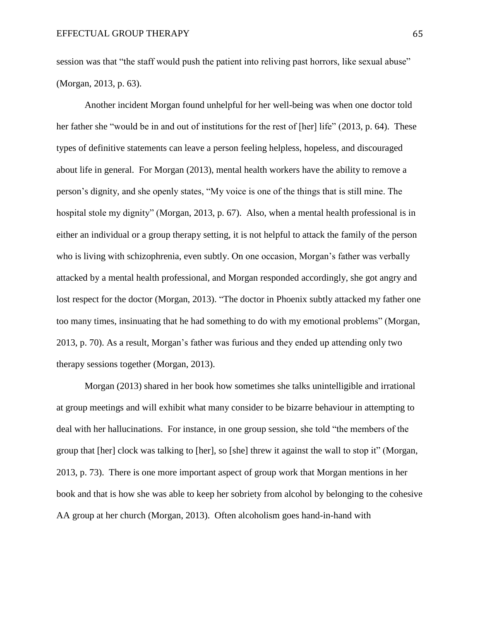session was that "the staff would push the patient into reliving past horrors, like sexual abuse" (Morgan, 2013, p. 63).

Another incident Morgan found unhelpful for her well-being was when one doctor told her father she "would be in and out of institutions for the rest of [her] life" (2013, p. 64). These types of definitive statements can leave a person feeling helpless, hopeless, and discouraged about life in general. For Morgan (2013), mental health workers have the ability to remove a person's dignity, and she openly states, "My voice is one of the things that is still mine. The hospital stole my dignity" (Morgan, 2013, p. 67). Also, when a mental health professional is in either an individual or a group therapy setting, it is not helpful to attack the family of the person who is living with schizophrenia, even subtly. On one occasion, Morgan's father was verbally attacked by a mental health professional, and Morgan responded accordingly, she got angry and lost respect for the doctor (Morgan, 2013). "The doctor in Phoenix subtly attacked my father one too many times, insinuating that he had something to do with my emotional problems" (Morgan, 2013, p. 70). As a result, Morgan's father was furious and they ended up attending only two therapy sessions together (Morgan, 2013).

Morgan (2013) shared in her book how sometimes she talks unintelligible and irrational at group meetings and will exhibit what many consider to be bizarre behaviour in attempting to deal with her hallucinations. For instance, in one group session, she told "the members of the group that [her] clock was talking to [her], so [she] threw it against the wall to stop it" (Morgan, 2013, p. 73). There is one more important aspect of group work that Morgan mentions in her book and that is how she was able to keep her sobriety from alcohol by belonging to the cohesive AA group at her church (Morgan, 2013). Often alcoholism goes hand-in-hand with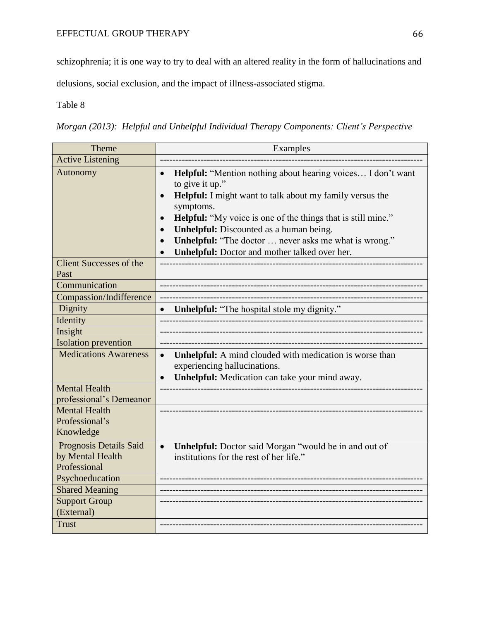### EFFECTUAL GROUP THERAPY 66

schizophrenia; it is one way to try to deal with an altered reality in the form of hallucinations and

delusions, social exclusion, and the impact of illness-associated stigma.

Table 8

*Morgan (2013): Helpful and Unhelpful Individual Therapy Components: Client's Perspective*

| Theme                                                      | Examples                                                                                                                                                                                                                                                                                                                                                                                                       |
|------------------------------------------------------------|----------------------------------------------------------------------------------------------------------------------------------------------------------------------------------------------------------------------------------------------------------------------------------------------------------------------------------------------------------------------------------------------------------------|
| <b>Active Listening</b>                                    |                                                                                                                                                                                                                                                                                                                                                                                                                |
| Autonomy                                                   | Helpful: "Mention nothing about hearing voices I don't want<br>to give it up."<br>Helpful: I might want to talk about my family versus the<br>symptoms.<br><b>Helpful:</b> "My voice is one of the things that is still mine."<br>$\bullet$<br><b>Unhelpful:</b> Discounted as a human being.<br><b>Unhelpful:</b> "The doctor  never asks me what is wrong."<br>Unhelpful: Doctor and mother talked over her. |
| <b>Client Successes of the</b><br>Past                     |                                                                                                                                                                                                                                                                                                                                                                                                                |
| Communication                                              |                                                                                                                                                                                                                                                                                                                                                                                                                |
| Compassion/Indifference                                    |                                                                                                                                                                                                                                                                                                                                                                                                                |
| Dignity                                                    | <b>Unhelpful:</b> "The hospital stole my dignity."                                                                                                                                                                                                                                                                                                                                                             |
| Identity                                                   |                                                                                                                                                                                                                                                                                                                                                                                                                |
| Insight                                                    |                                                                                                                                                                                                                                                                                                                                                                                                                |
| <b>Isolation prevention</b>                                |                                                                                                                                                                                                                                                                                                                                                                                                                |
| <b>Medications Awareness</b>                               | Unhelpful: A mind clouded with medication is worse than<br>$\bullet$<br>experiencing hallucinations.<br>Unhelpful: Medication can take your mind away.                                                                                                                                                                                                                                                         |
| <b>Mental Health</b><br>professional's Demeanor            |                                                                                                                                                                                                                                                                                                                                                                                                                |
| <b>Mental Health</b><br>Professional's<br>Knowledge        |                                                                                                                                                                                                                                                                                                                                                                                                                |
| Prognosis Details Said<br>by Mental Health<br>Professional | Unhelpful: Doctor said Morgan "would be in and out of<br>$\bullet$<br>institutions for the rest of her life."                                                                                                                                                                                                                                                                                                  |
| Psychoeducation                                            |                                                                                                                                                                                                                                                                                                                                                                                                                |
| <b>Shared Meaning</b>                                      |                                                                                                                                                                                                                                                                                                                                                                                                                |
| <b>Support Group</b><br>(External)                         |                                                                                                                                                                                                                                                                                                                                                                                                                |
| <b>Trust</b>                                               |                                                                                                                                                                                                                                                                                                                                                                                                                |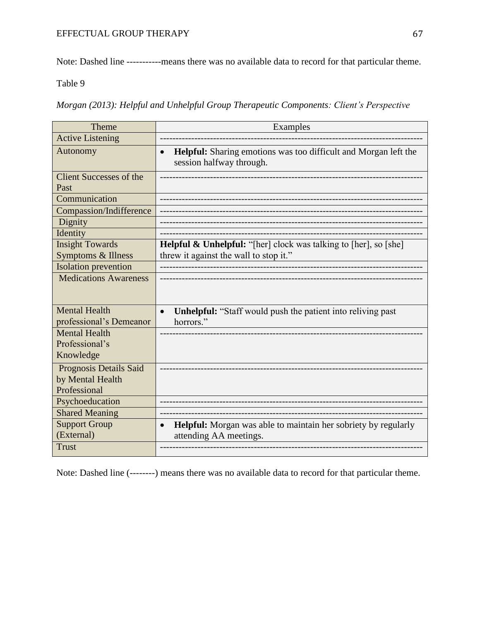Note: Dashed line -----------means there was no available data to record for that particular theme.

Table 9

*Morgan (2013): Helpful and Unhelpful Group Therapeutic Components: Client's Perspective*

| Theme                                           | Examples                                                                                                        |
|-------------------------------------------------|-----------------------------------------------------------------------------------------------------------------|
| <b>Active Listening</b>                         |                                                                                                                 |
| Autonomy                                        | <b>Helpful:</b> Sharing emotions was too difficult and Morgan left the<br>$\bullet$<br>session halfway through. |
| <b>Client Successes of the</b><br>Past          |                                                                                                                 |
| Communication                                   |                                                                                                                 |
| <b>Compassion/Indifference</b>                  |                                                                                                                 |
| Dignity                                         |                                                                                                                 |
| Identity                                        |                                                                                                                 |
| <b>Insight Towards</b>                          | <b>Helpful &amp; Unhelpful:</b> "[her] clock was talking to [her], so [she]                                     |
| Symptoms & Illness                              | threw it against the wall to stop it."                                                                          |
| <b>Isolation</b> prevention                     |                                                                                                                 |
| <b>Medications Awareness</b>                    |                                                                                                                 |
| <b>Mental Health</b><br>professional's Demeanor | <b>Unhelpful:</b> "Staff would push the patient into reliving past<br>$\bullet$<br>horrors."                    |
| <b>Mental Health</b>                            |                                                                                                                 |
| Professional's                                  |                                                                                                                 |
| Knowledge                                       |                                                                                                                 |
| Prognosis Details Said                          |                                                                                                                 |
| by Mental Health                                |                                                                                                                 |
| Professional                                    |                                                                                                                 |
| Psychoeducation                                 |                                                                                                                 |
| <b>Shared Meaning</b>                           |                                                                                                                 |
| <b>Support Group</b>                            | <b>Helpful:</b> Morgan was able to maintain her sobriety by regularly<br>$\bullet$                              |
| (External)                                      | attending AA meetings.                                                                                          |
| <b>Trust</b>                                    |                                                                                                                 |

Note: Dashed line (--------) means there was no available data to record for that particular theme.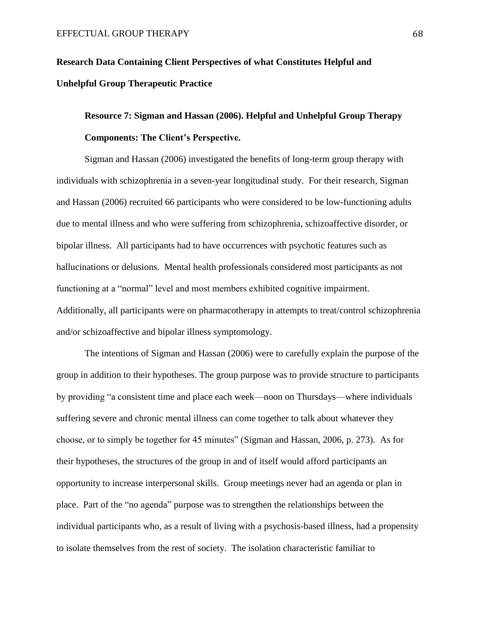# **Research Data Containing Client Perspectives of what Constitutes Helpful and Unhelpful Group Therapeutic Practice**

# **Resource 7: Sigman and Hassan (2006). Helpful and Unhelpful Group Therapy Components: The Client's Perspective.**

Sigman and Hassan (2006) investigated the benefits of long-term group therapy with individuals with schizophrenia in a seven-year longitudinal study. For their research, Sigman and Hassan (2006) recruited 66 participants who were considered to be low-functioning adults due to mental illness and who were suffering from schizophrenia, schizoaffective disorder, or bipolar illness. All participants had to have occurrences with psychotic features such as hallucinations or delusions. Mental health professionals considered most participants as not functioning at a "normal" level and most members exhibited cognitive impairment. Additionally, all participants were on pharmacotherapy in attempts to treat/control schizophrenia and/or schizoaffective and bipolar illness symptomology.

The intentions of Sigman and Hassan (2006) were to carefully explain the purpose of the group in addition to their hypotheses. The group purpose was to provide structure to participants by providing "a consistent time and place each week—noon on Thursdays—where individuals suffering severe and chronic mental illness can come together to talk about whatever they choose, or to simply be together for 45 minutes" (Sigman and Hassan, 2006, p. 273). As for their hypotheses, the structures of the group in and of itself would afford participants an opportunity to increase interpersonal skills. Group meetings never had an agenda or plan in place. Part of the "no agenda" purpose was to strengthen the relationships between the individual participants who, as a result of living with a psychosis-based illness, had a propensity to isolate themselves from the rest of society. The isolation characteristic familiar to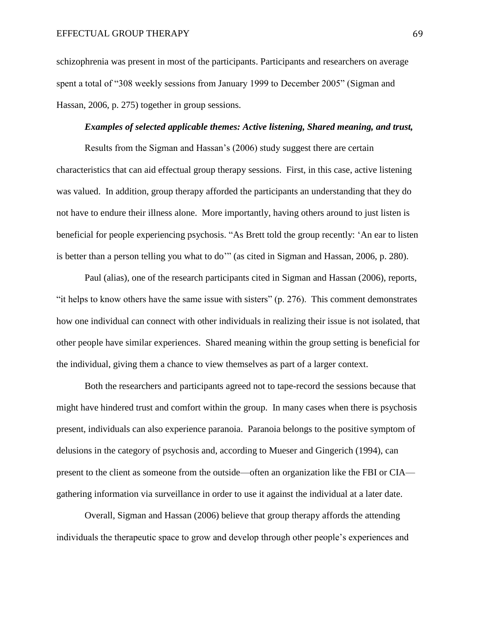schizophrenia was present in most of the participants. Participants and researchers on average spent a total of "308 weekly sessions from January 1999 to December 2005" (Sigman and Hassan, 2006, p. 275) together in group sessions.

#### *Examples of selected applicable themes: Active listening, Shared meaning, and trust,*

Results from the Sigman and Hassan's (2006) study suggest there are certain characteristics that can aid effectual group therapy sessions. First, in this case, active listening was valued. In addition, group therapy afforded the participants an understanding that they do not have to endure their illness alone. More importantly, having others around to just listen is beneficial for people experiencing psychosis. "As Brett told the group recently: 'An ear to listen is better than a person telling you what to do'" (as cited in Sigman and Hassan, 2006, p. 280).

Paul (alias), one of the research participants cited in Sigman and Hassan (2006), reports, "it helps to know others have the same issue with sisters"  $(p. 276)$ . This comment demonstrates how one individual can connect with other individuals in realizing their issue is not isolated, that other people have similar experiences. Shared meaning within the group setting is beneficial for the individual, giving them a chance to view themselves as part of a larger context.

Both the researchers and participants agreed not to tape-record the sessions because that might have hindered trust and comfort within the group. In many cases when there is psychosis present, individuals can also experience paranoia. Paranoia belongs to the positive symptom of delusions in the category of psychosis and, according to Mueser and Gingerich (1994), can present to the client as someone from the outside—often an organization like the FBI or CIA gathering information via surveillance in order to use it against the individual at a later date.

Overall, Sigman and Hassan (2006) believe that group therapy affords the attending individuals the therapeutic space to grow and develop through other people's experiences and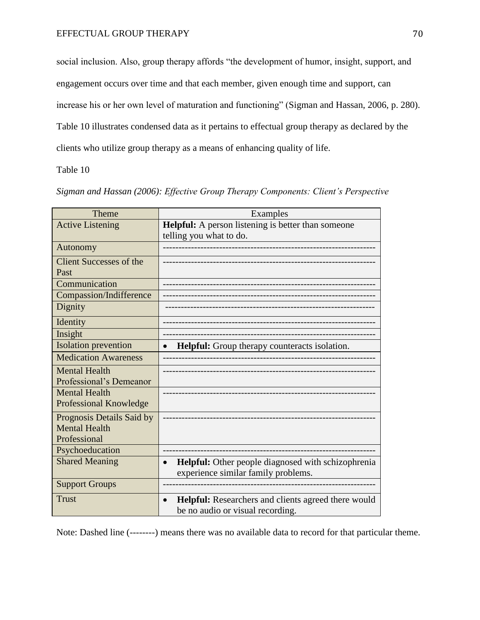social inclusion. Also, group therapy affords "the development of humor, insight, support, and engagement occurs over time and that each member, given enough time and support, can increase his or her own level of maturation and functioning" (Sigman and Hassan, 2006, p. 280). Table 10 illustrates condensed data as it pertains to effectual group therapy as declared by the clients who utilize group therapy as a means of enhancing quality of life.

Table 10

| Sigman and Hassan (2006): Effective Group Therapy Components: Client's Perspective |  |  |  |  |
|------------------------------------------------------------------------------------|--|--|--|--|
|                                                                                    |  |  |  |  |

| Theme                          | Examples                                                  |
|--------------------------------|-----------------------------------------------------------|
| <b>Active Listening</b>        | <b>Helpful:</b> A person listening is better than someone |
|                                | telling you what to do.                                   |
| Autonomy                       |                                                           |
| <b>Client Successes of the</b> |                                                           |
| Past                           |                                                           |
| Communication                  |                                                           |
| Compassion/Indifference        |                                                           |
| Dignity                        |                                                           |
| Identity                       |                                                           |
| Insight                        |                                                           |
| <b>Isolation</b> prevention    | Helpful: Group therapy counteracts isolation.             |
| <b>Medication Awareness</b>    |                                                           |
| <b>Mental Health</b>           |                                                           |
| Professional's Demeanor        |                                                           |
| <b>Mental Health</b>           |                                                           |
| Professional Knowledge         |                                                           |
| Prognosis Details Said by      |                                                           |
| <b>Mental Health</b>           |                                                           |
| Professional                   |                                                           |
| Psychoeducation                |                                                           |
| <b>Shared Meaning</b>          | Helpful: Other people diagnosed with schizophrenia        |
|                                | experience similar family problems.                       |
| <b>Support Groups</b>          |                                                           |
| <b>Trust</b>                   | Helpful: Researchers and clients agreed there would       |
|                                | be no audio or visual recording.                          |

Note: Dashed line (--------) means there was no available data to record for that particular theme.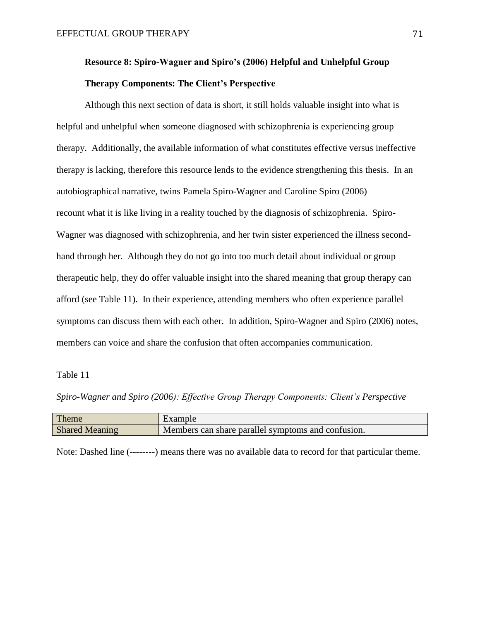## **Resource 8: Spiro-Wagner and Spiro's (2006) Helpful and Unhelpful Group Therapy Components: The Client's Perspective**

Although this next section of data is short, it still holds valuable insight into what is helpful and unhelpful when someone diagnosed with schizophrenia is experiencing group therapy. Additionally, the available information of what constitutes effective versus ineffective therapy is lacking, therefore this resource lends to the evidence strengthening this thesis. In an autobiographical narrative, twins Pamela Spiro-Wagner and Caroline Spiro (2006) recount what it is like living in a reality touched by the diagnosis of schizophrenia. Spiro-Wagner was diagnosed with schizophrenia, and her twin sister experienced the illness secondhand through her. Although they do not go into too much detail about individual or group therapeutic help, they do offer valuable insight into the shared meaning that group therapy can afford (see Table 11). In their experience, attending members who often experience parallel symptoms can discuss them with each other. In addition, Spiro-Wagner and Spiro (2006) notes, members can voice and share the confusion that often accompanies communication.

### Table 11

*Spiro-Wagner and Spiro (2006): Effective Group Therapy Components: Client's Perspective*

| Theme                 | Example                                            |
|-----------------------|----------------------------------------------------|
| <b>Shared Meaning</b> | Members can share parallel symptoms and confusion. |

Note: Dashed line (--------) means there was no available data to record for that particular theme.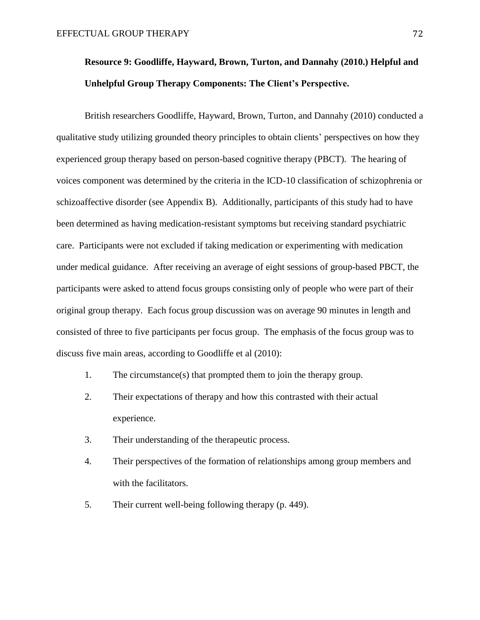# **Resource 9: Goodliffe, Hayward, Brown, Turton, and Dannahy (2010.) Helpful and Unhelpful Group Therapy Components: The Client's Perspective.**

British researchers Goodliffe, Hayward, Brown, Turton, and Dannahy (2010) conducted a qualitative study utilizing grounded theory principles to obtain clients' perspectives on how they experienced group therapy based on person-based cognitive therapy (PBCT). The hearing of voices component was determined by the criteria in the ICD-10 classification of schizophrenia or schizoaffective disorder (see Appendix B). Additionally, participants of this study had to have been determined as having medication-resistant symptoms but receiving standard psychiatric care. Participants were not excluded if taking medication or experimenting with medication under medical guidance. After receiving an average of eight sessions of group-based PBCT, the participants were asked to attend focus groups consisting only of people who were part of their original group therapy. Each focus group discussion was on average 90 minutes in length and consisted of three to five participants per focus group. The emphasis of the focus group was to discuss five main areas, according to Goodliffe et al (2010):

- 1. The circumstance(s) that prompted them to join the therapy group.
- 2. Their expectations of therapy and how this contrasted with their actual experience.
- 3. Their understanding of the therapeutic process.
- 4. Their perspectives of the formation of relationships among group members and with the facilitators.
- 5. Their current well-being following therapy (p. 449).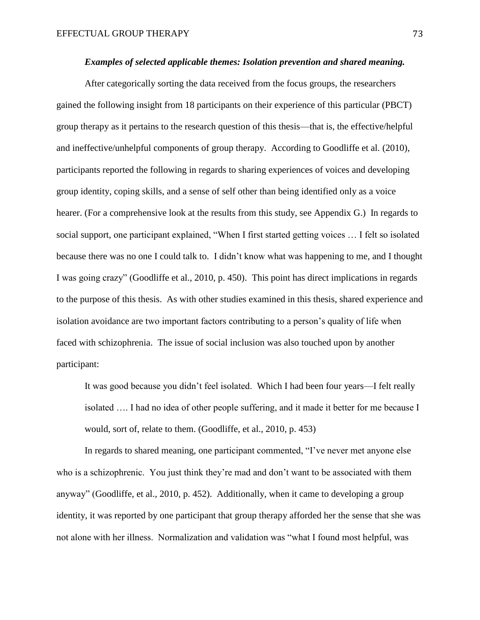### *Examples of selected applicable themes: Isolation prevention and shared meaning.*

After categorically sorting the data received from the focus groups, the researchers gained the following insight from 18 participants on their experience of this particular (PBCT) group therapy as it pertains to the research question of this thesis—that is, the effective/helpful and ineffective/unhelpful components of group therapy. According to Goodliffe et al. (2010), participants reported the following in regards to sharing experiences of voices and developing group identity, coping skills, and a sense of self other than being identified only as a voice hearer. (For a comprehensive look at the results from this study, see Appendix G.) In regards to social support, one participant explained, "When I first started getting voices … I felt so isolated because there was no one I could talk to. I didn't know what was happening to me, and I thought I was going crazy" (Goodliffe et al., 2010, p. 450). This point has direct implications in regards to the purpose of this thesis. As with other studies examined in this thesis, shared experience and isolation avoidance are two important factors contributing to a person's quality of life when faced with schizophrenia. The issue of social inclusion was also touched upon by another participant:

It was good because you didn't feel isolated. Which I had been four years—I felt really isolated …. I had no idea of other people suffering, and it made it better for me because I would, sort of, relate to them. (Goodliffe, et al., 2010, p. 453)

In regards to shared meaning, one participant commented, "I've never met anyone else who is a schizophrenic. You just think they're mad and don't want to be associated with them anyway" (Goodliffe, et al., 2010, p. 452). Additionally, when it came to developing a group identity, it was reported by one participant that group therapy afforded her the sense that she was not alone with her illness. Normalization and validation was "what I found most helpful, was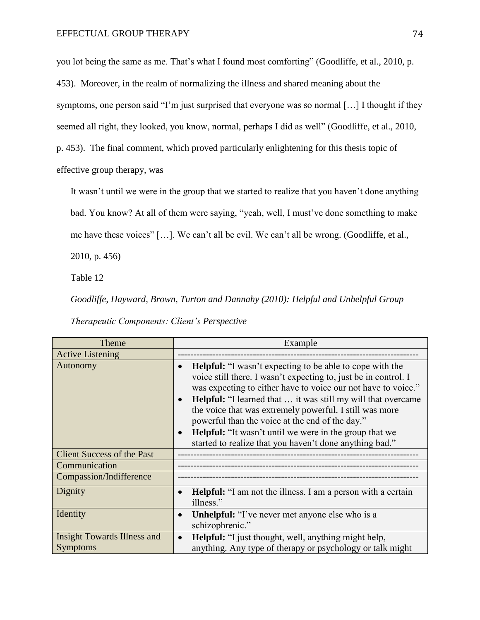you lot being the same as me. That's what I found most comforting" (Goodliffe, et al., 2010, p. 453). Moreover, in the realm of normalizing the illness and shared meaning about the symptoms, one person said "I'm just surprised that everyone was so normal [...] I thought if they seemed all right, they looked, you know, normal, perhaps I did as well" (Goodliffe, et al., 2010, p. 453). The final comment, which proved particularly enlightening for this thesis topic of effective group therapy, was

It wasn't until we were in the group that we started to realize that you haven't done anything bad. You know? At all of them were saying, "yeah, well, I must've done something to make me have these voices" […]. We can't all be evil. We can't all be wrong. (Goodliffe, et al.,

2010, p. 456)

Table 12

*Goodliffe, Hayward, Brown, Turton and Dannahy (2010): Helpful and Unhelpful Group* 

| Theme                             | Example                                                                                                                                                                                                                                                                                                                                                                                                                                                                                                                                                     |  |  |  |  |  |  |
|-----------------------------------|-------------------------------------------------------------------------------------------------------------------------------------------------------------------------------------------------------------------------------------------------------------------------------------------------------------------------------------------------------------------------------------------------------------------------------------------------------------------------------------------------------------------------------------------------------------|--|--|--|--|--|--|
| <b>Active Listening</b>           |                                                                                                                                                                                                                                                                                                                                                                                                                                                                                                                                                             |  |  |  |  |  |  |
| Autonomy                          | <b>Helpful:</b> "I wasn't expecting to be able to cope with the<br>$\bullet$<br>voice still there. I wasn't expecting to, just be in control. I<br>was expecting to either have to voice our not have to voice."<br><b>Helpful:</b> "I learned that  it was still my will that overcame<br>$\bullet$<br>the voice that was extremely powerful. I still was more<br>powerful than the voice at the end of the day."<br><b>Helpful:</b> "It wasn't until we were in the group that we<br>$\bullet$<br>started to realize that you haven't done anything bad." |  |  |  |  |  |  |
| <b>Client Success of the Past</b> |                                                                                                                                                                                                                                                                                                                                                                                                                                                                                                                                                             |  |  |  |  |  |  |
| Communication                     |                                                                                                                                                                                                                                                                                                                                                                                                                                                                                                                                                             |  |  |  |  |  |  |
| Compassion/Indifference           |                                                                                                                                                                                                                                                                                                                                                                                                                                                                                                                                                             |  |  |  |  |  |  |
| Dignity                           | <b>Helpful:</b> "I am not the illness. I am a person with a certain<br>$\bullet$<br>illness."                                                                                                                                                                                                                                                                                                                                                                                                                                                               |  |  |  |  |  |  |
| Identity                          | <b>Unhelpful:</b> "I've never met anyone else who is a<br>$\bullet$<br>schizophrenic."                                                                                                                                                                                                                                                                                                                                                                                                                                                                      |  |  |  |  |  |  |
| Insight Towards Illness and       | <b>Helpful:</b> "I just thought, well, anything might help,<br>$\bullet$                                                                                                                                                                                                                                                                                                                                                                                                                                                                                    |  |  |  |  |  |  |
| <b>Symptoms</b>                   | anything. Any type of therapy or psychology or talk might                                                                                                                                                                                                                                                                                                                                                                                                                                                                                                   |  |  |  |  |  |  |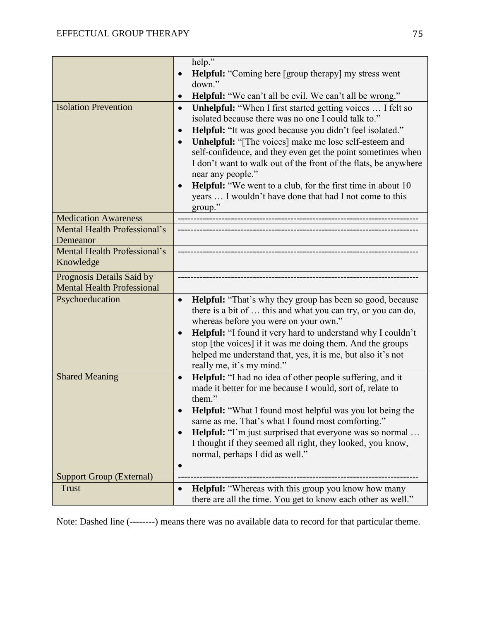|                                                                | help."<br><b>Helpful:</b> "Coming here [group therapy] my stress went<br>$\bullet$<br>down."                                                                                                                                                                                                                                                                                                                                                                                                                                                                                                                                                                                        |
|----------------------------------------------------------------|-------------------------------------------------------------------------------------------------------------------------------------------------------------------------------------------------------------------------------------------------------------------------------------------------------------------------------------------------------------------------------------------------------------------------------------------------------------------------------------------------------------------------------------------------------------------------------------------------------------------------------------------------------------------------------------|
| <b>Isolation Prevention</b>                                    | <b>Helpful:</b> "We can't all be evil. We can't all be wrong."<br>$\bullet$<br>Unhelpful: "When I first started getting voices  I felt so<br>$\bullet$<br>isolated because there was no one I could talk to."<br>Helpful: "It was good because you didn't feel isolated."<br>$\bullet$<br><b>Unhelpful:</b> "[The voices] make me lose self-esteem and<br>$\bullet$<br>self-confidence, and they even get the point sometimes when<br>I don't want to walk out of the front of the flats, be anywhere<br>near any people."<br><b>Helpful:</b> "We went to a club, for the first time in about 10<br>$\bullet$<br>years  I wouldn't have done that had I not come to this<br>group." |
| <b>Medication Awareness</b>                                    |                                                                                                                                                                                                                                                                                                                                                                                                                                                                                                                                                                                                                                                                                     |
| Mental Health Professional's<br>Demeanor                       |                                                                                                                                                                                                                                                                                                                                                                                                                                                                                                                                                                                                                                                                                     |
| Mental Health Professional's<br>Knowledge                      |                                                                                                                                                                                                                                                                                                                                                                                                                                                                                                                                                                                                                                                                                     |
| Prognosis Details Said by<br><b>Mental Health Professional</b> |                                                                                                                                                                                                                                                                                                                                                                                                                                                                                                                                                                                                                                                                                     |
| Psychoeducation                                                | <b>Helpful:</b> "That's why they group has been so good, because<br>$\bullet$<br>there is a bit of  this and what you can try, or you can do,<br>whereas before you were on your own."<br>Helpful: "I found it very hard to understand why I couldn't<br>$\bullet$<br>stop [the voices] if it was me doing them. And the groups<br>helped me understand that, yes, it is me, but also it's not<br>really me, it's my mind."                                                                                                                                                                                                                                                         |
| <b>Shared Meaning</b>                                          | <b>Helpful:</b> "I had no idea of other people suffering, and it<br>$\bullet$<br>made it better for me because I would, sort of, relate to<br>them."<br><b>Helpful:</b> "What I found most helpful was you lot being the<br>same as me. That's what I found most comforting."<br>Helpful: "I'm just surprised that everyone was so normal<br>$\bullet$                                                                                                                                                                                                                                                                                                                              |
|                                                                | I thought if they seemed all right, they looked, you know,<br>normal, perhaps I did as well."<br>$\bullet$                                                                                                                                                                                                                                                                                                                                                                                                                                                                                                                                                                          |
| <b>Support Group (External)</b>                                |                                                                                                                                                                                                                                                                                                                                                                                                                                                                                                                                                                                                                                                                                     |
| <b>Trust</b>                                                   | <b>Helpful:</b> "Whereas with this group you know how many<br>there are all the time. You get to know each other as well."                                                                                                                                                                                                                                                                                                                                                                                                                                                                                                                                                          |

Note: Dashed line (--------) means there was no available data to record for that particular theme.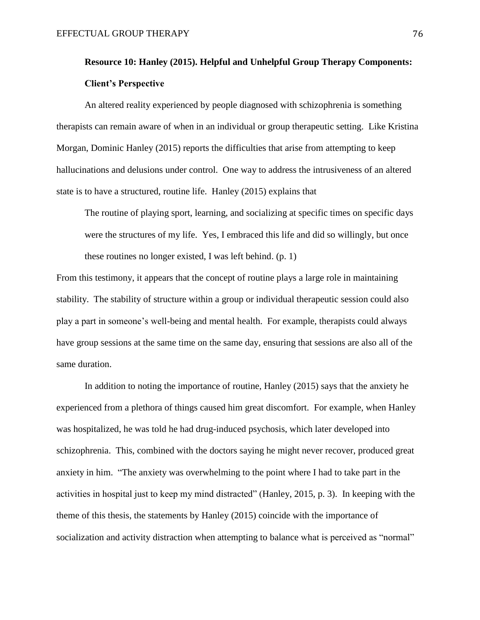# **Resource 10: Hanley (2015). Helpful and Unhelpful Group Therapy Components: Client's Perspective**

An altered reality experienced by people diagnosed with schizophrenia is something therapists can remain aware of when in an individual or group therapeutic setting. Like Kristina Morgan, Dominic Hanley (2015) reports the difficulties that arise from attempting to keep hallucinations and delusions under control. One way to address the intrusiveness of an altered state is to have a structured, routine life. Hanley (2015) explains that

The routine of playing sport, learning, and socializing at specific times on specific days were the structures of my life. Yes, I embraced this life and did so willingly, but once these routines no longer existed, I was left behind. (p. 1)

From this testimony, it appears that the concept of routine plays a large role in maintaining stability. The stability of structure within a group or individual therapeutic session could also play a part in someone's well-being and mental health. For example, therapists could always have group sessions at the same time on the same day, ensuring that sessions are also all of the same duration.

In addition to noting the importance of routine, Hanley (2015) says that the anxiety he experienced from a plethora of things caused him great discomfort. For example, when Hanley was hospitalized, he was told he had drug-induced psychosis, which later developed into schizophrenia. This, combined with the doctors saying he might never recover, produced great anxiety in him. "The anxiety was overwhelming to the point where I had to take part in the activities in hospital just to keep my mind distracted" (Hanley, 2015, p. 3). In keeping with the theme of this thesis, the statements by Hanley (2015) coincide with the importance of socialization and activity distraction when attempting to balance what is perceived as "normal"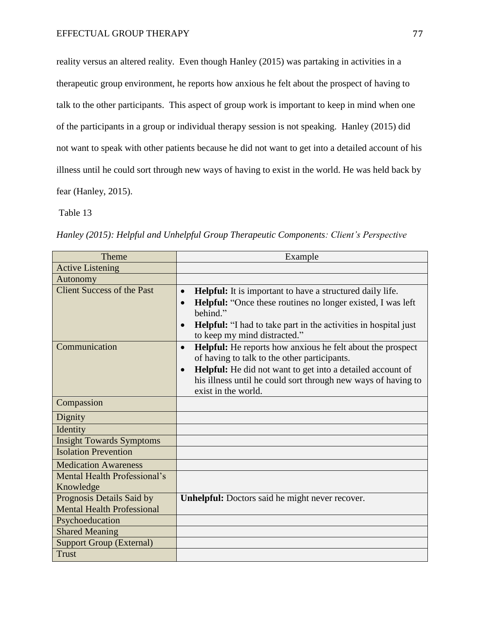reality versus an altered reality. Even though Hanley (2015) was partaking in activities in a therapeutic group environment, he reports how anxious he felt about the prospect of having to talk to the other participants. This aspect of group work is important to keep in mind when one of the participants in a group or individual therapy session is not speaking. Hanley (2015) did not want to speak with other patients because he did not want to get into a detailed account of his illness until he could sort through new ways of having to exist in the world. He was held back by fear (Hanley, 2015).

Table 13

| <b>Theme</b>                      | Example                                                                                                                                                         |
|-----------------------------------|-----------------------------------------------------------------------------------------------------------------------------------------------------------------|
| <b>Active Listening</b>           |                                                                                                                                                                 |
| Autonomy                          |                                                                                                                                                                 |
| <b>Client Success of the Past</b> | Helpful: It is important to have a structured daily life.<br>$\bullet$<br>Helpful: "Once these routines no longer existed, I was left<br>$\bullet$              |
|                                   | behind."                                                                                                                                                        |
|                                   | <b>Helpful:</b> "I had to take part in the activities in hospital just<br>$\bullet$<br>to keep my mind distracted."                                             |
| Communication                     | Helpful: He reports how anxious he felt about the prospect<br>$\bullet$<br>of having to talk to the other participants.                                         |
|                                   | Helpful: He did not want to get into a detailed account of<br>$\bullet$<br>his illness until he could sort through new ways of having to<br>exist in the world. |
| Compassion                        |                                                                                                                                                                 |
| Dignity                           |                                                                                                                                                                 |
| Identity                          |                                                                                                                                                                 |
| <b>Insight Towards Symptoms</b>   |                                                                                                                                                                 |
| <b>Isolation Prevention</b>       |                                                                                                                                                                 |
| <b>Medication Awareness</b>       |                                                                                                                                                                 |
| Mental Health Professional's      |                                                                                                                                                                 |
| Knowledge                         |                                                                                                                                                                 |
| Prognosis Details Said by         | <b>Unhelpful:</b> Doctors said he might never recover.                                                                                                          |
| <b>Mental Health Professional</b> |                                                                                                                                                                 |
| Psychoeducation                   |                                                                                                                                                                 |
| <b>Shared Meaning</b>             |                                                                                                                                                                 |
| <b>Support Group (External)</b>   |                                                                                                                                                                 |
| <b>Trust</b>                      |                                                                                                                                                                 |

*Hanley (2015): Helpful and Unhelpful Group Therapeutic Components: Client's Perspective*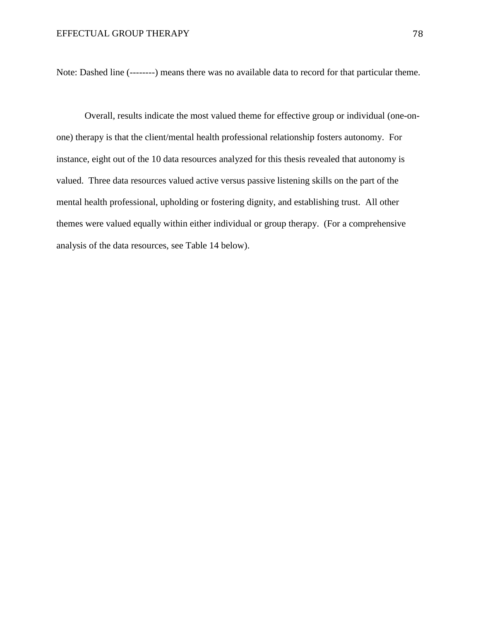Note: Dashed line (--------) means there was no available data to record for that particular theme.

Overall, results indicate the most valued theme for effective group or individual (one-onone) therapy is that the client/mental health professional relationship fosters autonomy. For instance, eight out of the 10 data resources analyzed for this thesis revealed that autonomy is valued. Three data resources valued active versus passive listening skills on the part of the mental health professional, upholding or fostering dignity, and establishing trust. All other themes were valued equally within either individual or group therapy. (For a comprehensive analysis of the data resources, see Table 14 below).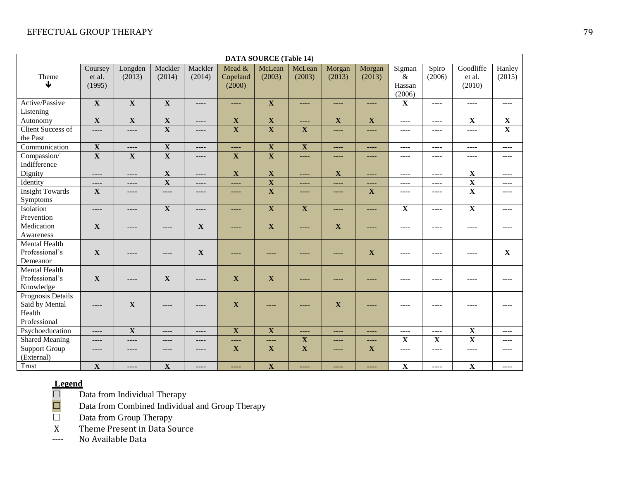| <b>DATA SOURCE (Table 14)</b> |                             |                         |                         |                   |                              |                         |                         |                         |                         |                                    |                         |                               |                         |
|-------------------------------|-----------------------------|-------------------------|-------------------------|-------------------|------------------------------|-------------------------|-------------------------|-------------------------|-------------------------|------------------------------------|-------------------------|-------------------------------|-------------------------|
| Theme<br>↓                    | Coursey<br>et al.<br>(1995) | Longden<br>(2013)       | Mackler<br>(2014)       | Mackler<br>(2014) | Mead &<br>Copeland<br>(2000) | McLean<br>(2003)        | McLean<br>(2003)        | Morgan<br>(2013)        | Morgan<br>(2013)        | Sigman<br>$\&$<br>Hassan<br>(2006) | Spiro<br>(2006)         | Goodliffe<br>et al.<br>(2010) | Hanley<br>(2015)        |
| Active/Passive                | $\overline{\mathbf{X}}$     | $\overline{\mathbf{X}}$ | $\overline{\mathbf{X}}$ | ----              | ----                         | $\overline{\mathbf{X}}$ | $\frac{1}{2}$           | ----                    | ----                    | $\mathbf{X}$                       | ----                    | ----                          | ----                    |
| Listening                     |                             |                         |                         |                   |                              |                         |                         |                         |                         |                                    |                         |                               |                         |
| Autonomy                      | $\overline{\mathbf{X}}$     | $\overline{\mathbf{X}}$ | $\overline{\mathbf{X}}$ | ----              | $\overline{\mathbf{X}}$      | $\overline{\mathbf{X}}$ | ----                    | $\overline{\mathbf{X}}$ | $\overline{\mathbf{X}}$ | ----                               | ----                    | $\overline{\mathbf{X}}$       | $\mathbf X$             |
| <b>Client Success of</b>      | ----                        | ----                    | $\overline{\mathbf{X}}$ | ----              | $\overline{\mathbf{X}}$      | $\overline{\mathbf{X}}$ | $\overline{\mathbf{X}}$ | ----                    | ----                    | ----                               | ----                    | ----                          | $\overline{\mathbf{X}}$ |
| the Past                      |                             |                         |                         |                   |                              |                         |                         |                         |                         |                                    |                         |                               |                         |
| Communication                 | $\mathbf X$                 | ----                    | $\mathbf X$             | ----              | ----                         | $\mathbf{X}$            | $\mathbf X$             | ----                    | ----                    | $---$                              | ----                    | ----                          | $---$                   |
| Compassion/                   | $\overline{\mathbf{X}}$     | $\mathbf X$             | $\overline{\mathbf{X}}$ | ----              | $\mathbf X$                  | $\overline{\mathbf{X}}$ | $\frac{1}{2}$           | ----                    | ----                    | ----                               | ----                    | ----                          | ----                    |
| Indifference                  |                             |                         |                         |                   |                              |                         |                         |                         |                         |                                    |                         |                               |                         |
| Dignity                       | $---$                       | ----                    | $\overline{\mathbf{X}}$ | $---$             | $\overline{\mathbf{X}}$      | $\overline{\mathbf{X}}$ | $\frac{1}{2}$           | $\overline{\mathbf{X}}$ | $\cdots$                | $---$                              | ----                    | $\overline{\mathbf{X}}$       | $---$                   |
| Identity                      | $---$                       | ----                    | $\mathbf X$             | ----              | ----                         | $\overline{\mathbf{X}}$ | $\cdots$                | ----                    | ----                    | ----                               | ----                    | $\overline{\mathbf{X}}$       | ----                    |
| <b>Insight Towards</b>        | $\mathbf X$                 | ----                    | ----                    | ----              | ----                         | $\overline{\mathbf{X}}$ | $- - - -$               | ----                    | $\mathbf{X}$            | $---$                              | ----                    | $\overline{\mathbf{X}}$       | ----                    |
| Symptoms                      |                             |                         |                         |                   |                              |                         |                         |                         |                         |                                    |                         |                               |                         |
| Isolation                     | $---$                       | ----                    | $\overline{\mathbf{X}}$ | ----              | ----                         | $\overline{\mathbf{X}}$ | $\overline{\mathbf{X}}$ | ----                    | ----                    | $\overline{\mathbf{X}}$            | ----                    | $\overline{\mathbf{X}}$       | ----                    |
| Prevention                    |                             |                         |                         |                   |                              |                         |                         |                         |                         |                                    |                         |                               |                         |
| Medication                    | $\mathbf X$                 | ----                    | ----                    | $\mathbf X$       | ----                         | X                       | $\frac{1}{2}$           | $\mathbf X$             | ----                    | ----                               | ----                    | ----                          | ----                    |
| Awareness                     |                             |                         |                         |                   |                              |                         |                         |                         |                         |                                    |                         |                               |                         |
| Mental Health                 |                             |                         |                         |                   |                              |                         |                         |                         |                         |                                    |                         |                               |                         |
| Professional's                | $\mathbf X$                 | ----                    | ----                    | $\mathbf X$       | ----                         | ----                    | ----                    | ----                    | $\mathbf X$             | ----                               | ----                    | ----                          | $\mathbf X$             |
| Demeanor                      |                             |                         |                         |                   |                              |                         |                         |                         |                         |                                    |                         |                               |                         |
| Mental Health                 |                             |                         |                         |                   |                              |                         |                         |                         |                         |                                    |                         |                               |                         |
| Professional's                | $\mathbf X$                 | ----                    | X                       | ----              | $\mathbf X$                  | X                       | ----                    | ----                    | ----                    | ----                               | ----                    | ----                          | ----                    |
| Knowledge                     |                             |                         |                         |                   |                              |                         |                         |                         |                         |                                    |                         |                               |                         |
| Prognosis Details             |                             |                         |                         |                   |                              |                         |                         |                         |                         |                                    |                         |                               |                         |
| Said by Mental                | $---$                       | $\mathbf X$             | ----                    | ----              | $\mathbf{X}$                 | ----                    |                         | $\mathbf{X}$            |                         | ----                               | ----                    | ----                          |                         |
| Health                        |                             |                         |                         |                   |                              |                         |                         |                         |                         |                                    |                         |                               |                         |
| Professional                  |                             |                         |                         |                   |                              |                         |                         |                         |                         |                                    |                         |                               |                         |
| Psychoeducation               | $---$                       | $\overline{\mathbf{X}}$ | ----                    | ----              | $\overline{\mathbf{X}}$      | $\overline{\mathbf{X}}$ | $\frac{1}{2}$           | ----                    | ----                    | ----                               | ----                    | $\overline{\mathbf{X}}$       | ----                    |
| <b>Shared Meaning</b>         | $---$                       | ----                    | ----                    | ----              | ----                         | ----                    | $\overline{\mathbf{X}}$ | ----                    | ----                    | $\overline{\mathbf{X}}$            | $\overline{\mathbf{X}}$ | $\overline{\mathbf{X}}$       | ----                    |
| <b>Support Group</b>          | $---$                       | ----                    | ----                    | ----              | $\overline{\mathbf{X}}$      | $\overline{\mathbf{X}}$ | $\overline{\mathbf{X}}$ | ----                    | $\mathbf{X}$            | ----                               | ----                    | ----                          | ----                    |
| (External)                    |                             |                         |                         |                   |                              |                         |                         |                         |                         |                                    |                         |                               |                         |
| <b>Trust</b>                  | $\mathbf X$                 | ----                    | $\mathbf X$             | ----              | ----                         | $\mathbf{X}$            | ----                    | ----                    | ----                    | $\mathbf X$                        | ----                    | $\mathbf X$                   | ----                    |

Data from Individual Therapy

**Legend**<br> **D**<br> **D**<br> **D**<br> **D** Data from Combined Individual and Group Therapy

□ Data from Group Therapy

X Theme Present in Data Source

---- No Available Data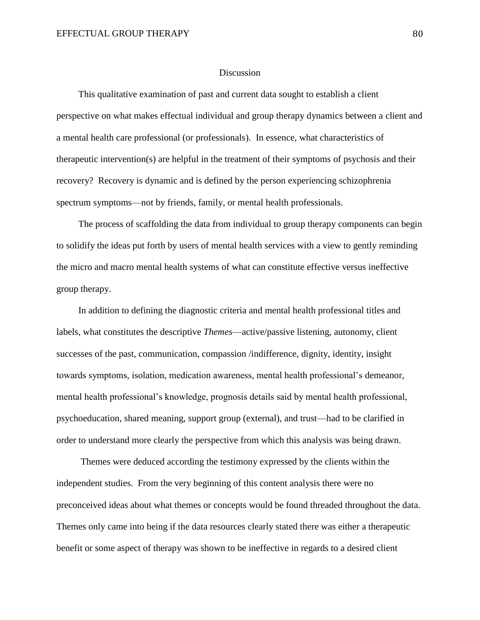#### **Discussion**

This qualitative examination of past and current data sought to establish a client perspective on what makes effectual individual and group therapy dynamics between a client and a mental health care professional (or professionals).In essence, what characteristics of therapeutic intervention(s) are helpful in the treatment of their symptoms of psychosis and their recovery? Recovery is dynamic and is defined by the person experiencing schizophrenia spectrum symptoms—not by friends, family, or mental health professionals.

The process of scaffolding the data from individual to group therapy components can begin to solidify the ideas put forth by users of mental health services with a view to gently reminding the micro and macro mental health systems of what can constitute effective versus ineffective group therapy.

In addition to defining the diagnostic criteria and mental health professional titles and labels, what constitutes the descriptive *Themes*—active/passive listening, autonomy, client successes of the past, communication, compassion /indifference, dignity, identity, insight towards symptoms, isolation, medication awareness, mental health professional's demeanor, mental health professional's knowledge, prognosis details said by mental health professional, psychoeducation, shared meaning, support group (external), and trust—had to be clarified in order to understand more clearly the perspective from which this analysis was being drawn.

Themes were deduced according the testimony expressed by the clients within the independent studies. From the very beginning of this content analysis there were no preconceived ideas about what themes or concepts would be found threaded throughout the data. Themes only came into being if the data resources clearly stated there was either a therapeutic benefit or some aspect of therapy was shown to be ineffective in regards to a desired client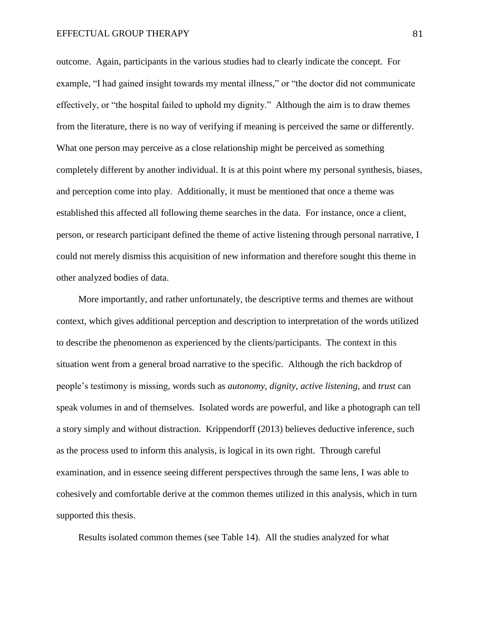#### EFFECTUAL GROUP THERAPY 81

outcome. Again, participants in the various studies had to clearly indicate the concept. For example, "I had gained insight towards my mental illness," or "the doctor did not communicate effectively, or "the hospital failed to uphold my dignity." Although the aim is to draw themes from the literature, there is no way of verifying if meaning is perceived the same or differently. What one person may perceive as a close relationship might be perceived as something completely different by another individual. It is at this point where my personal synthesis, biases, and perception come into play. Additionally, it must be mentioned that once a theme was established this affected all following theme searches in the data. For instance, once a client, person, or research participant defined the theme of active listening through personal narrative, I could not merely dismiss this acquisition of new information and therefore sought this theme in other analyzed bodies of data.

More importantly, and rather unfortunately, the descriptive terms and themes are without context, which gives additional perception and description to interpretation of the words utilized to describe the phenomenon as experienced by the clients/participants. The context in this situation went from a general broad narrative to the specific. Although the rich backdrop of people's testimony is missing, words such as *autonomy*, *dignity*, *active listening*, and *trust* can speak volumes in and of themselves. Isolated words are powerful, and like a photograph can tell a story simply and without distraction. Krippendorff (2013) believes deductive inference, such as the process used to inform this analysis, is logical in its own right. Through careful examination, and in essence seeing different perspectives through the same lens, I was able to cohesively and comfortable derive at the common themes utilized in this analysis, which in turn supported this thesis.

Results isolated common themes (see Table 14). All the studies analyzed for what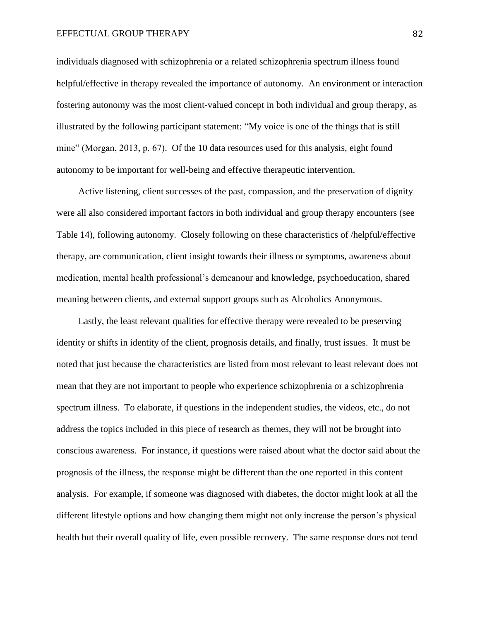#### EFFECTUAL GROUP THERAPY 82

individuals diagnosed with schizophrenia or a related schizophrenia spectrum illness found helpful/effective in therapy revealed the importance of autonomy. An environment or interaction fostering autonomy was the most client-valued concept in both individual and group therapy, as illustrated by the following participant statement: "My voice is one of the things that is still mine" (Morgan, 2013, p. 67). Of the 10 data resources used for this analysis, eight found autonomy to be important for well-being and effective therapeutic intervention.

Active listening, client successes of the past, compassion, and the preservation of dignity were all also considered important factors in both individual and group therapy encounters (see Table 14), following autonomy. Closely following on these characteristics of /helpful/effective therapy, are communication, client insight towards their illness or symptoms, awareness about medication, mental health professional's demeanour and knowledge, psychoeducation, shared meaning between clients, and external support groups such as Alcoholics Anonymous.

 Lastly, the least relevant qualities for effective therapy were revealed to be preserving identity or shifts in identity of the client, prognosis details, and finally, trust issues. It must be noted that just because the characteristics are listed from most relevant to least relevant does not mean that they are not important to people who experience schizophrenia or a schizophrenia spectrum illness. To elaborate, if questions in the independent studies, the videos, etc., do not address the topics included in this piece of research as themes, they will not be brought into conscious awareness. For instance, if questions were raised about what the doctor said about the prognosis of the illness, the response might be different than the one reported in this content analysis. For example, if someone was diagnosed with diabetes, the doctor might look at all the different lifestyle options and how changing them might not only increase the person's physical health but their overall quality of life, even possible recovery. The same response does not tend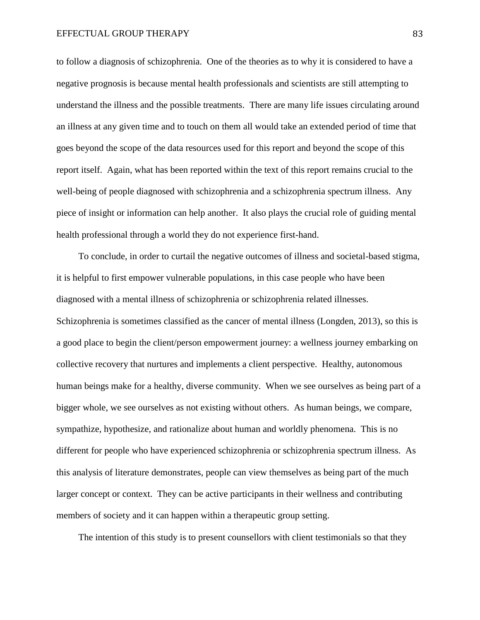to follow a diagnosis of schizophrenia. One of the theories as to why it is considered to have a negative prognosis is because mental health professionals and scientists are still attempting to understand the illness and the possible treatments. There are many life issues circulating around an illness at any given time and to touch on them all would take an extended period of time that goes beyond the scope of the data resources used for this report and beyond the scope of this report itself. Again, what has been reported within the text of this report remains crucial to the well-being of people diagnosed with schizophrenia and a schizophrenia spectrum illness. Any piece of insight or information can help another. It also plays the crucial role of guiding mental health professional through a world they do not experience first-hand.

To conclude, in order to curtail the negative outcomes of illness and societal-based stigma, it is helpful to first empower vulnerable populations, in this case people who have been diagnosed with a mental illness of schizophrenia or schizophrenia related illnesses. Schizophrenia is sometimes classified as the cancer of mental illness (Longden, 2013), so this is a good place to begin the client/person empowerment journey: a wellness journey embarking on collective recovery that nurtures and implements a client perspective. Healthy, autonomous human beings make for a healthy, diverse community. When we see ourselves as being part of a bigger whole, we see ourselves as not existing without others. As human beings, we compare, sympathize, hypothesize, and rationalize about human and worldly phenomena. This is no different for people who have experienced schizophrenia or schizophrenia spectrum illness. As this analysis of literature demonstrates, people can view themselves as being part of the much larger concept or context. They can be active participants in their wellness and contributing members of society and it can happen within a therapeutic group setting.

The intention of this study is to present counsellors with client testimonials so that they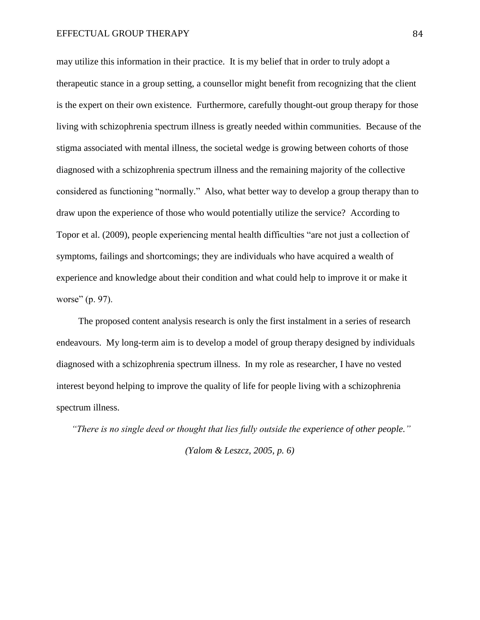may utilize this information in their practice. It is my belief that in order to truly adopt a therapeutic stance in a group setting, a counsellor might benefit from recognizing that the client is the expert on their own existence. Furthermore, carefully thought-out group therapy for those living with schizophrenia spectrum illness is greatly needed within communities. Because of the stigma associated with mental illness, the societal wedge is growing between cohorts of those diagnosed with a schizophrenia spectrum illness and the remaining majority of the collective considered as functioning "normally." Also, what better way to develop a group therapy than to draw upon the experience of those who would potentially utilize the service? According to Topor et al. (2009), people experiencing mental health difficulties "are not just a collection of symptoms, failings and shortcomings; they are individuals who have acquired a wealth of experience and knowledge about their condition and what could help to improve it or make it worse" (p. 97).

The proposed content analysis research is only the first instalment in a series of research endeavours. My long-term aim is to develop a model of group therapy designed by individuals diagnosed with a schizophrenia spectrum illness. In my role as researcher, I have no vested interest beyond helping to improve the quality of life for people living with a schizophrenia spectrum illness.

*"There is no single deed or thought that lies fully outside the experience of other people." (Yalom & Leszcz, 2005, p. 6)*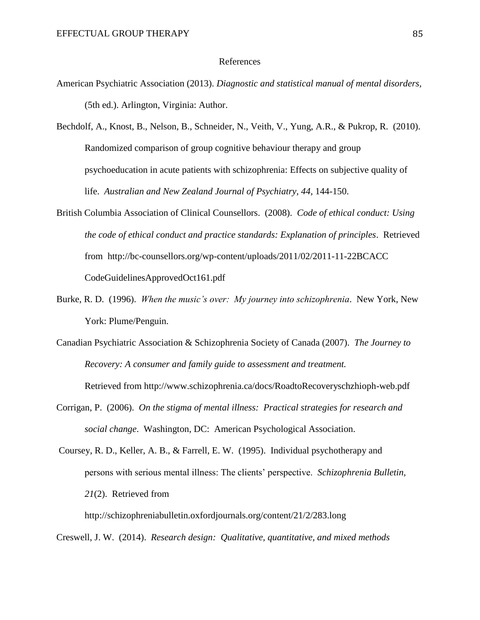#### References

- American Psychiatric Association (2013). *Diagnostic and statistical manual of mental disorders,* (5th ed.). Arlington, Virginia: Author.
- Bechdolf, A., Knost, B., Nelson, B., Schneider, N., Veith, V., Yung, A.R., & Pukrop, R. (2010). Randomized comparison of group cognitive behaviour therapy and group psychoeducation in acute patients with schizophrenia: Effects on subjective quality of life. *Australian and New Zealand Journal of Psychiatry, 44*, 144-150.
- British Columbia Association of Clinical Counsellors. (2008). *Code of ethical conduct: Using the code of ethical conduct and practice standards: Explanation of principles*. Retrieved from <http://bc-counsellors.org/wp-content/uploads/2011/02/2011-11-22BCACC> CodeGuidelinesApprovedOct161.pdf
- Burke, R. D. (1996). *When the music's over: My journey into schizophrenia*. New York, New York: Plume/Penguin.
- Canadian Psychiatric Association & Schizophrenia Society of Canada (2007). *The Journey to Recovery: A consumer and family guide to assessment and treatment.*

Retrieved from http://www.schizophrenia.ca/docs/RoadtoRecoveryschzhioph-web.pdf

- Corrigan, P. (2006). *On the stigma of mental illness: Practical strategies for research and social change*. Washington, DC: American Psychological Association.
- Coursey, R. D., Keller, A. B., & Farrell, E. W. (1995). Individual psychotherapy and persons with serious mental illness: The clients' perspective. *Schizophrenia Bulletin, 21*(2). Retrieved from

http://schizophreniabulletin.oxfordjournals.org/content/21/2/283.long

Creswell, J. W. (2014). *Research design: Qualitative, quantitative, and mixed methods*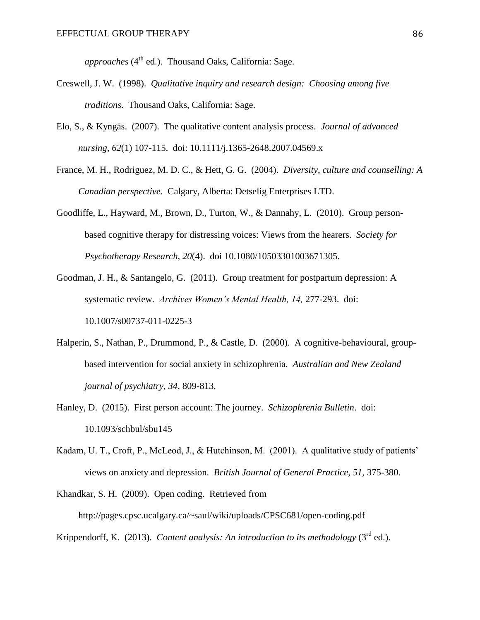*approaches* (4<sup>th</sup> ed.). Thousand Oaks, California: Sage.

- Creswell, J. W. (1998). *Qualitative inquiry and research design: Choosing among five traditions*. Thousand Oaks, California: Sage.
- Elo, S., & Kyngäs. (2007). The qualitative content analysis process. *Journal of advanced nursing, 62*(1) 107-115. doi: 10.1111/j.1365-2648.2007.04569.x
- France, M. H., Rodriguez, M. D. C., & Hett, G. G. (2004). *Diversity, culture and counselling: A Canadian perspective.* Calgary, Alberta: Detselig Enterprises LTD.
- Goodliffe, L., Hayward, M., Brown, D., Turton, W., & Dannahy, L. (2010). Group personbased cognitive therapy for distressing voices: Views from the hearers. *Society for Psychotherapy Research, 20*(4). doi 10.1080/10503301003671305.
- Goodman, J. H., & Santangelo, G. (2011). Group treatment for postpartum depression: A systematic review. *Archives Women's Mental Health, 14,* 277-293. doi: 10.1007/s00737-011-0225-3
- Halperin, S., Nathan, P., Drummond, P., & Castle, D. (2000). A cognitive-behavioural, groupbased intervention for social anxiety in schizophrenia. *Australian and New Zealand journal of psychiatry, 34*, 809-813.
- Hanley, D. (2015). First person account: The journey. *Schizophrenia Bulletin*. doi: 10.1093/schbul/sbu145
- Kadam, U. T., Croft, P., McLeod, J., & Hutchinson, M. (2001). A qualitative study of patients' views on anxiety and depression. *British Journal of General Practice, 51*, 375-380.
- Khandkar, S. H. (2009). Open coding. Retrieved from http://pages.cpsc.ucalgary.ca/~saul/wiki/uploads/CPSC681/open-coding.pdf
- Krippendorff, K. (2013). *Content analysis: An introduction to its methodology*  $(3<sup>rd</sup>$  ed.).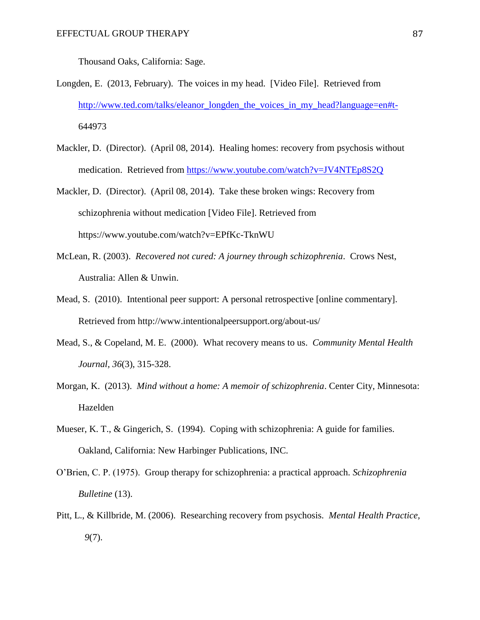Thousand Oaks, California: Sage.

- Longden, E. (2013, February). The voices in my head. [Video File]. Retrieved from [http://www.ted.com/talks/eleanor\\_longden\\_the\\_voices\\_in\\_my\\_head?language=en#t-](http://www.ted.com/talks/eleanor_longden_the_voices_in_my_head?language=en#t-)644973
- Mackler, D. (Director). (April 08, 2014). Healing homes: recovery from psychosis without medication. Retrieved from<https://www.youtube.com/watch?v=JV4NTEp8S2Q>
- Mackler, D. (Director). (April 08, 2014). Take these broken wings: Recovery from schizophrenia without medication [Video File]. Retrieved from <https://www.youtube.com/watch?v=EPfKc-TknWU>
- McLean, R. (2003). *Recovered not cured: A journey through schizophrenia*. Crows Nest, Australia: Allen & Unwin.
- Mead, S. (2010). Intentional peer support: A personal retrospective [online commentary]. Retrieved from http://www.intentionalpeersupport.org/about-us/
- Mead, S., & Copeland, M. E. (2000). What recovery means to us. *Community Mental Health Journal, 36*(3), 315-328.
- Morgan, K. (2013). *Mind without a home: A memoir of schizophrenia*. Center City, Minnesota: Hazelden
- Mueser, K. T., & Gingerich, S. (1994). Coping with schizophrenia: A guide for families. Oakland, California: New Harbinger Publications, INC.
- O'Brien, C. P. (1975). Group therapy for schizophrenia: a practical approach. *Schizophrenia Bulletine* (13).
- Pitt, L., & Killbride, M. (2006). Researching recovery from psychosis. *Mental Health Practice, 9*(7).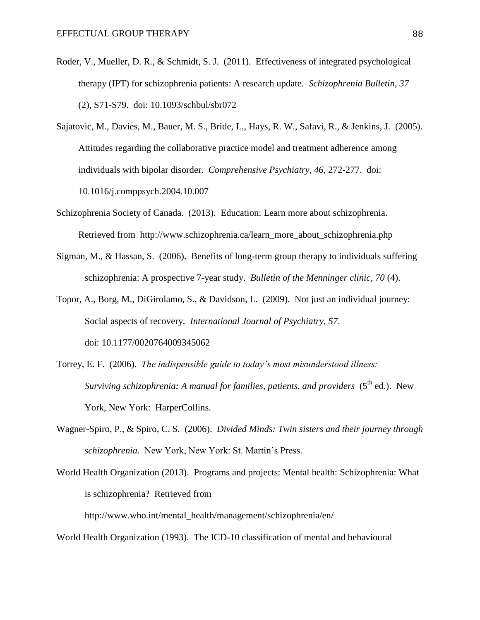- Roder, V., Mueller, D. R., & Schmidt, S. J. (2011). Effectiveness of integrated psychological therapy (IPT) for schizophrenia patients: A research update. *Schizophrenia Bulletin, 37* (2), S71-S79. doi: 10.1093/schbul/sbr072
- Sajatovic, M., Davies, M., Bauer, M. S., Bride, L., Hays, R. W., Safavi, R., & Jenkins, J. (2005). Attitudes regarding the collaborative practice model and treatment adherence among individuals with bipolar disorder. *Comprehensive Psychiatry, 46*, 272-277. doi: 10.1016/j.comppsych.2004.10.007
- Schizophrenia Society of Canada. (2013). Education: Learn more about schizophrenia. Retrieved from [http://www.schizophrenia.ca/learn\\_more\\_about\\_schizophrenia.php](http://www.schizophrenia.ca/learn_more_about_schizophrenia.php)
- Sigman, M., & Hassan, S. (2006). Benefits of long-term group therapy to individuals suffering schizophrenia: A prospective 7-year study. *Bulletin of the Menninger clinic, 70* (4).
- Topor, A., Borg, M., DiGirolamo, S., & Davidson, L. (2009). Not just an individual journey: Social aspects of recovery. *International Journal of Psychiatry*, *57*. doi: 10.1177/0020764009345062
- Torrey, E. F. (2006). *The indispensible guide to today's most misunderstood illness: Surviving schizophrenia: A manual for families, patients, and providers* (5<sup>th</sup> ed.). New York, New York: HarperCollins.
- Wagner-Spiro, P., & Spiro, C. S. (2006). *Divided Minds: Twin sisters and their journey through schizophrenia.* New York, New York: St. Martin's Press.
- World Health Organization (2013). Programs and projects: Mental health: Schizophrenia: What is schizophrenia? Retrieved from http://www.who.int/mental\_health/management/schizophrenia/en/

World Health Organization (1993). The ICD-10 classification of mental and behavioural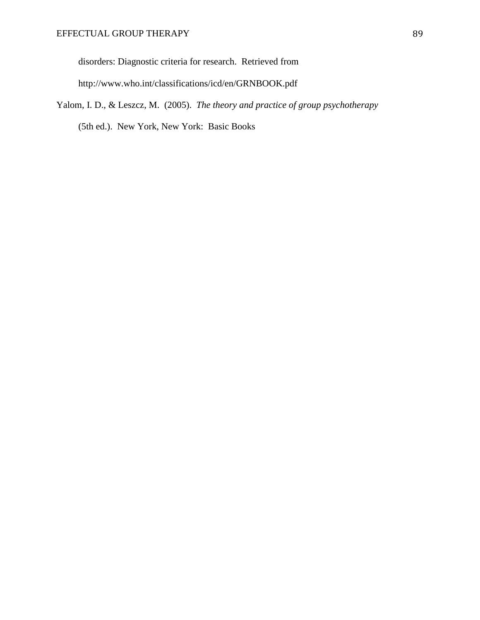disorders: Diagnostic criteria for research. Retrieved from http://www.who.int/classifications/icd/en/GRNBOOK.pdf

Yalom, I. D., & Leszcz, M. (2005). *The theory and practice of group psychotherapy* (5th ed.). New York, New York: Basic Books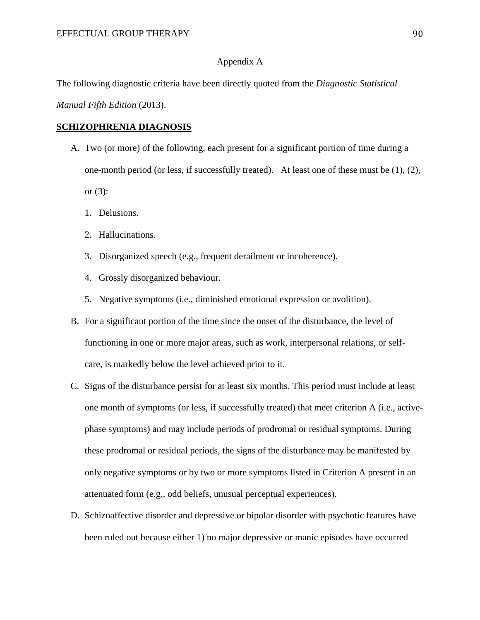#### Appendix A

The following diagnostic criteria have been directly quoted from the *Diagnostic Statistical* 

*Manual Fifth Edition* (2013).

#### **SCHIZOPHRENIA DIAGNOSIS**

- A. Two (or more) of the following, each present for a significant portion of time during a one-month period (or less, if successfully treated). At least one of these must be (1), (2), or  $(3)$ :
	- 1. Delusions.
	- 2. Hallucinations.
	- 3. Disorganized speech (e.g., frequent derailment or incoherence).
	- 4. Grossly disorganized behaviour.
	- 5. Negative symptoms (i.e., diminished emotional expression or avolition).
- B. For a significant portion of the time since the onset of the disturbance, the level of functioning in one or more major areas, such as work, interpersonal relations, or selfcare, is markedly below the level achieved prior to it.
- C. Signs of the disturbance persist for at least six months. This period must include at least one month of symptoms (or less, if successfully treated) that meet criterion A (i.e., activephase symptoms) and may include periods of prodromal or residual symptoms. During these prodromal or residual periods, the signs of the disturbance may be manifested by only negative symptoms or by two or more symptoms listed in Criterion A present in an attenuated form (e.g., odd beliefs, unusual perceptual experiences).
- D. Schizoaffective disorder and depressive or bipolar disorder with psychotic features have been ruled out because either 1) no major depressive or manic episodes have occurred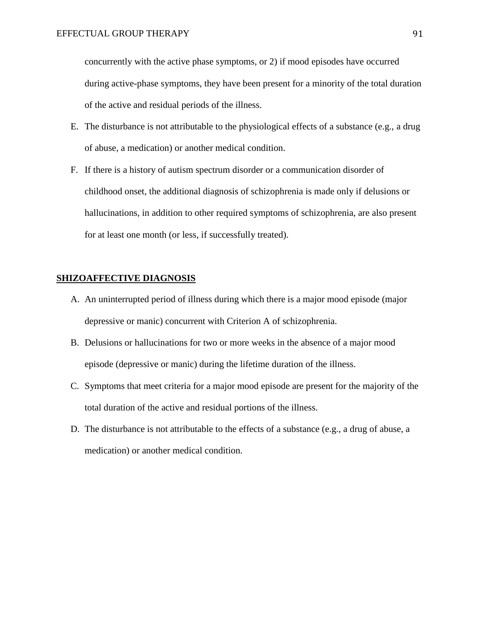concurrently with the active phase symptoms, or 2) if mood episodes have occurred during active-phase symptoms, they have been present for a minority of the total duration of the active and residual periods of the illness.

- E. The disturbance is not attributable to the physiological effects of a substance (e.g., a drug of abuse, a medication) or another medical condition.
- F. If there is a history of autism spectrum disorder or a communication disorder of childhood onset, the additional diagnosis of schizophrenia is made only if delusions or hallucinations, in addition to other required symptoms of schizophrenia, are also present for at least one month (or less, if successfully treated).

#### **SHIZOAFFECTIVE DIAGNOSIS**

- A. An uninterrupted period of illness during which there is a major mood episode (major depressive or manic) concurrent with Criterion A of schizophrenia.
- B. Delusions or hallucinations for two or more weeks in the absence of a major mood episode (depressive or manic) during the lifetime duration of the illness.
- C. Symptoms that meet criteria for a major mood episode are present for the majority of the total duration of the active and residual portions of the illness.
- D. The disturbance is not attributable to the effects of a substance (e.g., a drug of abuse, a medication) or another medical condition.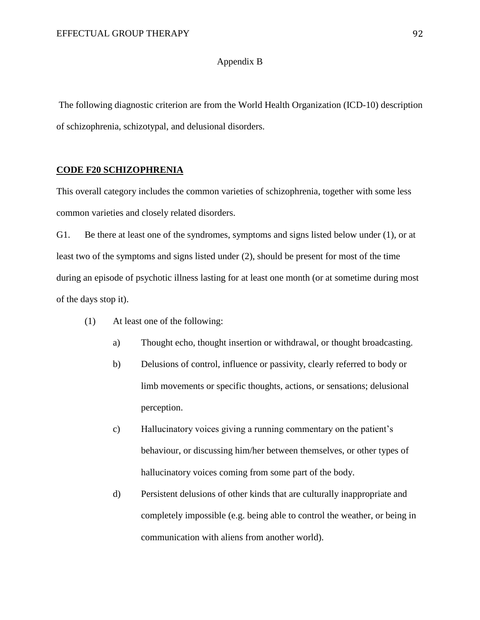#### Appendix B

The following diagnostic criterion are from the World Health Organization (ICD-10) description of schizophrenia, schizotypal, and delusional disorders.

#### **CODE F20 SCHIZOPHRENIA**

This overall category includes the common varieties of schizophrenia, together with some less common varieties and closely related disorders.

G1. Be there at least one of the syndromes, symptoms and signs listed below under (1), or at least two of the symptoms and signs listed under (2), should be present for most of the time during an episode of psychotic illness lasting for at least one month (or at sometime during most of the days stop it).

- (1) At least one of the following:
	- a) Thought echo, thought insertion or withdrawal, or thought broadcasting.
	- b) Delusions of control, influence or passivity, clearly referred to body or limb movements or specific thoughts, actions, or sensations; delusional perception.
	- c) Hallucinatory voices giving a running commentary on the patient's behaviour, or discussing him/her between themselves, or other types of hallucinatory voices coming from some part of the body.
	- d) Persistent delusions of other kinds that are culturally inappropriate and completely impossible (e.g. being able to control the weather, or being in communication with aliens from another world).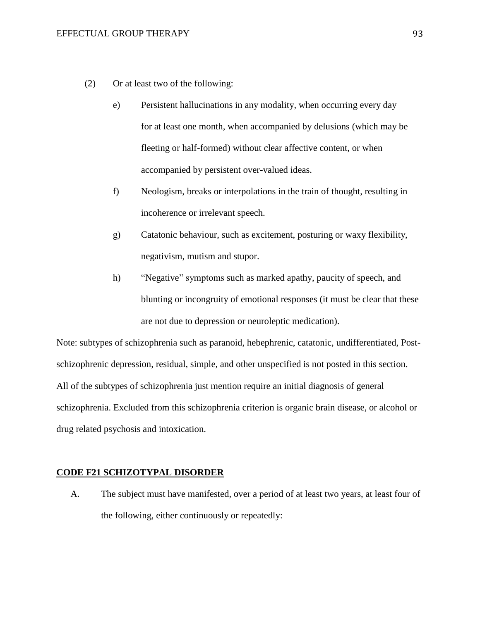- (2) Or at least two of the following:
	- e) Persistent hallucinations in any modality, when occurring every day for at least one month, when accompanied by delusions (which may be fleeting or half-formed) without clear affective content, or when accompanied by persistent over-valued ideas.
	- f) Neologism, breaks or interpolations in the train of thought, resulting in incoherence or irrelevant speech.
	- g) Catatonic behaviour, such as excitement, posturing or waxy flexibility, negativism, mutism and stupor.
	- h) "Negative" symptoms such as marked apathy, paucity of speech, and blunting or incongruity of emotional responses (it must be clear that these are not due to depression or neuroleptic medication).

Note: subtypes of schizophrenia such as paranoid, hebephrenic, catatonic, undifferentiated, Postschizophrenic depression, residual, simple, and other unspecified is not posted in this section. All of the subtypes of schizophrenia just mention require an initial diagnosis of general schizophrenia. Excluded from this schizophrenia criterion is organic brain disease, or alcohol or drug related psychosis and intoxication.

#### **CODE F21 SCHIZOTYPAL DISORDER**

A. The subject must have manifested, over a period of at least two years, at least four of the following, either continuously or repeatedly: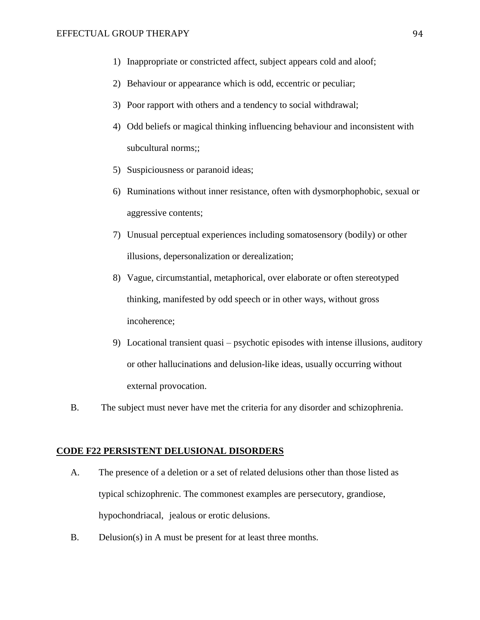- 1) Inappropriate or constricted affect, subject appears cold and aloof;
- 2) Behaviour or appearance which is odd, eccentric or peculiar;
- 3) Poor rapport with others and a tendency to social withdrawal;
- 4) Odd beliefs or magical thinking influencing behaviour and inconsistent with subcultural norms;;
- 5) Suspiciousness or paranoid ideas;
- 6) Ruminations without inner resistance, often with dysmorphophobic, sexual or aggressive contents;
- 7) Unusual perceptual experiences including somatosensory (bodily) or other illusions, depersonalization or derealization;
- 8) Vague, circumstantial, metaphorical, over elaborate or often stereotyped thinking, manifested by odd speech or in other ways, without gross incoherence;
- 9) Locational transient quasi psychotic episodes with intense illusions, auditory or other hallucinations and delusion-like ideas, usually occurring without external provocation.
- B. The subject must never have met the criteria for any disorder and schizophrenia.

#### **CODE F22 PERSISTENT DELUSIONAL DISORDERS**

- A. The presence of a deletion or a set of related delusions other than those listed as typical schizophrenic. The commonest examples are persecutory, grandiose, hypochondriacal, jealous or erotic delusions.
- B. Delusion(s) in A must be present for at least three months.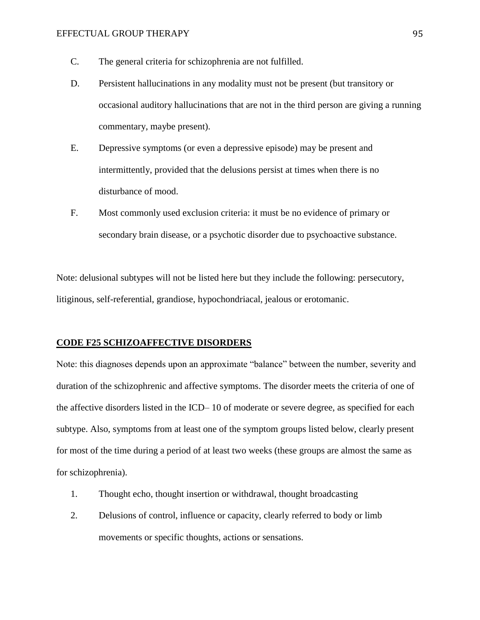- C. The general criteria for schizophrenia are not fulfilled.
- D. Persistent hallucinations in any modality must not be present (but transitory or occasional auditory hallucinations that are not in the third person are giving a running commentary, maybe present).
- E. Depressive symptoms (or even a depressive episode) may be present and intermittently, provided that the delusions persist at times when there is no disturbance of mood.
- F. Most commonly used exclusion criteria: it must be no evidence of primary or secondary brain disease, or a psychotic disorder due to psychoactive substance.

Note: delusional subtypes will not be listed here but they include the following: persecutory, litiginous, self-referential, grandiose, hypochondriacal, jealous or erotomanic.

#### **CODE F25 SCHIZOAFFECTIVE DISORDERS**

Note: this diagnoses depends upon an approximate "balance" between the number, severity and duration of the schizophrenic and affective symptoms. The disorder meets the criteria of one of the affective disorders listed in the ICD– 10 of moderate or severe degree, as specified for each subtype. Also, symptoms from at least one of the symptom groups listed below, clearly present for most of the time during a period of at least two weeks (these groups are almost the same as for schizophrenia).

- 1. Thought echo, thought insertion or withdrawal, thought broadcasting
- 2. Delusions of control, influence or capacity, clearly referred to body or limb movements or specific thoughts, actions or sensations.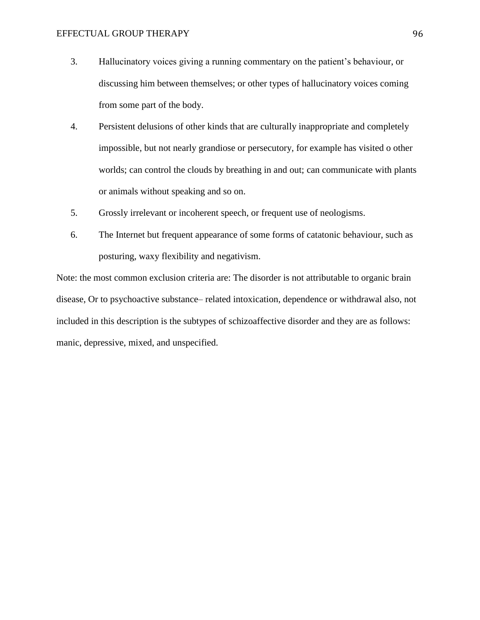- 3. Hallucinatory voices giving a running commentary on the patient's behaviour, or discussing him between themselves; or other types of hallucinatory voices coming from some part of the body.
- 4. Persistent delusions of other kinds that are culturally inappropriate and completely impossible, but not nearly grandiose or persecutory, for example has visited o other worlds; can control the clouds by breathing in and out; can communicate with plants or animals without speaking and so on.
- 5. Grossly irrelevant or incoherent speech, or frequent use of neologisms.
- 6. The Internet but frequent appearance of some forms of catatonic behaviour, such as posturing, waxy flexibility and negativism.

Note: the most common exclusion criteria are: The disorder is not attributable to organic brain disease, Or to psychoactive substance– related intoxication, dependence or withdrawal also, not included in this description is the subtypes of schizoaffective disorder and they are as follows: manic, depressive, mixed, and unspecified.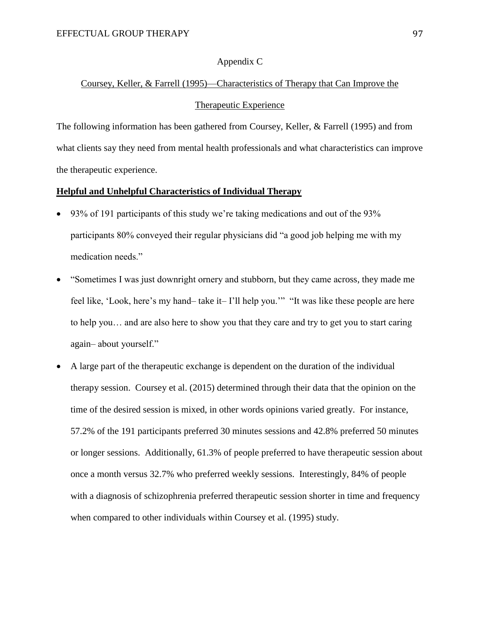#### Appendix C

## Coursey, Keller, & Farrell (1995)—Characteristics of Therapy that Can Improve the

### Therapeutic Experience

The following information has been gathered from Coursey, Keller, & Farrell (1995) and from what clients say they need from mental health professionals and what characteristics can improve the therapeutic experience.

#### **Helpful and Unhelpful Characteristics of Individual Therapy**

- 93% of 191 participants of this study we're taking medications and out of the 93% participants 80% conveyed their regular physicians did "a good job helping me with my medication needs."
- "Sometimes I was just downright ornery and stubborn, but they came across, they made me feel like, 'Look, here's my hand– take it– I'll help you.'" "It was like these people are here to help you… and are also here to show you that they care and try to get you to start caring again– about yourself."
- A large part of the therapeutic exchange is dependent on the duration of the individual therapy session. Coursey et al. (2015) determined through their data that the opinion on the time of the desired session is mixed, in other words opinions varied greatly. For instance, 57.2% of the 191 participants preferred 30 minutes sessions and 42.8% preferred 50 minutes or longer sessions. Additionally, 61.3% of people preferred to have therapeutic session about once a month versus 32.7% who preferred weekly sessions. Interestingly, 84% of people with a diagnosis of schizophrenia preferred therapeutic session shorter in time and frequency when compared to other individuals within Coursey et al. (1995) study.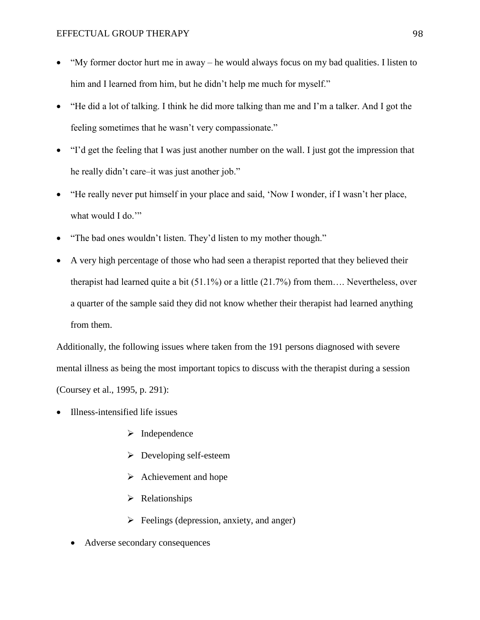- "My former doctor hurt me in away he would always focus on my bad qualities. I listen to him and I learned from him, but he didn't help me much for myself."
- "He did a lot of talking. I think he did more talking than me and I'm a talker. And I got the feeling sometimes that he wasn't very compassionate."
- "I'd get the feeling that I was just another number on the wall. I just got the impression that he really didn't care–it was just another job."
- "He really never put himself in your place and said, 'Now I wonder, if I wasn't her place, what would I do.""
- "The bad ones wouldn't listen. They'd listen to my mother though."
- A very high percentage of those who had seen a therapist reported that they believed their therapist had learned quite a bit (51.1%) or a little (21.7%) from them…. Nevertheless, over a quarter of the sample said they did not know whether their therapist had learned anything from them.

Additionally, the following issues where taken from the 191 persons diagnosed with severe mental illness as being the most important topics to discuss with the therapist during a session (Coursey et al., 1995, p. 291):

- Illness-intensified life issues
	- $\triangleright$  Independence
	- $\triangleright$  Developing self-esteem
	- $\triangleright$  Achievement and hope
	- $\triangleright$  Relationships
	- $\triangleright$  Feelings (depression, anxiety, and anger)
	- Adverse secondary consequences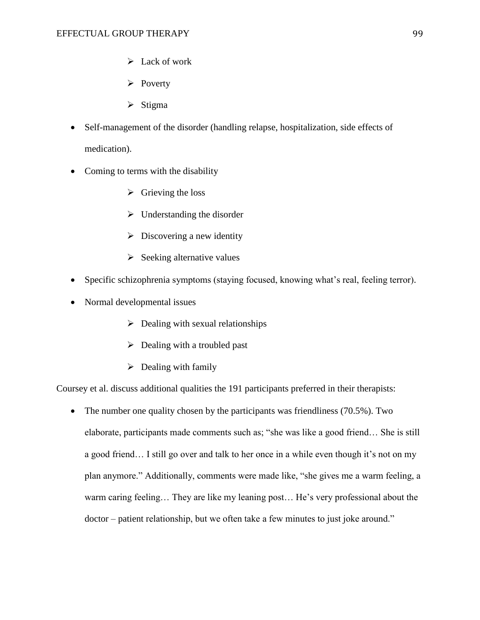- $\triangleright$  Lack of work
- $\triangleright$  Poverty
- $\triangleright$  Stigma
- Self-management of the disorder (handling relapse, hospitalization, side effects of medication).
- Coming to terms with the disability
	- $\triangleright$  Grieving the loss
	- $\triangleright$  Understanding the disorder
	- $\triangleright$  Discovering a new identity
	- $\triangleright$  Seeking alternative values
- Specific schizophrenia symptoms (staying focused, knowing what's real, feeling terror).
- Normal developmental issues
	- $\triangleright$  Dealing with sexual relationships
	- $\triangleright$  Dealing with a troubled past
	- $\triangleright$  Dealing with family

Coursey et al. discuss additional qualities the 191 participants preferred in their therapists:

• The number one quality chosen by the participants was friendliness (70.5%). Two elaborate, participants made comments such as; "she was like a good friend… She is still a good friend… I still go over and talk to her once in a while even though it's not on my plan anymore." Additionally, comments were made like, "she gives me a warm feeling, a warm caring feeling… They are like my leaning post… He's very professional about the doctor – patient relationship, but we often take a few minutes to just joke around."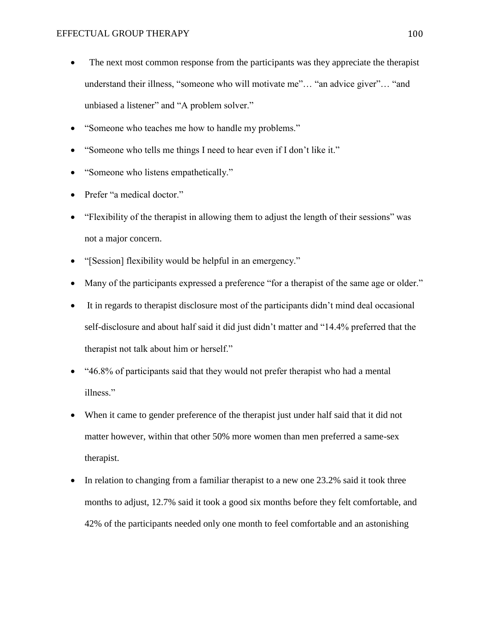- The next most common response from the participants was they appreciate the therapist understand their illness, "someone who will motivate me"… "an advice giver"… "and unbiased a listener" and "A problem solver."
- "Someone who teaches me how to handle my problems."
- "Someone who tells me things I need to hear even if I don't like it."
- "Someone who listens empathetically."
- Prefer "a medical doctor."
- "Flexibility of the therapist in allowing them to adjust the length of their sessions" was not a major concern.
- "[Session] flexibility would be helpful in an emergency."
- Many of the participants expressed a preference "for a therapist of the same age or older."
- It in regards to therapist disclosure most of the participants didn't mind deal occasional self-disclosure and about half said it did just didn't matter and "14.4% preferred that the therapist not talk about him or herself."
- "46.8% of participants said that they would not prefer therapist who had a mental illness."
- When it came to gender preference of the therapist just under half said that it did not matter however, within that other 50% more women than men preferred a same-sex therapist.
- In relation to changing from a familiar therapist to a new one 23.2% said it took three months to adjust, 12.7% said it took a good six months before they felt comfortable, and 42% of the participants needed only one month to feel comfortable and an astonishing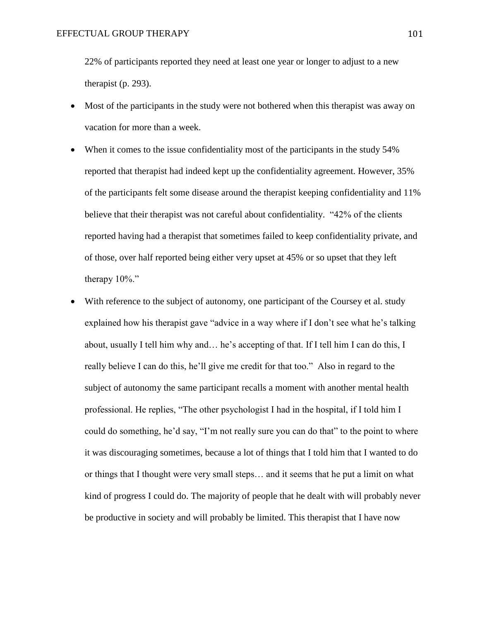22% of participants reported they need at least one year or longer to adjust to a new therapist (p. 293).

- Most of the participants in the study were not bothered when this therapist was away on vacation for more than a week.
- When it comes to the issue confidentiality most of the participants in the study 54% reported that therapist had indeed kept up the confidentiality agreement. However, 35% of the participants felt some disease around the therapist keeping confidentiality and 11% believe that their therapist was not careful about confidentiality. "42% of the clients reported having had a therapist that sometimes failed to keep confidentiality private, and of those, over half reported being either very upset at 45% or so upset that they left therapy 10%."
- With reference to the subject of autonomy, one participant of the Coursey et al. study explained how his therapist gave "advice in a way where if I don't see what he's talking about, usually I tell him why and… he's accepting of that. If I tell him I can do this, I really believe I can do this, he'll give me credit for that too." Also in regard to the subject of autonomy the same participant recalls a moment with another mental health professional. He replies, "The other psychologist I had in the hospital, if I told him I could do something, he'd say, "I'm not really sure you can do that" to the point to where it was discouraging sometimes, because a lot of things that I told him that I wanted to do or things that I thought were very small steps… and it seems that he put a limit on what kind of progress I could do. The majority of people that he dealt with will probably never be productive in society and will probably be limited. This therapist that I have now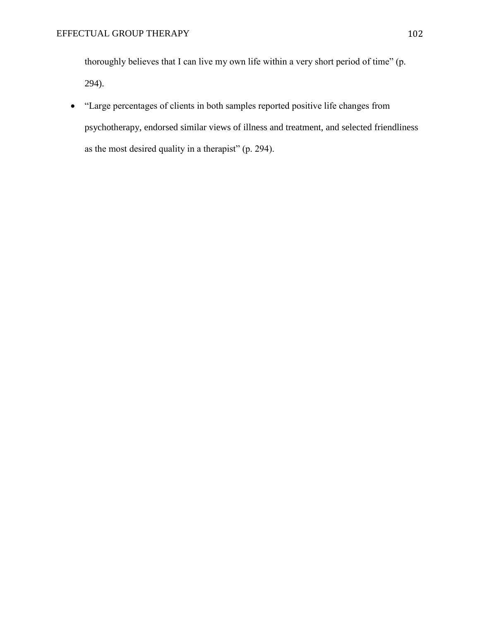thoroughly believes that I can live my own life within a very short period of time" (p. 294).

 "Large percentages of clients in both samples reported positive life changes from psychotherapy, endorsed similar views of illness and treatment, and selected friendliness as the most desired quality in a therapist" (p. 294).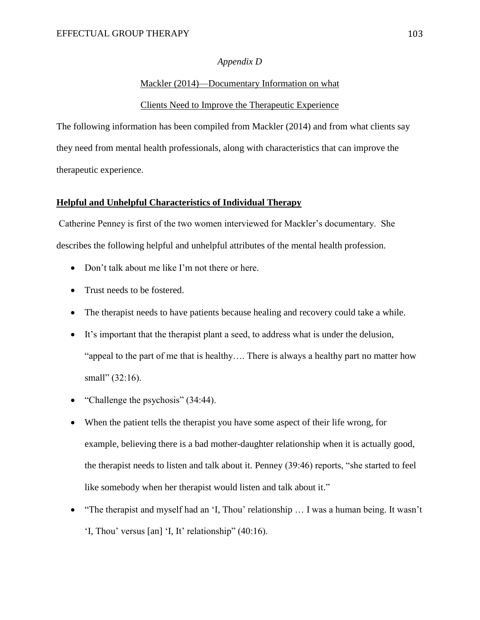#### *Appendix D*

#### Mackler (2014)—Documentary Information on what

#### Clients Need to Improve the Therapeutic Experience

The following information has been compiled from Mackler (2014) and from what clients say they need from mental health professionals, along with characteristics that can improve the therapeutic experience.

#### **Helpful and Unhelpful Characteristics of Individual Therapy**

Catherine Penney is first of the two women interviewed for Mackler's documentary. She describes the following helpful and unhelpful attributes of the mental health profession.

- Don't talk about me like I'm not there or here.
- Trust needs to be fostered.
- The therapist needs to have patients because healing and recovery could take a while.
- It's important that the therapist plant a seed, to address what is under the delusion, "appeal to the part of me that is healthy…. There is always a healthy part no matter how small" (32:16).
- "Challenge the psychosis" (34:44).
- When the patient tells the therapist you have some aspect of their life wrong, for example, believing there is a bad mother-daughter relationship when it is actually good, the therapist needs to listen and talk about it. Penney (39:46) reports, "she started to feel like somebody when her therapist would listen and talk about it."
- "The therapist and myself had an 'I, Thou' relationship … I was a human being. It wasn't 'I, Thou' versus [an] 'I, It' relationship" (40:16).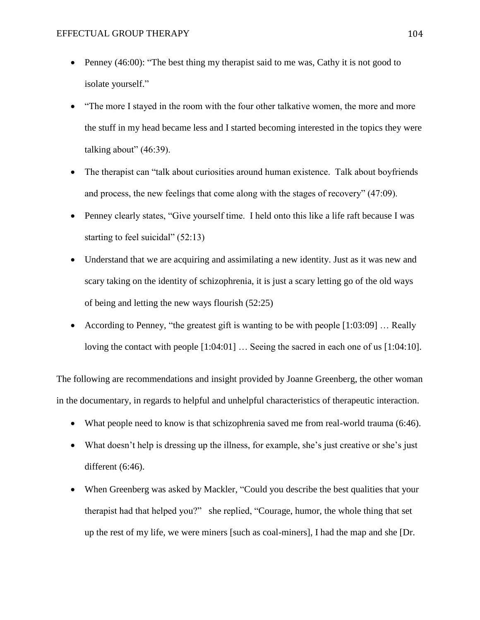- Penney (46:00): "The best thing my therapist said to me was, Cathy it is not good to isolate yourself."
- "The more I stayed in the room with the four other talkative women, the more and more the stuff in my head became less and I started becoming interested in the topics they were talking about"  $(46:39)$ .
- The therapist can "talk about curiosities around human existence. Talk about boyfriends and process, the new feelings that come along with the stages of recovery" (47:09).
- Penney clearly states, "Give yourself time. I held onto this like a life raft because I was starting to feel suicidal" (52:13)
- Understand that we are acquiring and assimilating a new identity. Just as it was new and scary taking on the identity of schizophrenia, it is just a scary letting go of the old ways of being and letting the new ways flourish (52:25)
- According to Penney, "the greatest gift is wanting to be with people [1:03:09] … Really loving the contact with people [1:04:01] … Seeing the sacred in each one of us [1:04:10].

The following are recommendations and insight provided by Joanne Greenberg, the other woman in the documentary, in regards to helpful and unhelpful characteristics of therapeutic interaction.

- What people need to know is that schizophrenia saved me from real-world trauma (6:46).
- What doesn't help is dressing up the illness, for example, she's just creative or she's just different (6:46).
- When Greenberg was asked by Mackler, "Could you describe the best qualities that your therapist had that helped you?" she replied, "Courage, humor, the whole thing that set up the rest of my life, we were miners [such as coal-miners], I had the map and she [Dr.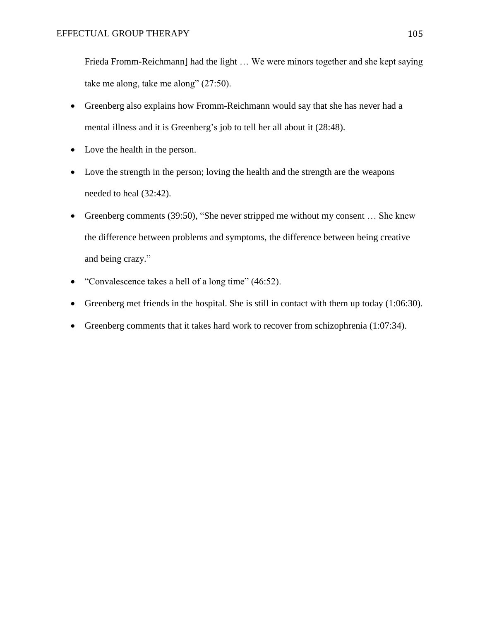Frieda Fromm-Reichmann] had the light … We were minors together and she kept saying take me along, take me along" (27:50).

- Greenberg also explains how Fromm-Reichmann would say that she has never had a mental illness and it is Greenberg's job to tell her all about it (28:48).
- Love the health in the person.
- Love the strength in the person; loving the health and the strength are the weapons needed to heal (32:42).
- Greenberg comments (39:50), "She never stripped me without my consent … She knew the difference between problems and symptoms, the difference between being creative and being crazy."
- "Convalescence takes a hell of a long time" (46:52).
- Greenberg met friends in the hospital. She is still in contact with them up today  $(1:06:30)$ .
- Greenberg comments that it takes hard work to recover from schizophrenia (1:07:34).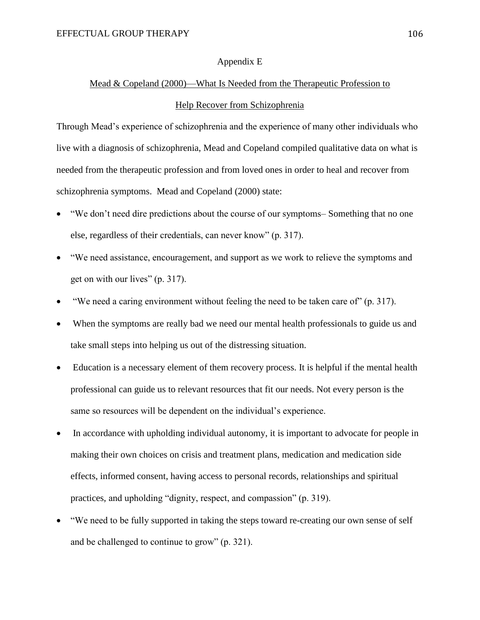#### Appendix E

# Mead & Copeland (2000)—What Is Needed from the Therapeutic Profession to Help Recover from Schizophrenia

Through Mead's experience of schizophrenia and the experience of many other individuals who live with a diagnosis of schizophrenia, Mead and Copeland compiled qualitative data on what is needed from the therapeutic profession and from loved ones in order to heal and recover from schizophrenia symptoms. Mead and Copeland (2000) state:

- "We don't need dire predictions about the course of our symptoms– Something that no one else, regardless of their credentials, can never know" (p. 317).
- "We need assistance, encouragement, and support as we work to relieve the symptoms and get on with our lives" (p. 317).
- "We need a caring environment without feeling the need to be taken care of" (p. 317).
- When the symptoms are really bad we need our mental health professionals to guide us and take small steps into helping us out of the distressing situation.
- Education is a necessary element of them recovery process. It is helpful if the mental health professional can guide us to relevant resources that fit our needs. Not every person is the same so resources will be dependent on the individual's experience.
- In accordance with upholding individual autonomy, it is important to advocate for people in making their own choices on crisis and treatment plans, medication and medication side effects, informed consent, having access to personal records, relationships and spiritual practices, and upholding "dignity, respect, and compassion" (p. 319).
- "We need to be fully supported in taking the steps toward re-creating our own sense of self and be challenged to continue to grow" (p. 321).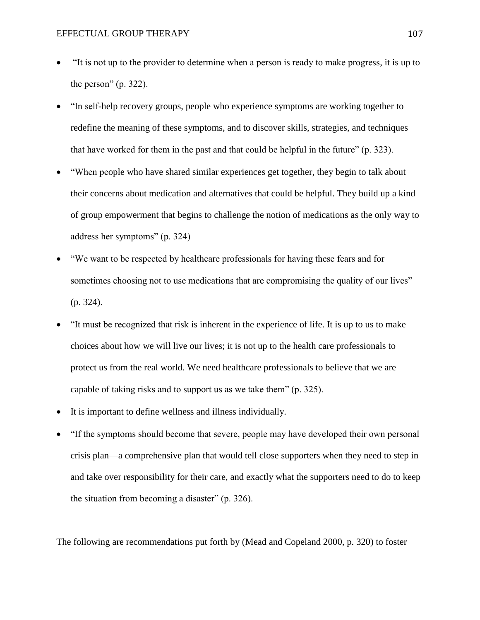- "It is not up to the provider to determine when a person is ready to make progress, it is up to the person"  $(p. 322)$ .
- "In self-help recovery groups, people who experience symptoms are working together to redefine the meaning of these symptoms, and to discover skills, strategies, and techniques that have worked for them in the past and that could be helpful in the future" (p. 323).
- "When people who have shared similar experiences get together, they begin to talk about their concerns about medication and alternatives that could be helpful. They build up a kind of group empowerment that begins to challenge the notion of medications as the only way to address her symptoms" (p. 324)
- "We want to be respected by healthcare professionals for having these fears and for sometimes choosing not to use medications that are compromising the quality of our lives" (p. 324).
- "It must be recognized that risk is inherent in the experience of life. It is up to us to make choices about how we will live our lives; it is not up to the health care professionals to protect us from the real world. We need healthcare professionals to believe that we are capable of taking risks and to support us as we take them" (p. 325).
- It is important to define wellness and illness individually.
- "If the symptoms should become that severe, people may have developed their own personal crisis plan—a comprehensive plan that would tell close supporters when they need to step in and take over responsibility for their care, and exactly what the supporters need to do to keep the situation from becoming a disaster" (p. 326).

The following are recommendations put forth by (Mead and Copeland 2000, p. 320) to foster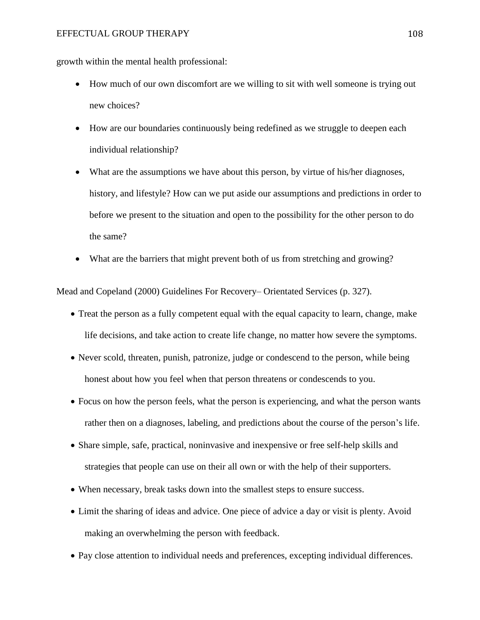#### EFFECTUAL GROUP THERAPY 108

growth within the mental health professional:

- How much of our own discomfort are we willing to sit with well someone is trying out new choices?
- How are our boundaries continuously being redefined as we struggle to deepen each individual relationship?
- What are the assumptions we have about this person, by virtue of his/her diagnoses, history, and lifestyle? How can we put aside our assumptions and predictions in order to before we present to the situation and open to the possibility for the other person to do the same?
- What are the barriers that might prevent both of us from stretching and growing?

Mead and Copeland (2000) Guidelines For Recovery– Orientated Services (p. 327).

- Treat the person as a fully competent equal with the equal capacity to learn, change, make life decisions, and take action to create life change, no matter how severe the symptoms.
- Never scold, threaten, punish, patronize, judge or condescend to the person, while being honest about how you feel when that person threatens or condescends to you.
- Focus on how the person feels, what the person is experiencing, and what the person wants rather then on a diagnoses, labeling, and predictions about the course of the person's life.
- Share simple, safe, practical, noninvasive and inexpensive or free self-help skills and strategies that people can use on their all own or with the help of their supporters.
- When necessary, break tasks down into the smallest steps to ensure success.
- Limit the sharing of ideas and advice. One piece of advice a day or visit is plenty. Avoid making an overwhelming the person with feedback.
- Pay close attention to individual needs and preferences, excepting individual differences.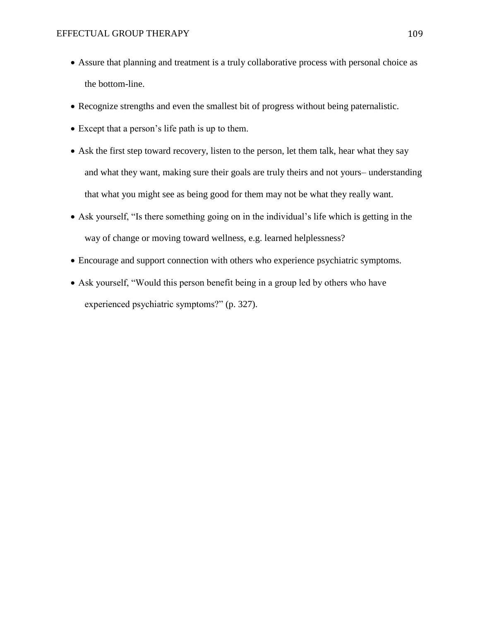- Assure that planning and treatment is a truly collaborative process with personal choice as the bottom-line.
- Recognize strengths and even the smallest bit of progress without being paternalistic.
- Except that a person's life path is up to them.
- Ask the first step toward recovery, listen to the person, let them talk, hear what they say and what they want, making sure their goals are truly theirs and not yours– understanding that what you might see as being good for them may not be what they really want.
- Ask yourself, "Is there something going on in the individual's life which is getting in the way of change or moving toward wellness, e.g. learned helplessness?
- Encourage and support connection with others who experience psychiatric symptoms.
- Ask yourself, "Would this person benefit being in a group led by others who have experienced psychiatric symptoms?" (p. 327).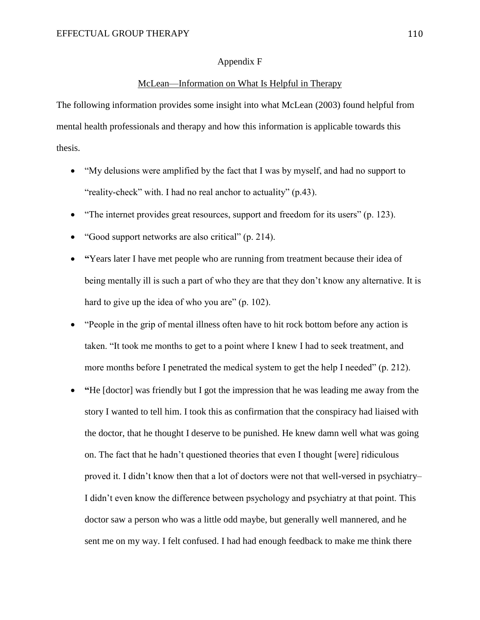## Appendix F

## McLean—Information on What Is Helpful in Therapy

The following information provides some insight into what McLean (2003) found helpful from mental health professionals and therapy and how this information is applicable towards this thesis.

- "My delusions were amplified by the fact that I was by myself, and had no support to "reality-check" with. I had no real anchor to actuality" (p.43).
- "The internet provides great resources, support and freedom for its users" (p. 123).
- "Good support networks are also critical" (p. 214).
- **"**Years later I have met people who are running from treatment because their idea of being mentally ill is such a part of who they are that they don't know any alternative. It is hard to give up the idea of who you are" (p. 102).
- "People in the grip of mental illness often have to hit rock bottom before any action is taken. "It took me months to get to a point where I knew I had to seek treatment, and more months before I penetrated the medical system to get the help I needed" (p. 212).
- **"**He [doctor] was friendly but I got the impression that he was leading me away from the story I wanted to tell him. I took this as confirmation that the conspiracy had liaised with the doctor, that he thought I deserve to be punished. He knew damn well what was going on. The fact that he hadn't questioned theories that even I thought [were] ridiculous proved it. I didn't know then that a lot of doctors were not that well-versed in psychiatry– I didn't even know the difference between psychology and psychiatry at that point. This doctor saw a person who was a little odd maybe, but generally well mannered, and he sent me on my way. I felt confused. I had had enough feedback to make me think there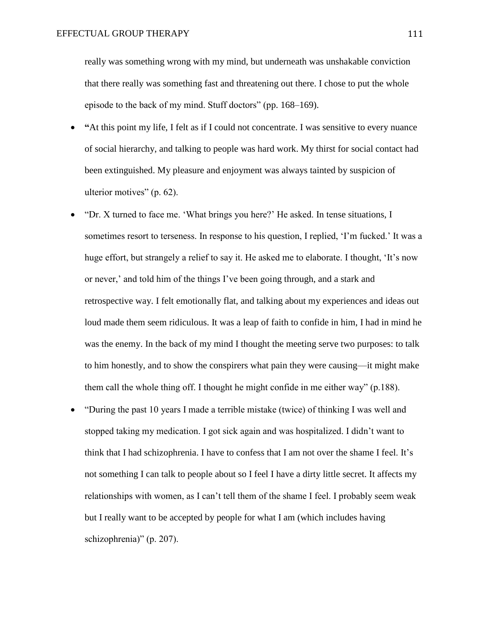really was something wrong with my mind, but underneath was unshakable conviction that there really was something fast and threatening out there. I chose to put the whole episode to the back of my mind. Stuff doctors" (pp. 168–169).

- **"**At this point my life, I felt as if I could not concentrate. I was sensitive to every nuance of social hierarchy, and talking to people was hard work. My thirst for social contact had been extinguished. My pleasure and enjoyment was always tainted by suspicion of ulterior motives" (p. 62).
- "Dr. X turned to face me. 'What brings you here?' He asked. In tense situations, I sometimes resort to terseness. In response to his question, I replied, 'I'm fucked.' It was a huge effort, but strangely a relief to say it. He asked me to elaborate. I thought, 'It's now or never,' and told him of the things I've been going through, and a stark and retrospective way. I felt emotionally flat, and talking about my experiences and ideas out loud made them seem ridiculous. It was a leap of faith to confide in him, I had in mind he was the enemy. In the back of my mind I thought the meeting serve two purposes: to talk to him honestly, and to show the conspirers what pain they were causing—it might make them call the whole thing off. I thought he might confide in me either way" (p.188).
- "During the past 10 years I made a terrible mistake (twice) of thinking I was well and stopped taking my medication. I got sick again and was hospitalized. I didn't want to think that I had schizophrenia. I have to confess that I am not over the shame I feel. It's not something I can talk to people about so I feel I have a dirty little secret. It affects my relationships with women, as I can't tell them of the shame I feel. I probably seem weak but I really want to be accepted by people for what I am (which includes having schizophrenia)" (p. 207).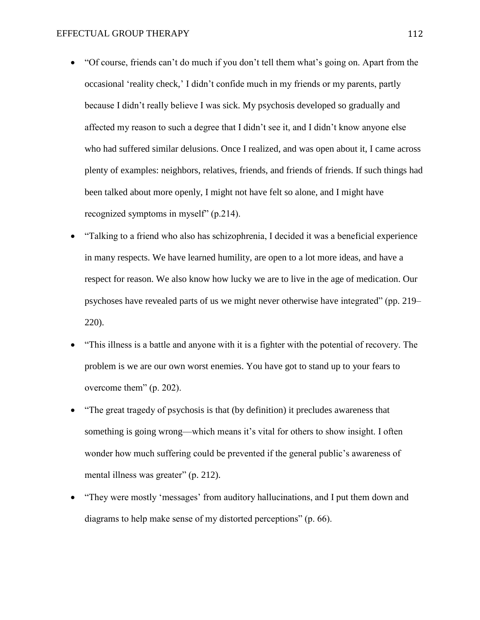- "Of course, friends can't do much if you don't tell them what's going on. Apart from the occasional 'reality check,' I didn't confide much in my friends or my parents, partly because I didn't really believe I was sick. My psychosis developed so gradually and affected my reason to such a degree that I didn't see it, and I didn't know anyone else who had suffered similar delusions. Once I realized, and was open about it, I came across plenty of examples: neighbors, relatives, friends, and friends of friends. If such things had been talked about more openly, I might not have felt so alone, and I might have recognized symptoms in myself" (p.214).
- "Talking to a friend who also has schizophrenia, I decided it was a beneficial experience in many respects. We have learned humility, are open to a lot more ideas, and have a respect for reason. We also know how lucky we are to live in the age of medication. Our psychoses have revealed parts of us we might never otherwise have integrated" (pp. 219– 220).
- "This illness is a battle and anyone with it is a fighter with the potential of recovery. The problem is we are our own worst enemies. You have got to stand up to your fears to overcome them" (p. 202).
- "The great tragedy of psychosis is that (by definition) it precludes awareness that something is going wrong—which means it's vital for others to show insight. I often wonder how much suffering could be prevented if the general public's awareness of mental illness was greater" (p. 212).
- "They were mostly 'messages' from auditory hallucinations, and I put them down and diagrams to help make sense of my distorted perceptions" (p. 66).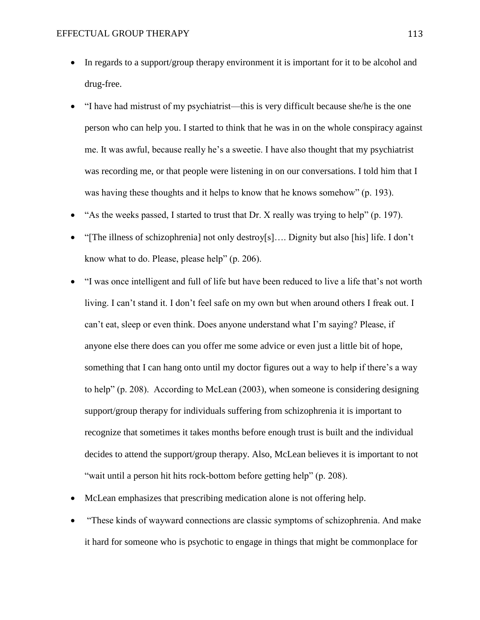- In regards to a support/group therapy environment it is important for it to be alcohol and drug-free.
- "I have had mistrust of my psychiatrist—this is very difficult because she/he is the one person who can help you. I started to think that he was in on the whole conspiracy against me. It was awful, because really he's a sweetie. I have also thought that my psychiatrist was recording me, or that people were listening in on our conversations. I told him that I was having these thoughts and it helps to know that he knows somehow" (p. 193).
- "As the weeks passed, I started to trust that Dr. X really was trying to help" (p. 197).
- "[The illness of schizophrenia] not only destroy[s]…. Dignity but also [his] life. I don't know what to do. Please, please help" (p. 206).
- "I was once intelligent and full of life but have been reduced to live a life that's not worth living. I can't stand it. I don't feel safe on my own but when around others I freak out. I can't eat, sleep or even think. Does anyone understand what I'm saying? Please, if anyone else there does can you offer me some advice or even just a little bit of hope, something that I can hang onto until my doctor figures out a way to help if there's a way to help" (p. 208). According to McLean (2003), when someone is considering designing support/group therapy for individuals suffering from schizophrenia it is important to recognize that sometimes it takes months before enough trust is built and the individual decides to attend the support/group therapy. Also, McLean believes it is important to not "wait until a person hit hits rock-bottom before getting help" (p. 208).
- McLean emphasizes that prescribing medication alone is not offering help.
- "These kinds of wayward connections are classic symptoms of schizophrenia. And make it hard for someone who is psychotic to engage in things that might be commonplace for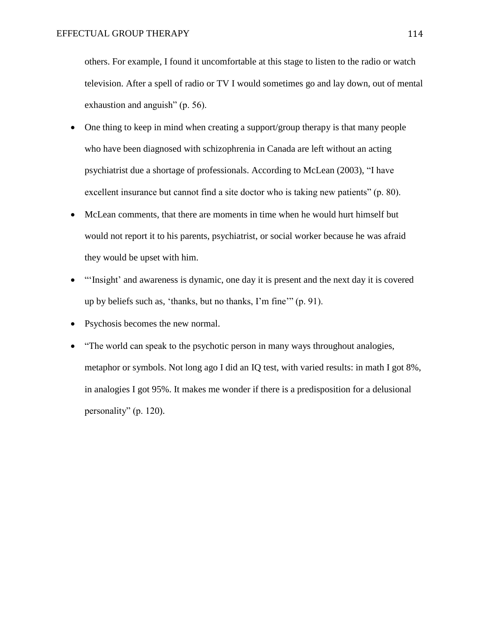others. For example, I found it uncomfortable at this stage to listen to the radio or watch television. After a spell of radio or TV I would sometimes go and lay down, out of mental exhaustion and anguish" (p. 56).

- One thing to keep in mind when creating a support/group therapy is that many people who have been diagnosed with schizophrenia in Canada are left without an acting psychiatrist due a shortage of professionals. According to McLean (2003), "I have excellent insurance but cannot find a site doctor who is taking new patients" (p. 80).
- McLean comments, that there are moments in time when he would hurt himself but would not report it to his parents, psychiatrist, or social worker because he was afraid they would be upset with him.
- "'Insight' and awareness is dynamic, one day it is present and the next day it is covered up by beliefs such as, 'thanks, but no thanks, I'm fine'" (p. 91).
- Psychosis becomes the new normal.
- "The world can speak to the psychotic person in many ways throughout analogies, metaphor or symbols. Not long ago I did an IQ test, with varied results: in math I got 8%, in analogies I got 95%. It makes me wonder if there is a predisposition for a delusional personality" (p. 120).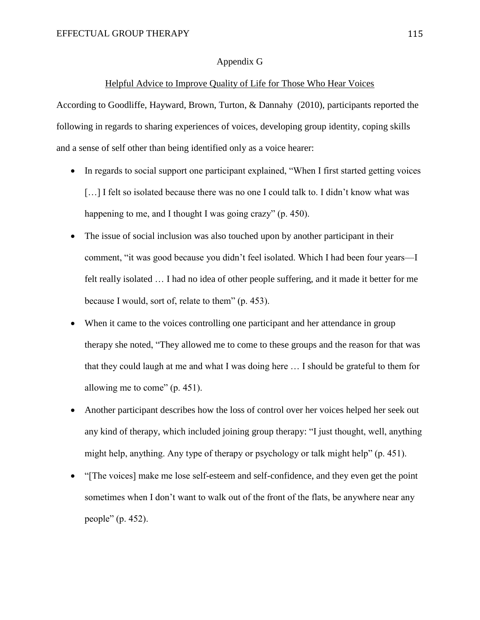## Appendix G

## Helpful Advice to Improve Quality of Life for Those Who Hear Voices

According to Goodliffe, Hayward, Brown, Turton, & Dannahy (2010), participants reported the following in regards to sharing experiences of voices, developing group identity, coping skills and a sense of self other than being identified only as a voice hearer:

- In regards to social support one participant explained, "When I first started getting voices [...] I felt so isolated because there was no one I could talk to. I didn't know what was happening to me, and I thought I was going crazy" (p. 450).
- The issue of social inclusion was also touched upon by another participant in their comment, "it was good because you didn't feel isolated. Which I had been four years—I felt really isolated … I had no idea of other people suffering, and it made it better for me because I would, sort of, relate to them" (p. 453).
- When it came to the voices controlling one participant and her attendance in group therapy she noted, "They allowed me to come to these groups and the reason for that was that they could laugh at me and what I was doing here … I should be grateful to them for allowing me to come" (p. 451).
- Another participant describes how the loss of control over her voices helped her seek out any kind of therapy, which included joining group therapy: "I just thought, well, anything might help, anything. Any type of therapy or psychology or talk might help" (p. 451).
- "[The voices] make me lose self-esteem and self-confidence, and they even get the point sometimes when I don't want to walk out of the front of the flats, be anywhere near any people" (p. 452).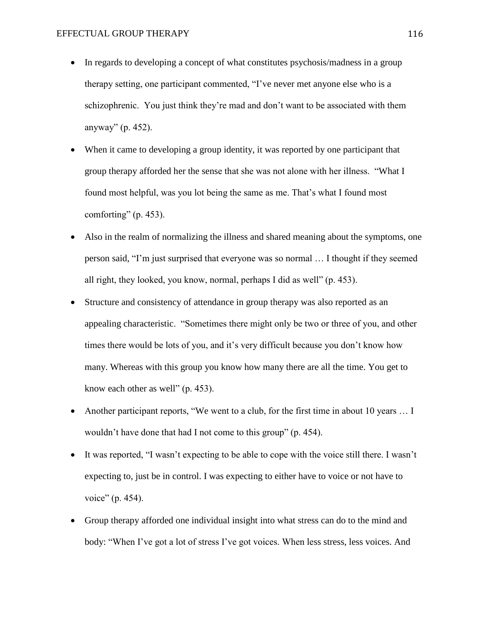- In regards to developing a concept of what constitutes psychosis/madness in a group therapy setting, one participant commented, "I've never met anyone else who is a schizophrenic. You just think they're mad and don't want to be associated with them anyway" (p. 452).
- When it came to developing a group identity, it was reported by one participant that group therapy afforded her the sense that she was not alone with her illness. "What I found most helpful, was you lot being the same as me. That's what I found most comforting" (p. 453).
- Also in the realm of normalizing the illness and shared meaning about the symptoms, one person said, "I'm just surprised that everyone was so normal … I thought if they seemed all right, they looked, you know, normal, perhaps I did as well" (p. 453).
- Structure and consistency of attendance in group therapy was also reported as an appealing characteristic. "Sometimes there might only be two or three of you, and other times there would be lots of you, and it's very difficult because you don't know how many. Whereas with this group you know how many there are all the time. You get to know each other as well" (p. 453).
- Another participant reports, "We went to a club, for the first time in about 10 years … I wouldn't have done that had I not come to this group" (p. 454).
- It was reported, "I wasn't expecting to be able to cope with the voice still there. I wasn't expecting to, just be in control. I was expecting to either have to voice or not have to voice" (p. 454).
- Group therapy afforded one individual insight into what stress can do to the mind and body: "When I've got a lot of stress I've got voices. When less stress, less voices. And